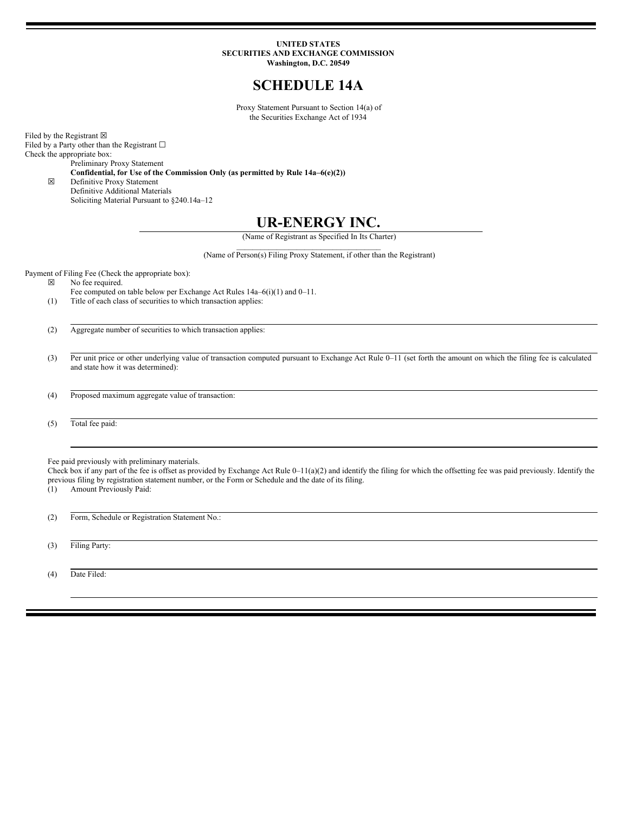## **UNITED STATES SECURITIES AND EXCHANGE COMMISSION Washington, D.C. 20549**

# **SCHEDULE 14A**

Proxy Statement Pursuant to Section 14(a) of the Securities Exchange Act of 1934

Filed by the Registrant  $\boxtimes$ Filed by a Party other than the Registrant  $□$ Check the appropriate box:

Preliminary Proxy Statement **Confidential, for Use of the Commission Only (as permitted by Rule 14a–6(e)(2))**

☒ Definitive Proxy Statement Definitive Additional Materials Soliciting Material Pursuant to §240.14a–12

# **UR-ENERGY INC.**

(Name of Registrant as Specified In Its Charter)  $\mathcal{L}_\text{max}$ 

(Name of Person(s) Filing Proxy Statement, if other than the Registrant)

Payment of Filing Fee (Check the appropriate box):

☒ No fee required.

Fee computed on table below per Exchange Act Rules 14a–6(i)(1) and 0–11.

(1) Title of each class of securities to which transaction applies:

(2) Aggregate number of securities to which transaction applies:

(3) Per unit price or other underlying value of transaction computed pursuant to Exchange Act Rule 0–11 (set forth the amount on which the filing fee is calculated and state how it was determined):

(4) Proposed maximum aggregate value of transaction:

(5) Total fee paid:

Fee paid previously with preliminary materials.

Check box if any part of the fee is offset as provided by Exchange Act Rule 0–11(a)(2) and identify the filing for which the offsetting fee was paid previously. Identify the previous filing by registration statement number, or the Form or Schedule and the date of its filing.

(1) Amount Previously Paid:

(2) Form, Schedule or Registration Statement No.:

(3) Filing Party:

(4) Date Filed: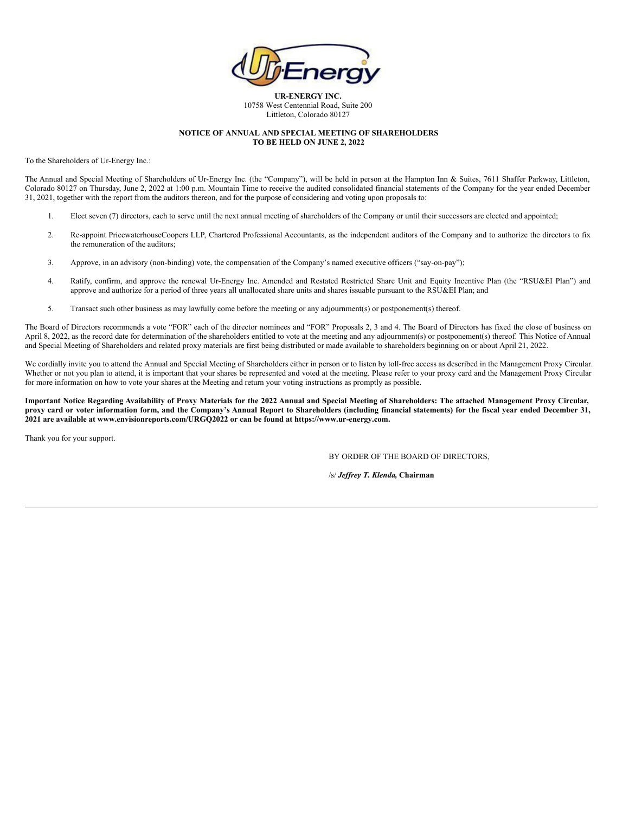

**UR-ENERGY INC.** 10758 West Centennial Road, Suite 200 Littleton, Colorado 80127

#### **NOTICE OF ANNUAL AND SPECIAL MEETING OF SHAREHOLDERS TO BE HELD ON JUNE 2, 2022**

To the Shareholders of Ur-Energy Inc.:

The Annual and Special Meeting of Shareholders of Ur-Energy Inc. (the "Company"), will be held in person at the Hampton Inn & Suites, 7611 Shaffer Parkway, Littleton, Colorado 80127 on Thursday, June 2, 2022 at 1:00 p.m. Mountain Time to receive the audited consolidated financial statements of the Company for the year ended December 31, 2021, together with the report from the auditors thereon, and for the purpose of considering and voting upon proposals to:

- 1. Elect seven (7) directors, each to serve until the next annual meeting of shareholders of the Company or until their successors are elected and appointed;
- 2. Re-appoint PricewaterhouseCoopers LLP, Chartered Professional Accountants, as the independent auditors of the Company and to authorize the directors to fix the remuneration of the auditors;
- 3. Approve, in an advisory (non-binding) vote, the compensation of the Company's named executive officers ("say-on-pay");
- 4. Ratify, confirm, and approve the renewal Ur-Energy Inc. Amended and Restated Restricted Share Unit and Equity Incentive Plan (the "RSU&EI Plan") and approve and authorize for a period of three years all unallocated share units and shares issuable pursuant to the RSU&EI Plan; and
- 5. Transact such other business as may lawfully come before the meeting or any adjournment(s) or postponement(s) thereof.

The Board of Directors recommends a vote "FOR" each of the director nominees and "FOR" Proposals 2, 3 and 4. The Board of Directors has fixed the close of business on April 8, 2022, as the record date for determination of the shareholders entitled to vote at the meeting and any adjournment(s) or postponement(s) thereof. This Notice of Annual and Special Meeting of Shareholders and related proxy materials are first being distributed or made available to shareholders beginning on or about April 21, 2022.

We cordially invite you to attend the Annual and Special Meeting of Shareholders either in person or to listen by toll-free access as described in the Management Proxy Circular. Whether or not you plan to attend, it is important that your shares be represented and voted at the meeting. Please refer to your proxy card and the Management Proxy Circular for more information on how to vote your shares at the Meeting and return your voting instructions as promptly as possible.

Important Notice Regarding Availability of Proxy Materials for the 2022 Annual and Special Meeting of Shareholders: The attached Management Proxy Circular, proxy card or voter information form, and the Company's Annual Report to Shareholders (including financial statements) for the fiscal year ended December 31, **2021 are available at www.envisionreports.com/URGQ2022 or can be found at https://www.ur-energy.com.**

Thank you for your support.

BY ORDER OF THE BOARD OF DIRECTORS.

/s/ *Jef rey T. Klenda,* **Chairman**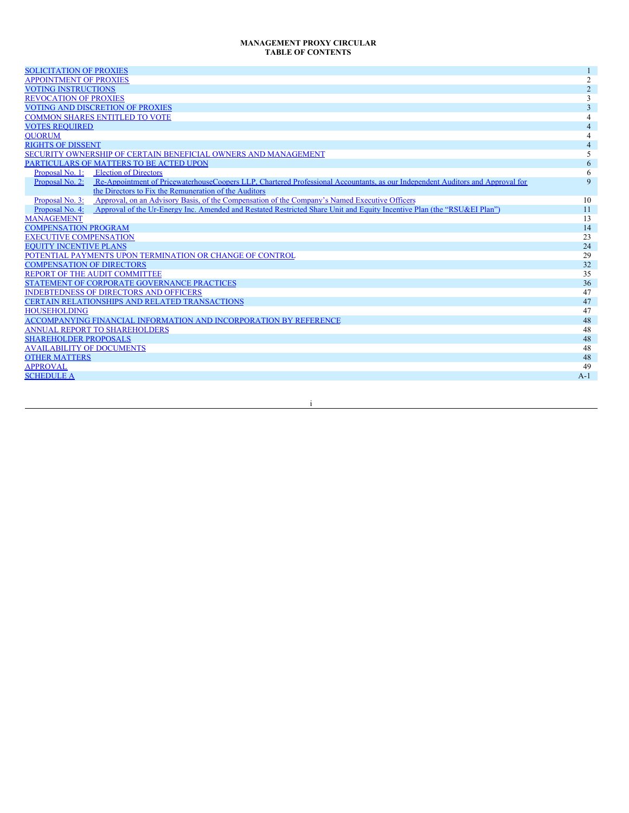## <span id="page-2-0"></span>**MANAGEMENT PROXY CIRCULAR TABLE OF CONTENTS**

| <b>SOLICITATION OF PROXIES</b>                                                                                                                    |                |
|---------------------------------------------------------------------------------------------------------------------------------------------------|----------------|
| <b>APPOINTMENT OF PROXIES</b>                                                                                                                     | $\overline{c}$ |
| <b>VOTING INSTRUCTIONS</b>                                                                                                                        | $\overline{2}$ |
| <b>REVOCATION OF PROXIES</b>                                                                                                                      | 3              |
| <b>VOTING AND DISCRETION OF PROXIES</b>                                                                                                           | 3              |
| <b>COMMON SHARES ENTITLED TO VOTE</b>                                                                                                             | 4              |
| <b>VOTES REOUIRED</b>                                                                                                                             | $\overline{4}$ |
| <b>OUORUM</b>                                                                                                                                     | 4              |
| <b>RIGHTS OF DISSENT</b>                                                                                                                          | $\overline{4}$ |
| SECURITY OWNERSHIP OF CERTAIN BENEFICIAL OWNERS AND MANAGEMENT                                                                                    | 5              |
| PARTICULARS OF MATTERS TO BE ACTED UPON                                                                                                           | 6              |
| Proposal No. 1: Election of Directors                                                                                                             | 6              |
| Re-Appointment of PricewaterhouseCoopers LLP, Chartered Professional Accountants, as our Independent Auditors and Approval for<br>Proposal No. 2: | 9              |
| the Directors to Fix the Remuneration of the Auditors                                                                                             |                |
| Approval, on an Advisory Basis, of the Compensation of the Company's Named Executive Officers<br>Proposal No. 3:                                  | 10             |
| Approval of the Ur-Energy Inc. Amended and Restated Restricted Share Unit and Equity Incentive Plan (the "RSU&EI Plan")<br>Proposal No. 4:        | 11             |
| <b>MANAGEMENT</b>                                                                                                                                 | 13             |
| <b>COMPENSATION PROGRAM</b>                                                                                                                       | 14             |
| <b>EXECUTIVE COMPENSATION</b>                                                                                                                     | 23             |
| <b>EQUITY INCENTIVE PLANS</b>                                                                                                                     | 24             |
| POTENTIAL PAYMENTS UPON TERMINATION OR CHANGE OF CONTROL                                                                                          | 29             |
| <b>COMPENSATION OF DIRECTORS</b>                                                                                                                  | 32             |
| <b>REPORT OF THE AUDIT COMMITTEE</b>                                                                                                              | 35             |
| STATEMENT OF CORPORATE GOVERNANCE PRACTICES                                                                                                       | 36             |
| <b>INDEBTEDNESS OF DIRECTORS AND OFFICERS</b>                                                                                                     | 47             |
| <b>CERTAIN RELATIONSHIPS AND RELATED TRANSACTIONS</b>                                                                                             | 47             |
| <b>HOUSEHOLDING</b>                                                                                                                               | 47             |
| ACCOMPANYING FINANCIAL INFORMATION AND INCORPORATION BY REFERENCE                                                                                 | 48             |
| <b>ANNUAL REPORT TO SHAREHOLDERS</b>                                                                                                              | 48             |
| <b>SHAREHOLDER PROPOSALS</b>                                                                                                                      | 48             |
| <b>AVAILABILITY OF DOCUMENTS</b>                                                                                                                  | 48             |
| <b>OTHER MATTERS</b>                                                                                                                              | 48             |
| <b>APPROVAL</b>                                                                                                                                   | 49             |
| <b>SCHEDULE A</b>                                                                                                                                 | $A-1$          |
|                                                                                                                                                   |                |

i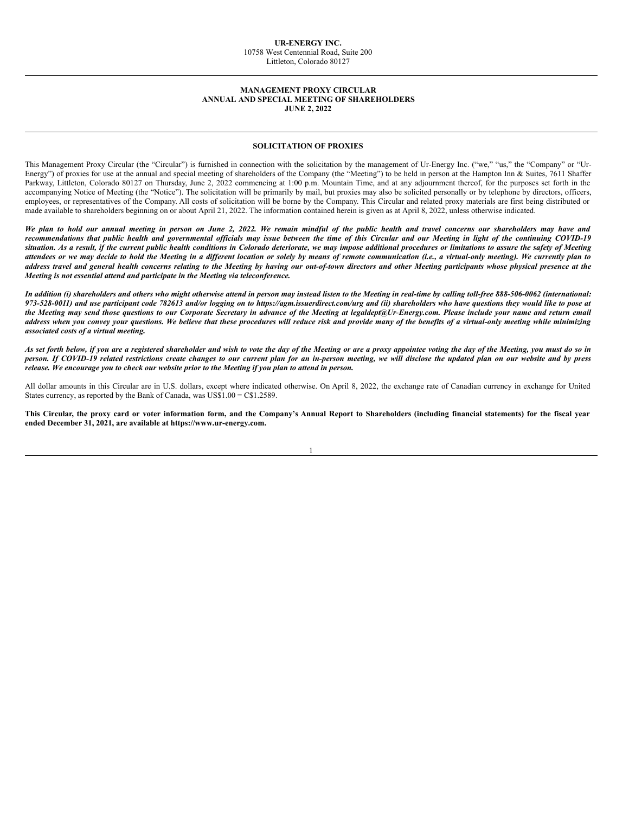## **UR-ENERGY INC.** 10758 West Centennial Road, Suite 200 Littleton, Colorado 80127

## **MANAGEMENT PROXY CIRCULAR ANNUAL AND SPECIAL MEETING OF SHAREHOLDERS JUNE 2, 2022**

#### <span id="page-3-0"></span>**SOLICITATION OF PROXIES**

This Management Proxy Circular (the "Circular") is furnished in connection with the solicitation by the management of Ur-Energy Inc. ("we," "us," the "Company" or "Ur-Energy") of proxies for use at the annual and special meeting of shareholders of the Company (the "Meeting") to be held in person at the Hampton Inn & Suites, 7611 Shaffer Parkway, Littleton, Colorado 80127 on Thursday, June 2, 2022 commencing at 1:00 p.m. Mountain Time, and at any adjournment thereof, for the purposes set forth in the accompanying Notice of Meeting (the "Notice"). The solicitation will be primarily by mail, but proxies may also be solicited personally or by telephone by directors, officers, employees, or representatives of the Company. All costs of solicitation will be borne by the Company. This Circular and related proxy materials are first being distributed or made available to shareholders beginning on or about April 21, 2022. The information contained herein is given as at April 8, 2022, unless otherwise indicated.

We plan to hold our annual meeting in person on June 2, 2022. We remain mindful of the public health and travel concerns our shareholders may have and recommendations that public health and governmental officials may issue between the time of this Circular and our Meeting in light of the continuing COVID-19 situation. As a result, if the current public health conditions in Colorado deteriorate, we may impose additional procedures or limitations to assure the safety of Meeting attendees or we may decide to hold the Meeting in a different location or solely by means of remote communication (i.e., a virtual-only meeting). We currently plan to address travel and general health concerns relating to the Meeting by having our out-of-town directors and other Meeting participants whose physical presence at the *Meeting is not essential attend and participate in the Meeting via teleconference.*

In addition (i) shareholders and others who might otherwise attend in person may instead listen to the Meeting in real-time by calling toll-free 888-506-0062 (international: 973-528-0011) and use participant code 782613 and/or logging on to https://agm.issuerdirect.com/urg and (ii) shareholders who have questions they would like to pose at the Meeting may send those questions to our Corporate Secretary in advance of the Meeting at legaldept@Ur-Energy.com. Please include your name and return email address when you convey your questions. We believe that these procedures will reduce risk and provide many of the benefits of a virtual-only meeting while minimizing *associated costs of a virtual meeting.*

As set forth below, if you are a registered shareholder and wish to vote the day of the Meeting or are a proxy appointee voting the day of the Meeting, you must do so in person. If COVID-19 related restrictions create changes to our current plan for an in-person meeting, we will disclose the updated plan on our website and by press release. We encourage you to check our website prior to the Meeting if you plan to attend in person.

All dollar amounts in this Circular are in U.S. dollars, except where indicated otherwise. On April 8, 2022, the exchange rate of Canadian currency in exchange for United States currency, as reported by the Bank of Canada, was US\$1.00 = C\$1.2589.

This Circular, the proxy card or voter information form, and the Company's Annual Report to Shareholders (including financial statements) for the fiscal year **ended December 31, 2021, are available at https://www.ur-energy.com.**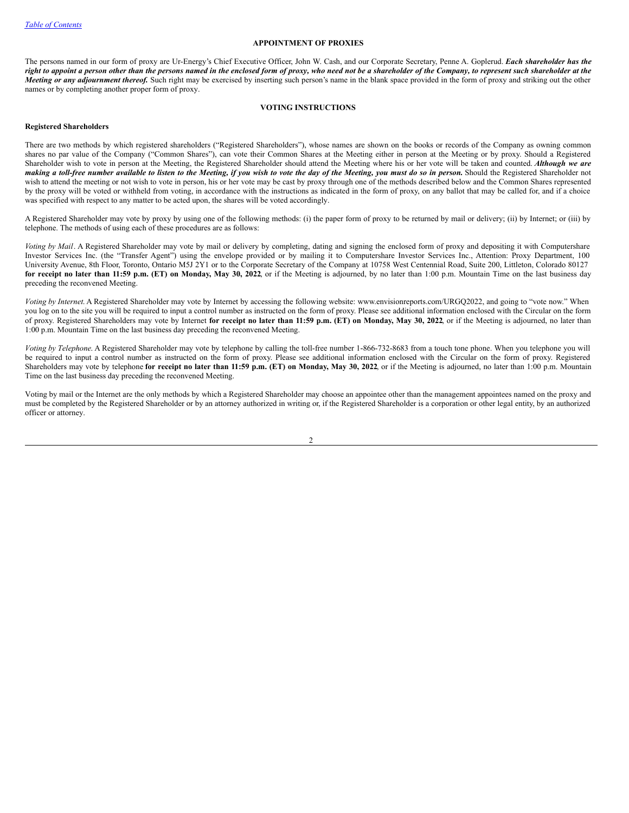#### <span id="page-4-0"></span>**APPOINTMENT OF PROXIES**

The persons named in our form of proxy are Ur-Energy's Chief Executive Officer, John W. Cash, and our Corporate Secretary, Penne A. Goplerud. *Each shareholder has the* right to appoint a person other than the persons named in the enclosed form of proxy, who need not be a shareholder of the Company, to represent such shareholder at the *Meeting or any adjournment thereof.* Such right may be exercised by inserting such person's name in the blank space provided in the form of proxy and striking out the other names or by completing another proper form of proxy.

## <span id="page-4-1"></span>**VOTING INSTRUCTIONS**

#### **Registered Shareholders**

There are two methods by which registered shareholders ("Registered Shareholders"), whose names are shown on the books or records of the Company as owning common shares no par value of the Company ("Common Shares"), can vote their Common Shares at the Meeting either in person at the Meeting or by proxy. Should a Registered Shareholder wish to vote in person at the Meeting, the Registered Shareholder should attend the Meeting where his or her vote will be taken and counted. *Although we are* making a toll-free number available to listen to the Meeting, if you wish to vote the day of the Meeting, you must do so in person. Should the Registered Shareholder not wish to attend the meeting or not wish to vote in person, his or her vote may be cast by proxy through one of the methods described below and the Common Shares represented by the proxy will be voted or withheld from voting, in accordance with the instructions as indicated in the form of proxy, on any ballot that may be called for, and if a choice was specified with respect to any matter to be acted upon, the shares will be voted accordingly.

A Registered Shareholder may vote by proxy by using one of the following methods: (i) the paper form of proxy to be returned by mail or delivery; (ii) by Internet; or (iii) by telephone. The methods of using each of these procedures are as follows:

*Voting by Mail*. A Registered Shareholder may vote by mail or delivery by completing, dating and signing the enclosed form of proxy and depositing it with Computershare Investor Services Inc. (the "Transfer Agent") using the envelope provided or by mailing it to Computershare Investor Services Inc., Attention: Proxy Department, 100 University Avenue, 8th Floor, Toronto, Ontario M5J 2Y1 or to the Corporate Secretary of the Company at 10758 West Centennial Road, Suite 200, Littleton, Colorado 80127 for receipt no later than 11:59 p.m. (ET) on Monday, May 30, 2022, or if the Meeting is adjourned, by no later than 1:00 p.m. Mountain Time on the last business day preceding the reconvened Meeting.

*Voting by Internet*. A Registered Shareholder may vote by Internet by accessing the following website: www.envisionreports.com/URGQ2022, and going to "vote now." When you log on to the site you will be required to input a control number as instructed on the form of proxy. Please see additional information enclosed with the Circular on the form of proxy. Registered Shareholders may vote by Internet for receipt no later than 11:59 p.m. (ET) on Monday, May 30, 2022, or if the Meeting is adjourned, no later than 1:00 p.m. Mountain Time on the last business day preceding the reconvened Meeting.

*Voting by Telephone*. A Registered Shareholder may vote by telephone by calling the toll-free number 1‑866-732-8683 from a touch tone phone. When you telephone you will be required to input a control number as instructed on the form of proxy. Please see additional information enclosed with the Circular on the form of proxy. Registered Shareholders may vote by telephone for receipt no later than 11:59 p.m. (ET) on Monday, May 30, 2022, or if the Meeting is adjourned, no later than 1:00 p.m. Mountain Time on the last business day preceding the reconvened Meeting.

Voting by mail or the Internet are the only methods by which a Registered Shareholder may choose an appointee other than the management appointees named on the proxy and must be completed by the Registered Shareholder or by an attorney authorized in writing or, if the Registered Shareholder is a corporation or other legal entity, by an authorized officer or attorney.

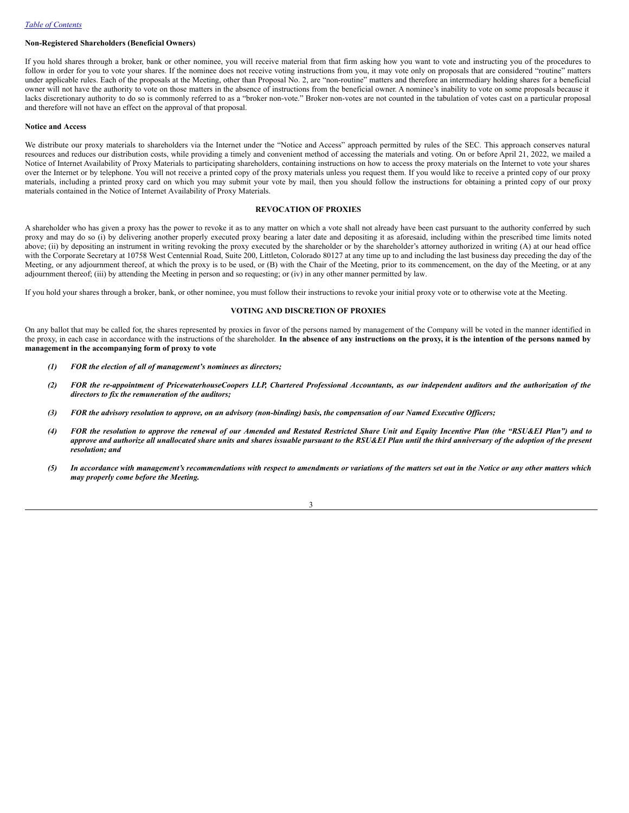## **Non-Registered Shareholders (Beneficial Owners)**

If you hold shares through a broker, bank or other nominee, you will receive material from that firm asking how you want to vote and instructing you of the procedures to follow in order for you to vote your shares. If the nominee does not receive voting instructions from you, it may vote only on proposals that are considered "routine" matters under applicable rules. Each of the proposals at the Meeting, other than Proposal No. 2, are "non-routine" matters and therefore an intermediary holding shares for a beneficial owner will not have the authority to vote on those matters in the absence of instructions from the beneficial owner. A nominee's inability to vote on some proposals because it lacks discretionary authority to do so is commonly referred to as a "broker non-vote." Broker non-votes are not counted in the tabulation of votes cast on a particular proposal and therefore will not have an effect on the approval of that proposal.

#### **Notice and Access**

We distribute our proxy materials to shareholders via the Internet under the "Notice and Access" approach permitted by rules of the SEC. This approach conserves natural resources and reduces our distribution costs, while providing a timely and convenient method of accessing the materials and voting. On or before April 21, 2022, we mailed a Notice of Internet Availability of Proxy Materials to participating shareholders, containing instructions on how to access the proxy materials on the Internet to vote your shares over the Internet or by telephone. You will not receive a printed copy of the proxy materials unless you request them. If you would like to receive a printed copy of our proxy materials, including a printed proxy card on which you may submit your vote by mail, then you should follow the instructions for obtaining a printed copy of our proxy materials contained in the Notice of Internet Availability of Proxy Materials.

## <span id="page-5-0"></span>**REVOCATION OF PROXIES**

A shareholder who has given a proxy has the power to revoke it as to any matter on which a vote shall not already have been cast pursuant to the authority conferred by such proxy and may do so (i) by delivering another properly executed proxy bearing a later date and depositing it as aforesaid, including within the prescribed time limits noted above; (ii) by depositing an instrument in writing revoking the proxy executed by the shareholder or by the shareholder's attorney authorized in writing (A) at our head office with the Corporate Secretary at 10758 West Centennial Road, Suite 200, Littleton, Colorado 80127 at any time up to and including the last business day preceding the day of the Meeting, or any adjournment thereof, at which the proxy is to be used, or (B) with the Chair of the Meeting, prior to its commencement, on the day of the Meeting, or at any adjournment thereof; (iii) by attending the Meeting in person and so requesting; or (iv) in any other manner permitted by law.

If you hold your shares through a broker, bank, or other nominee, you must follow their instructions to revoke your initial proxy vote or to otherwise vote at the Meeting.

## <span id="page-5-1"></span>**VOTING AND DISCRETION OF PROXIES**

On any ballot that may be called for, the shares represented by proxies in favor of the persons named by management of the Company will be voted in the manner identified in the proxy, in each case in accordance with the instructions of the shareholder. In the absence of any instructions on the proxy, it is the intention of the persons named by **management in the accompanying form of proxy to vote**

- *(1) FOR the election of all of management's nominees as directors;*
- (2) FOR the re-appointment of PricewaterhouseCoopers LLP, Chartered Professional Accountants, as our independent auditors and the authorization of the *directors to fix the remuneration of the auditors;*
- (3) FOR the advisory resolution to approve, on an advisory (non-binding) basis, the compensation of our Named Executive Officers;
- (4) FOR the resolution to approve the renewal of our Amended and Restated Restricted Share Unit and Equity Incentive Plan (the "RSU&EI Plan") and to approve and authorize all unallocated share units and shares issuable pursuant to the RSU&EI Plan until the third anniversary of the adoption of the present *resolution; and*
- (5) In accordance with management's recommendations with respect to amendments or variations of the matters set out in the Notice or any other matters which *may properly come before the Meeting.*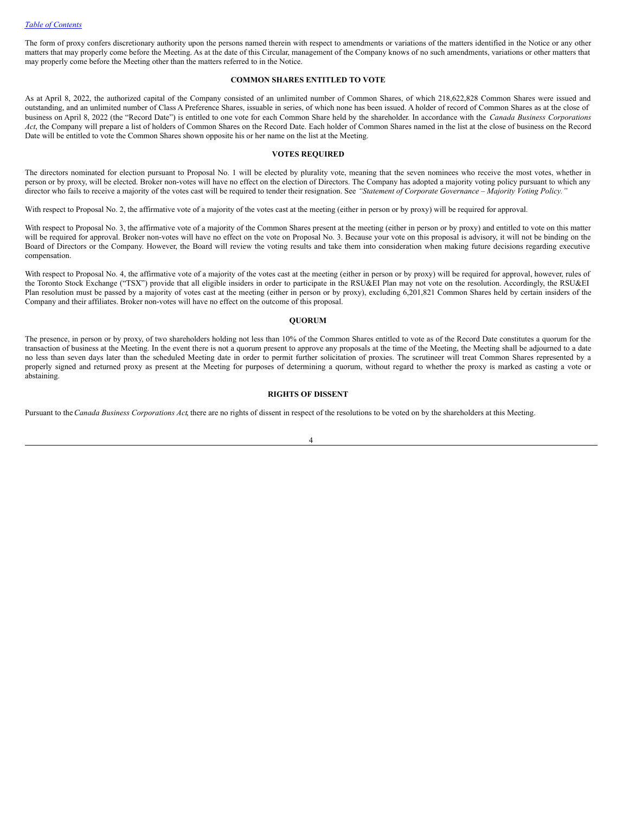The form of proxy confers discretionary authority upon the persons named therein with respect to amendments or variations of the matters identified in the Notice or any other matters that may properly come before the Meeting. As at the date of this Circular, management of the Company knows of no such amendments, variations or other matters that may properly come before the Meeting other than the matters referred to in the Notice.

## <span id="page-6-0"></span>**COMMON SHARES ENTITLED TO VOTE**

As at April 8, 2022, the authorized capital of the Company consisted of an unlimited number of Common Shares, of which 218,622,828 Common Shares were issued and outstanding, and an unlimited number of Class A Preference Shares, issuable in series, of which none has been issued. A holder of record of Common Shares as at the close of business on April 8, 2022 (the "Record Date") is entitled to one vote for each Common Share held by the shareholder. In accordance with the *Canada Business Corporations Act*, the Company will prepare a list of holders of Common Shares on the Record Date. Each holder of Common Shares named in the list at the close of business on the Record Date will be entitled to vote the Common Shares shown opposite his or her name on the list at the Meeting.

## <span id="page-6-1"></span>**VOTES REQUIRED**

The directors nominated for election pursuant to Proposal No. 1 will be elected by plurality vote, meaning that the seven nominees who receive the most votes, whether in person or by proxy, will be elected. Broker non-votes will have no effect on the election of Directors. The Company has adopted a majority voting policy pursuant to which any director who fails to receive a majority of the votes cast will be required to tender their resignation. See "Statement of Corporate Governance - Majority Voting Policy."

With respect to Proposal No. 2, the affirmative vote of a majority of the votes cast at the meeting (either in person or by proxy) will be required for approval.

With respect to Proposal No. 3, the affirmative vote of a majority of the Common Shares present at the meeting (either in person or by proxy) and entitled to vote on this matter will be required for approval. Broker non-votes will have no effect on the vote on Proposal No. 3. Because your vote on this proposal is advisory, it will not be binding on the Board of Directors or the Company. However, the Board will review the voting results and take them into consideration when making future decisions regarding executive compensation.

With respect to Proposal No. 4, the affirmative vote of a majority of the votes cast at the meeting (either in person or by proxy) will be required for approval, however, rules of the Toronto Stock Exchange ("TSX") provide that all eligible insiders in order to participate in the RSU&EI Plan may not vote on the resolution. Accordingly, the RSU&EI Plan resolution must be passed by a majority of votes cast at the meeting (either in person or by proxy), excluding 6,201,821 Common Shares held by certain insiders of the Company and their affiliates. Broker non‑votes will have no effect on the outcome of this proposal.

## <span id="page-6-2"></span>**QUORUM**

The presence, in person or by proxy, of two shareholders holding not less than 10% of the Common Shares entitled to vote as of the Record Date constitutes a quorum for the transaction of business at the Meeting. In the event there is not a quorum present to approve any proposals at the time of the Meeting, the Meeting shall be adjourned to a date no less than seven days later than the scheduled Meeting date in order to permit further solicitation of proxies. The scrutineer will treat Common Shares represented by a properly signed and returned proxy as present at the Meeting for purposes of determining a quorum, without regard to whether the proxy is marked as casting a vote or abstaining.

#### <span id="page-6-3"></span>**RIGHTS OF DISSENT**

Pursuant to the*Canada Business Corporations Act*, there are no rights of dissent in respect of the resolutions to be voted on by the shareholders at this Meeting.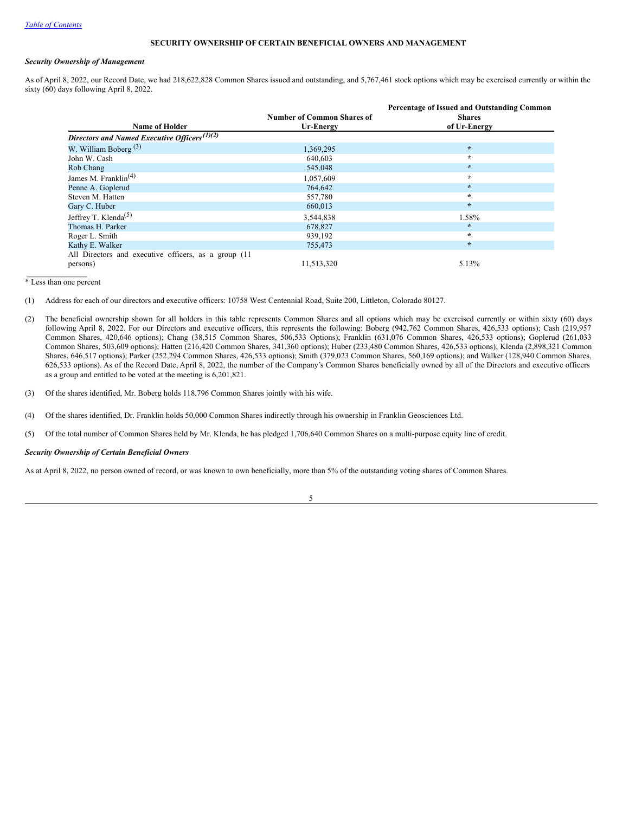## <span id="page-7-0"></span>**SECURITY OWNERSHIP OF CERTAIN BENEFICIAL OWNERS AND MANAGEMENT**

## *Security Ownership of Management*

As of April 8, 2022, our Record Date, we had 218,622,828 Common Shares issued and outstanding, and 5,767,461 stock options which may be exercised currently or within the sixty (60) days following April 8, 2022.

| Name of Holder                                                    | <b>Number of Common Shares of</b><br>Ur-Energy | Percentage of Issued and Outstanding Common<br><b>Shares</b><br>of Ur-Energy |
|-------------------------------------------------------------------|------------------------------------------------|------------------------------------------------------------------------------|
| Directors and Named Executive Officers <sup>(1)(2)</sup>          |                                                |                                                                              |
| W. William Boberg <sup>(3)</sup>                                  | 1,369,295                                      | $\star$                                                                      |
| John W. Cash                                                      | 640,603                                        | $\star$                                                                      |
| Rob Chang                                                         | 545,048                                        | $\star$                                                                      |
| James M. Franklin <sup>(4)</sup>                                  | 1,057,609                                      | $\star$                                                                      |
| Penne A. Goplerud                                                 | 764,642                                        | $\star$                                                                      |
| Steven M. Hatten                                                  | 557,780                                        | $\star$                                                                      |
| Gary C. Huber                                                     | 660,013                                        | $\star$                                                                      |
| Jeffrey T. Klenda <sup>(5)</sup>                                  | 3,544,838                                      | 1.58%                                                                        |
| Thomas H. Parker                                                  | 678,827                                        | $\star$                                                                      |
| Roger L. Smith                                                    | 939,192                                        | $\star$                                                                      |
| Kathy E. Walker                                                   | 755,473                                        | $\star$                                                                      |
| All Directors and executive officers, as a group (11)<br>persons) | 11,513,320                                     | 5.13%                                                                        |

## \* Less than one percent

- (1) Address for each of our directors and executive officers: 10758 West Centennial Road, Suite 200, Littleton, Colorado 80127.
- (2) The beneficial ownership shown for all holders in this table represents Common Shares and all options which may be exercised currently or within sixty (60) days following April 8, 2022. For our Directors and executive officers, this represents the following: Boberg (942,762 Common Shares, 426,533 options); Cash (219,957 Common Shares, 420,646 options); Chang (38,515 Common Shares, 506,533 Options); Franklin (631,076 Common Shares, 426,533 options); Goplerud (261,033 Common Shares, 503,609 options); Hatten (216,420 Common Shares, 341,360 options); Huber (233,480 Common Shares, 426,533 options); Klenda (2,898,321 Common Shares, 646,517 options); Parker (252,294 Common Shares, 426,533 options); Smith (379,023 Common Shares, 560,169 options); and Walker (128,940 Common Shares, 626,533 options). As of the Record Date, April 8, 2022, the number of the Company's Common Shares beneficially owned by all of the Directors and executive officers as a group and entitled to be voted at the meeting is 6,201,821.
- (3) Of the shares identified, Mr. Boberg holds 118,796 Common Shares jointly with his wife.
- (4) Of the shares identified, Dr. Franklin holds 50,000 Common Shares indirectly through his ownership in Franklin Geosciences Ltd.
- (5) Of the total number of Common Shares held by Mr. Klenda, he has pledged 1,706,640 Common Shares on a multi-purpose equity line of credit.

## *Security Ownership of Certain Beneficial Owners*

As at April 8, 2022, no person owned of record, or was known to own beneficially, more than 5% of the outstanding voting shares of Common Shares.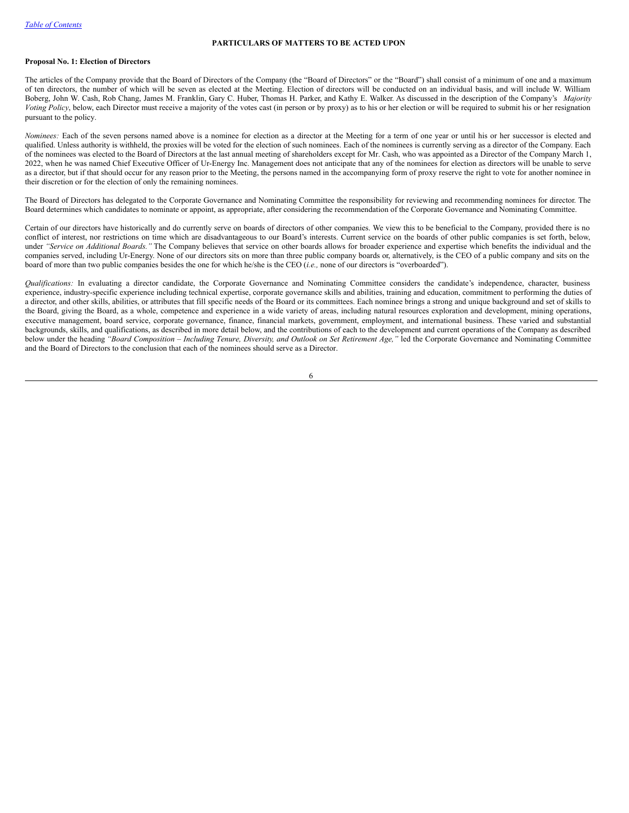## <span id="page-8-0"></span>**PARTICULARS OF MATTERS TO BE ACTED UPON**

## <span id="page-8-1"></span>**Proposal No. 1: Election of Directors**

The articles of the Company provide that the Board of Directors of the Company (the "Board of Directors" or the "Board") shall consist of a minimum of one and a maximum of ten directors, the number of which will be seven as elected at the Meeting. Election of directors will be conducted on an individual basis, and will include W. William Boberg, John W. Cash, Rob Chang, James M. Franklin, Gary C. Huber, Thomas H. Parker, and Kathy E. Walker. As discussed in the description of the Company's *Majority Voting Policy*, below, each Director must receive a majority of the votes cast (in person or by proxy) as to his or her election or will be required to submit his or her resignation pursuant to the policy.

*Nominees:* Each of the seven persons named above is a nominee for election as a director at the Meeting for a term of one year or until his or her successor is elected and qualified. Unless authority is withheld, the proxies will be voted for the election of such nominees. Each of the nominees is currently serving as a director of the Company. Each of the nominees was elected to the Board of Directors at the last annual meeting of shareholders except for Mr. Cash, who was appointed as a Director of the Company March 1, 2022, when he was named Chief Executive Officer of Ur-Energy Inc. Management does not anticipate that any of the nominees for election as directors will be unable to serve as a director, but if that should occur for any reason prior to the Meeting, the persons named in the accompanying form of proxy reserve the right to vote for another nominee in their discretion or for the election of only the remaining nominees.

The Board of Directors has delegated to the Corporate Governance and Nominating Committee the responsibility for reviewing and recommending nominees for director. The Board determines which candidates to nominate or appoint, as appropriate, after considering the recommendation of the Corporate Governance and Nominating Committee.

Certain of our directors have historically and do currently serve on boards of directors of other companies. We view this to be beneficial to the Company, provided there is no conflict of interest, nor restrictions on time which are disadvantageous to our Board's interests. Current service on the boards of other public companies is set forth, below, under *"Service on Additional Boards."* The Company believes that service on other boards allows for broader experience and expertise which benefits the individual and the companies served, including Ur-Energy. None of our directors sits on more than three public company boards or, alternatively, is the CEO of a public company and sits on the board of more than two public companies besides the one for which he/she is the CEO (*i.e.,* none of our directors is "overboarded").

*Qualifications:* In evaluating a director candidate, the Corporate Governance and Nominating Committee considers the candidate's independence, character, business experience, industry-specific experience including technical expertise, corporate governance skills and abilities, training and education, commitment to performing the duties of a director, and other skills, abilities, or attributes that fill specific needs of the Board or its committees. Each nominee brings a strong and unique background and set of skills to the Board, giving the Board, as a whole, competence and experience in a wide variety of areas, including natural resources exploration and development, mining operations, executive management, board service, corporate governance, finance, financial markets, government, employment, and international business. These varied and substantial backgrounds, skills, and qualifications, as described in more detail below, and the contributions of each to the development and current operations of the Company as described below under the heading "Board Composition - Including Tenure, Diversity, and Outlook on Set Retirement Age," led the Corporate Governance and Nominating Committee and the Board of Directors to the conclusion that each of the nominees should serve as a Director.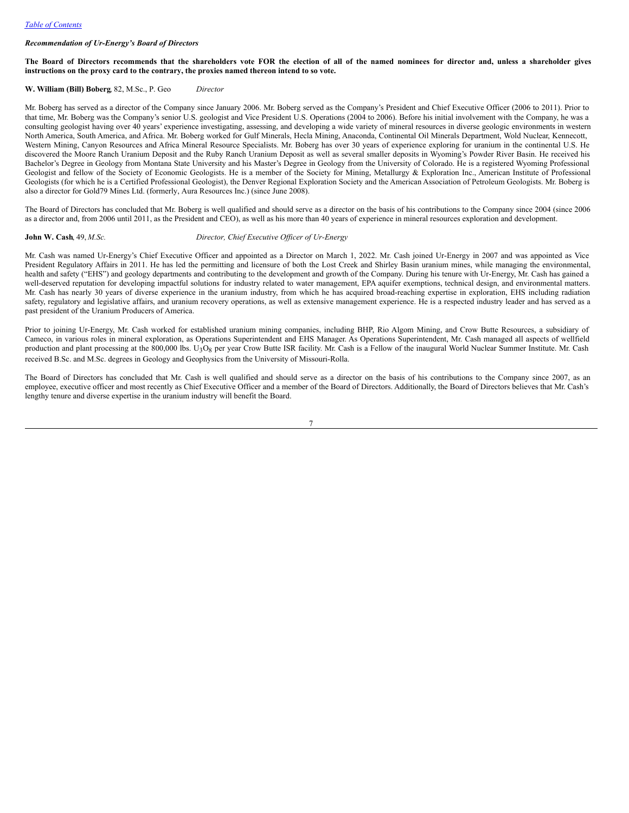## *Recommendation of Ur-Energy's Board of Directors*

## The Board of Directors recommends that the shareholders vote FOR the election of all of the named nominees for director and, unless a shareholder gives **instructions on the proxy card to the contrary, the proxies named thereon intend to so vote.**

#### **W. William (Bill) Boberg**, 82, M.Sc., P. Geo *Director*

Mr. Boberg has served as a director of the Company since January 2006. Mr. Boberg served as the Company's President and Chief Executive Officer (2006 to 2011). Prior to that time, Mr. Boberg was the Company's senior U.S. geologist and Vice President U.S. Operations (2004 to 2006). Before his initial involvement with the Company, he was a consulting geologist having over 40 years' experience investigating, assessing, and developing a wide variety of mineral resources in diverse geologic environments in western North America, South America, and Africa. Mr. Boberg worked for Gulf Minerals, Hecla Mining, Anaconda, Continental Oil Minerals Department, Wold Nuclear, Kennecott, Western Mining, Canyon Resources and Africa Mineral Resource Specialists. Mr. Boberg has over 30 years of experience exploring for uranium in the continental U.S. He discovered the Moore Ranch Uranium Deposit and the Ruby Ranch Uranium Deposit as well as several smaller deposits in Wyoming's Powder River Basin. He received his Bachelor's Degree in Geology from Montana State University and his Master's Degree in Geology from the University of Colorado. He is a registered Wyoming Professional Geologist and fellow of the Society of Economic Geologists. He is a member of the Society for Mining, Metallurgy & Exploration Inc., American Institute of Professional Geologists (for which he is a Certified Professional Geologist), the Denver Regional Exploration Society and the American Association of Petroleum Geologists. Mr. Boberg is also a director for Gold79 Mines Ltd. (formerly, Aura Resources Inc.) (since June 2008).

The Board of Directors has concluded that Mr. Boberg is well qualified and should serve as a director on the basis of his contributions to the Company since 2004 (since 2006 as a director and, from 2006 until 2011, as the President and CEO), as well as his more than 40 years of experience in mineral resources exploration and development.

## **John W. Cash**, 49, *M.Sc. Director, Chief Executive Of icer of Ur-Energy*

Mr. Cash was named Ur-Energy's Chief Executive Officer and appointed as a Director on March 1, 2022. Mr. Cash joined Ur-Energy in 2007 and was appointed as Vice President Regulatory Affairs in 2011. He has led the permitting and licensure of both the Lost Creek and Shirley Basin uranium mines, while managing the environmental, health and safety ("EHS") and geology departments and contributing to the development and growth of the Company. During his tenure with Ur-Energy, Mr. Cash has gained a well-deserved reputation for developing impactful solutions for industry related to water management, EPA aquifer exemptions, technical design, and environmental matters. Mr. Cash has nearly 30 years of diverse experience in the uranium industry, from which he has acquired broad-reaching expertise in exploration, EHS including radiation safety, regulatory and legislative affairs, and uranium recovery operations, as well as extensive management experience. He is a respected industry leader and has served as a past president of the Uranium Producers of America.

Prior to joining Ur-Energy, Mr. Cash worked for established uranium mining companies, including BHP, Rio Algom Mining, and Crow Butte Resources, a subsidiary of Cameco, in various roles in mineral exploration, as Operations Superintendent and EHS Manager. As Operations Superintendent, Mr. Cash managed all aspects of wellfield production and plant processing at the 800,000 lbs. U<sub>3</sub>O<sub>8</sub> per year Crow Butte ISR facility. Mr. Cash is a Fellow of the inaugural World Nuclear Summer Institute. Mr. Cash received B.Sc. and M.Sc. degrees in Geology and Geophysics from the University of Missouri-Rolla.

The Board of Directors has concluded that Mr. Cash is well qualified and should serve as a director on the basis of his contributions to the Company since 2007, as an employee, executive officer and most recently as Chief Executive Officer and a member of the Board of Directors. Additionally, the Board of Directors believes that Mr. Cash's lengthy tenure and diverse expertise in the uranium industry will benefit the Board.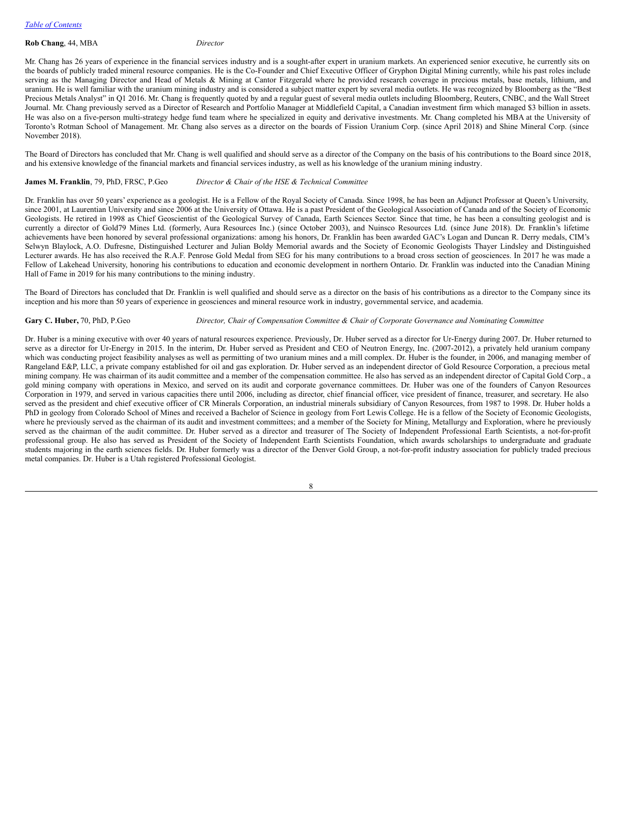*Table of [Contents](#page-2-0)*

## **Rob Chang**, 44, MBA *Director*

Mr. Chang has 26 years of experience in the financial services industry and is a sought-after expert in uranium markets. An experienced senior executive, he currently sits on the boards of publicly traded mineral resource companies. He is the Co-Founder and Chief Executive Officer of Gryphon Digital Mining currently, while his past roles include serving as the Managing Director and Head of Metals & Mining at Cantor Fitzgerald where he provided research coverage in precious metals, base metals, lithium, and uranium. He is well familiar with the uranium mining industry and is considered a subject matter expert by several media outlets. He was recognized by Bloomberg as the "Best Precious Metals Analyst" in Q1 2016. Mr. Chang is frequently quoted by and a regular guest of several media outlets including Bloomberg, Reuters, CNBC, and the Wall Street Journal. Mr. Chang previously served as a Director of Research and Portfolio Manager at Middlefield Capital, a Canadian investment firm which managed \$3 billion in assets. He was also on a five-person multi-strategy hedge fund team where he specialized in equity and derivative investments. Mr. Chang completed his MBA at the University of Toronto's Rotman School of Management. Mr. Chang also serves as a director on the boards of Fission Uranium Corp. (since April 2018) and Shine Mineral Corp. (since November 2018).

The Board of Directors has concluded that Mr. Chang is well qualified and should serve as a director of the Company on the basis of his contributions to the Board since 2018, and his extensive knowledge of the financial markets and financial services industry, as well as his knowledge of the uranium mining industry.

## **James M. Franklin**, 79, PhD, FRSC, P.Geo *Director & Chair of the HSE & Technical Committee*

Dr. Franklin has over 50 years' experience as a geologist. He is a Fellow of the Royal Society of Canada. Since 1998, he has been an Adjunct Professor at Queen's University, since 2001, at Laurentian University and since 2006 at the University of Ottawa. He is a past President of the Geological Association of Canada and of the Society of Economic Geologists. He retired in 1998 as Chief Geoscientist of the Geological Survey of Canada, Earth Sciences Sector. Since that time, he has been a consulting geologist and is currently a director of Gold79 Mines Ltd. (formerly, Aura Resources Inc.) (since October 2003), and Nuinsco Resources Ltd. (since June 2018). Dr. Franklin's lifetime achievements have been honored by several professional organizations: among his honors, Dr. Franklin has been awarded GAC's Logan and Duncan R. Derry medals, CIM's Selwyn Blaylock, A.O. Dufresne, Distinguished Lecturer and Julian Boldy Memorial awards and the Society of Economic Geologists Thayer Lindsley and Distinguished Lecturer awards. He has also received the R.A.F. Penrose Gold Medal from SEG for his many contributions to a broad cross section of geosciences. In 2017 he was made a Fellow of Lakehead University, honoring his contributions to education and economic development in northern Ontario. Dr. Franklin was inducted into the Canadian Mining Hall of Fame in 2019 for his many contributions to the mining industry.

The Board of Directors has concluded that Dr. Franklin is well qualified and should serve as a director on the basis of his contributions as a director to the Company since its inception and his more than 50 years of experience in geosciences and mineral resource work in industry, governmental service, and academia.

### Gary C. Huber, 70, PhD, P.Geo Director, Chair of Compensation Committee & Chair of Corporate Governance and Nominating Committee

Dr. Huber is a mining executive with over 40 years of natural resources experience. Previously, Dr. Huber served as a director for Ur-Energy during 2007. Dr. Huber returned to serve as a director for Ur-Energy in 2015. In the interim, Dr. Huber served as President and CEO of Neutron Energy, Inc. (2007-2012), a privately held uranium company which was conducting project feasibility analyses as well as permitting of two uranium mines and a mill complex. Dr. Huber is the founder, in 2006, and managing member of Rangeland E&P, LLC, a private company established for oil and gas exploration. Dr. Huber served as an independent director of Gold Resource Corporation, a precious metal mining company. He was chairman of its audit committee and a member of the compensation committee. He also has served as an independent director of Capital Gold Corp., a gold mining company with operations in Mexico, and served on its audit and corporate governance committees. Dr. Huber was one of the founders of Canyon Resources Corporation in 1979, and served in various capacities there until 2006, including as director, chief financial officer, vice president of finance, treasurer, and secretary. He also served as the president and chief executive officer of CR Minerals Corporation, an industrial minerals subsidiary of Canyon Resources, from 1987 to 1998. Dr. Huber holds a PhD in geology from Colorado School of Mines and received a Bachelor of Science in geology from Fort Lewis College. He is a fellow of the Society of Economic Geologists, where he previously served as the chairman of its audit and investment committees; and a member of the Society for Mining, Metallurgy and Exploration, where he previously served as the chairman of the audit committee. Dr. Huber served as a director and treasurer of The Society of Independent Professional Earth Scientists, a not-for-profit professional group. He also has served as President of the Society of Independent Earth Scientists Foundation, which awards scholarships to undergraduate and graduate students majoring in the earth sciences fields. Dr. Huber formerly was a director of the Denver Gold Group, a not-for-profit industry association for publicly traded precious metal companies. Dr. Huber is a Utah registered Professional Geologist.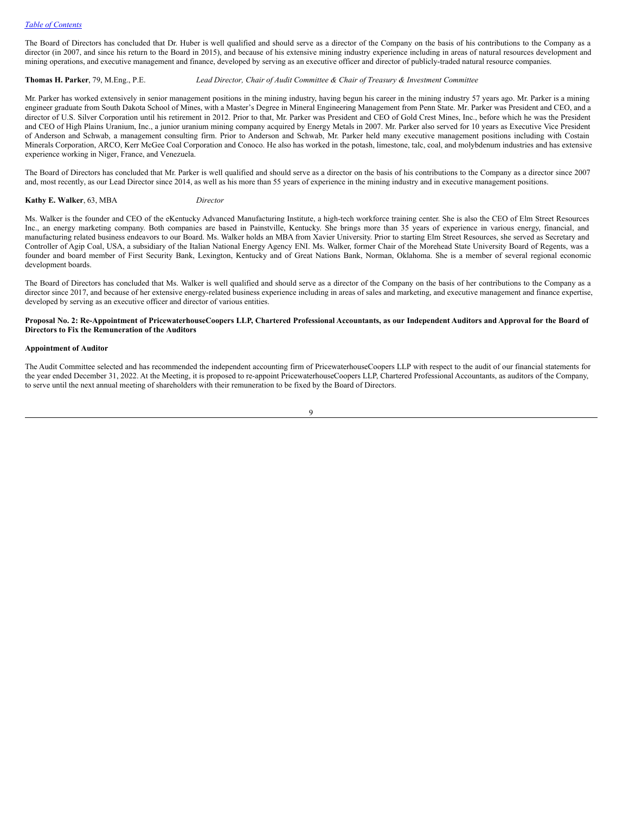The Board of Directors has concluded that Dr. Huber is well qualified and should serve as a director of the Company on the basis of his contributions to the Company as a director (in 2007, and since his return to the Board in 2015), and because of his extensive mining industry experience including in areas of natural resources development and mining operations, and executive management and finance, developed by serving as an executive officer and director of publicly-traded natural resource companies.

#### Thomas H. Parker, 79, M.Eng., P.E. Lead Director, Chair of Audit Committee & Chair of Treasury & Investment Committee

Mr. Parker has worked extensively in senior management positions in the mining industry, having begun his career in the mining industry 57 years ago. Mr. Parker is a mining engineer graduate from South Dakota School of Mines, with a Master's Degree in Mineral Engineering Management from Penn State. Mr. Parker was President and CEO, and a director of U.S. Silver Corporation until his retirement in 2012. Prior to that, Mr. Parker was President and CEO of Gold Crest Mines, Inc., before which he was the President and CEO of High Plains Uranium, Inc., a junior uranium mining company acquired by Energy Metals in 2007. Mr. Parker also served for 10 years as Executive Vice President of Anderson and Schwab, a management consulting firm. Prior to Anderson and Schwab, Mr. Parker held many executive management positions including with Costain Minerals Corporation, ARCO, Kerr McGee Coal Corporation and Conoco. He also has worked in the potash, limestone, talc, coal, and molybdenum industries and has extensive experience working in Niger, France, and Venezuela.

The Board of Directors has concluded that Mr. Parker is well qualified and should serve as a director on the basis of his contributions to the Company as a director since 2007 and, most recently, as our Lead Director since 2014, as well as his more than 55 years of experience in the mining industry and in executive management positions.

#### **Kathy E. Walker**, 63, MBA *Director*

Ms. Walker is the founder and CEO of the eKentucky Advanced Manufacturing Institute, a high-tech workforce training center. She is also the CEO of Elm Street Resources Inc., an energy marketing company. Both companies are based in Painstville, Kentucky. She brings more than 35 years of experience in various energy, financial, and manufacturing related business endeavors to our Board. Ms. Walker holds an MBA from Xavier University. Prior to starting Elm Street Resources, she served as Secretary and Controller of Agip Coal, USA, a subsidiary of the Italian National Energy Agency ENI. Ms. Walker, former Chair of the Morehead State University Board of Regents, was a founder and board member of First Security Bank, Lexington, Kentucky and of Great Nations Bank, Norman, Oklahoma. She is a member of several regional economic development boards.

The Board of Directors has concluded that Ms. Walker is well qualified and should serve as a director of the Company on the basis of her contributions to the Company as a director since 2017, and because of her extensive energy-related business experience including in areas of sales and marketing, and executive management and finance expertise, developed by serving as an executive officer and director of various entities.

## <span id="page-11-0"></span>Proposal No. 2: Re-Appointment of PricewaterhouseCoopers LLP, Chartered Professional Accountants, as our Independent Auditors and Approval for the Board of **Directors to Fix the Remuneration of the Auditors**

#### **Appointment of Auditor**

The Audit Committee selected and has recommended the independent accounting firm of PricewaterhouseCoopers LLP with respect to the audit of our financial statements for the year ended December 31, 2022. At the Meeting, it is proposed to re-appoint PricewaterhouseCoopers LLP, Chartered Professional Accountants, as auditors of the Company, to serve until the next annual meeting of shareholders with their remuneration to be fixed by the Board of Directors.

 $\mathbf Q$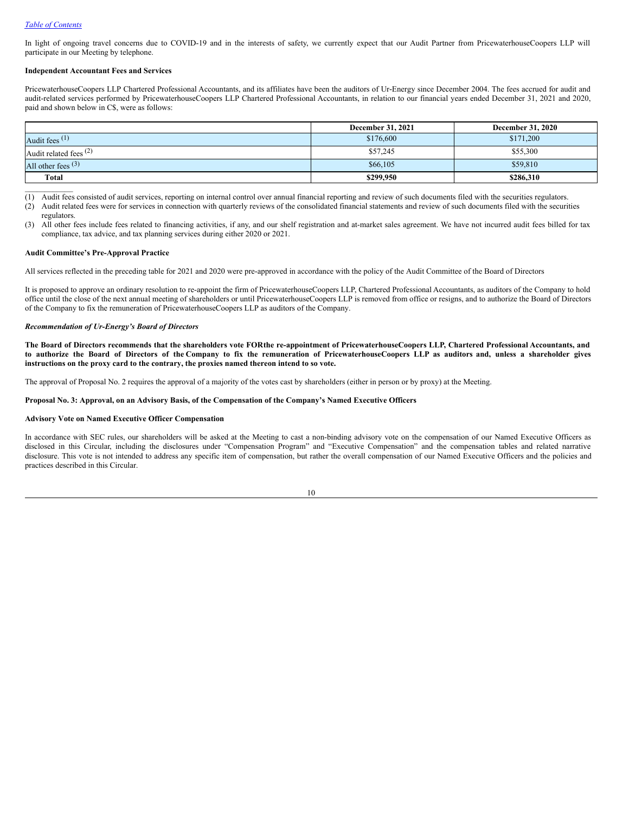$\mathcal{L}=\mathcal{L}^{\mathcal{L}}$ 

In light of ongoing travel concerns due to COVID-19 and in the interests of safety, we currently expect that our Audit Partner from PricewaterhouseCoopers LLP will participate in our Meeting by telephone.

## **Independent Accountant Fees and Services**

PricewaterhouseCoopers LLP Chartered Professional Accountants, and its affiliates have been the auditors of Ur-Energy since December 2004. The fees accrued for audit and audit-related services performed by PricewaterhouseCoopers LLP Chartered Professional Accountants, in relation to our financial years ended December 31, 2021 and 2020, paid and shown below in C\$, were as follows:

|                          | December 31, 2021 | <b>December 31, 2020</b> |
|--------------------------|-------------------|--------------------------|
| Audit fees $(1)$         | \$176,600         | \$171,200                |
| Audit related fees $(2)$ | \$57,245          | \$55,300                 |
| All other fees $(3)$     | \$66,105          | \$59,810                 |
| <b>Total</b>             | \$299,950         | \$286,310                |

- (1) Audit fees consisted of audit services, reporting on internal control over annual financial reporting and review of such documents filed with the securities regulators. (2) Audit related fees were for services in connection with quarterly reviews of the consolidated financial statements and review of such documents filed with the securities
- regulators. (3) All other fees include fees related to financing activities, if any, and our shelf registration and at-market sales agreement. We have not incurred audit fees billed for tax compliance, tax advice, and tax planning services during either 2020 or 2021.

## **Audit Committee's Pre-Approval Practice**

All services reflected in the preceding table for 2021 and 2020 were pre-approved in accordance with the policy of the Audit Committee of the Board of Directors

It is proposed to approve an ordinary resolution to re-appoint the firm of PricewaterhouseCoopers LLP, Chartered Professional Accountants, as auditors of the Company to hold office until the close of the next annual meeting of shareholders or until PricewaterhouseCoopers LLP is removed from office or resigns, and to authorize the Board of Directors of the Company to fix the remuneration of PricewaterhouseCoopers LLP as auditors of the Company.

#### *Recommendation of Ur-Energy's Board of Directors*

The Board of Directors recommends that the shareholders vote FORthe re-appointment of PricewaterhouseCoopers LLP, Chartered Professional Accountants, and to authorize the Board of Directors of the Company to fix the remuneration of PricewaterhouseCoopers LLP as auditors and, unless a shareholder gives **instructions on the proxy card to the contrary, the proxies named thereon intend to so vote.**

The approval of Proposal No. 2 requires the approval of a majority of the votes cast by shareholders (either in person or by proxy) at the Meeting.

## <span id="page-12-0"></span>Proposal No. 3: Approval, on an Advisory Basis, of the Compensation of the Company's Named Executive Officers

#### **Advisory Vote on Named Executive Officer Compensation**

In accordance with SEC rules, our shareholders will be asked at the Meeting to cast a non-binding advisory vote on the compensation of our Named Executive Officers as disclosed in this Circular, including the disclosures under "Compensation Program" and "Executive Compensation" and the compensation tables and related narrative disclosure. This vote is not intended to address any specific item of compensation, but rather the overall compensation of our Named Executive Officers and the policies and practices described in this Circular.

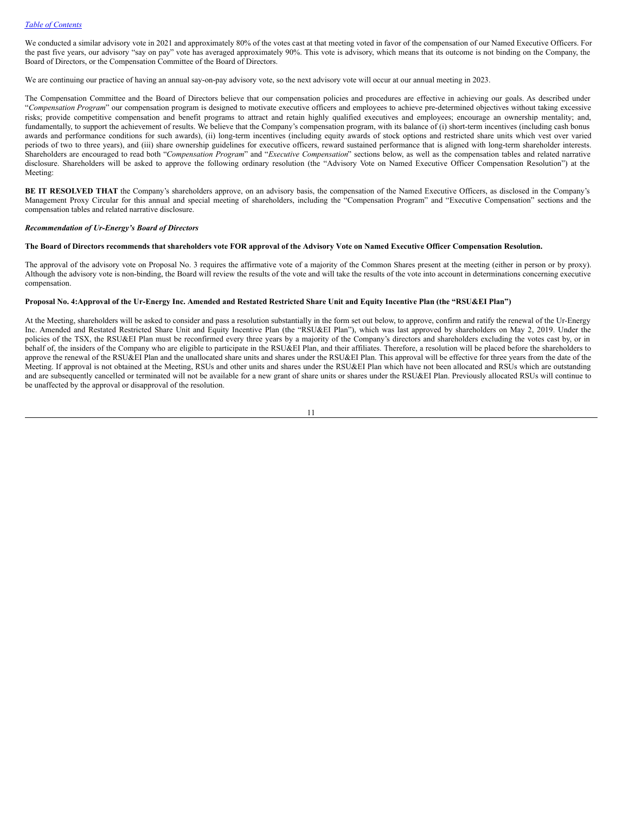We conducted a similar advisory vote in 2021 and approximately 80% of the votes cast at that meeting voted in favor of the compensation of our Named Executive Officers. For the past five years, our advisory "say on pay" vote has averaged approximately 90%. This vote is advisory, which means that its outcome is not binding on the Company, the Board of Directors, or the Compensation Committee of the Board of Directors.

We are continuing our practice of having an annual say-on-pay advisory vote, so the next advisory vote will occur at our annual meeting in 2023.

The Compensation Committee and the Board of Directors believe that our compensation policies and procedures are effective in achieving our goals. As described under "*Compensation Program*" our compensation program is designed to motivate executive officers and employees to achieve pre-determined objectives without taking excessive risks; provide competitive compensation and benefit programs to attract and retain highly qualified executives and employees; encourage an ownership mentality; and, fundamentally, to support the achievement of results. We believe that the Company's compensation program, with its balance of (i) short-term incentives (including cash bonus awards and performance conditions for such awards), (ii) long-term incentives (including equity awards of stock options and restricted share units which vest over varied periods of two to three years), and (iii) share ownership guidelines for executive officers, reward sustained performance that is aligned with long-term shareholder interests. Shareholders are encouraged to read both "*Compensation Program*" and "*Executive Compensation*" sections below, as well as the compensation tables and related narrative disclosure. Shareholders will be asked to approve the following ordinary resolution (the "Advisory Vote on Named Executive Officer Compensation Resolution") at the Meeting:

**BE IT RESOLVED THAT** the Company's shareholders approve, on an advisory basis, the compensation of the Named Executive Officers, as disclosed in the Company's Management Proxy Circular for this annual and special meeting of shareholders, including the "Compensation Program" and "Executive Compensation" sections and the compensation tables and related narrative disclosure.

## *Recommendation of Ur-Energy's Board of Directors*

## The Board of Directors recommends that shareholders vote FOR approval of the Advisory Vote on Named Executive Officer Compensation Resolution.

The approval of the advisory vote on Proposal No. 3 requires the affirmative vote of a majority of the Common Shares present at the meeting (either in person or by proxy). Although the advisory vote is non-binding, the Board will review the results of the vote and will take the results of the vote into account in determinations concerning executive compensation.

## <span id="page-13-0"></span>Proposal No. 4: Approval of the Ur-Energy Inc. Amended and Restated Restricted Share Unit and Equity Incentive Plan (the "RSU&EI Plan")

At the Meeting, shareholders will be asked to consider and pass a resolution substantially in the form set out below, to approve, confirm and ratify the renewal of the Ur-Energy Inc. Amended and Restated Restricted Share Unit and Equity Incentive Plan (the "RSU&EI Plan"), which was last approved by shareholders on May 2, 2019. Under the policies of the TSX, the RSU&EI Plan must be reconfirmed every three years by a majority of the Company's directors and shareholders excluding the votes cast by, or in behalf of, the insiders of the Company who are eligible to participate in the RSU&EI Plan, and their affiliates. Therefore, a resolution will be placed before the shareholders to approve the renewal of the RSU&EI Plan and the unallocated share units and shares under the RSU&EI Plan. This approval will be effective for three years from the date of the Meeting. If approval is not obtained at the Meeting, RSUs and other units and shares under the RSU&EI Plan which have not been allocated and RSUs which are outstanding and are subsequently cancelled or terminated will not be available for a new grant of share units or shares under the RSU&EI Plan. Previously allocated RSUs will continue to be unaffected by the approval or disapproval of the resolution.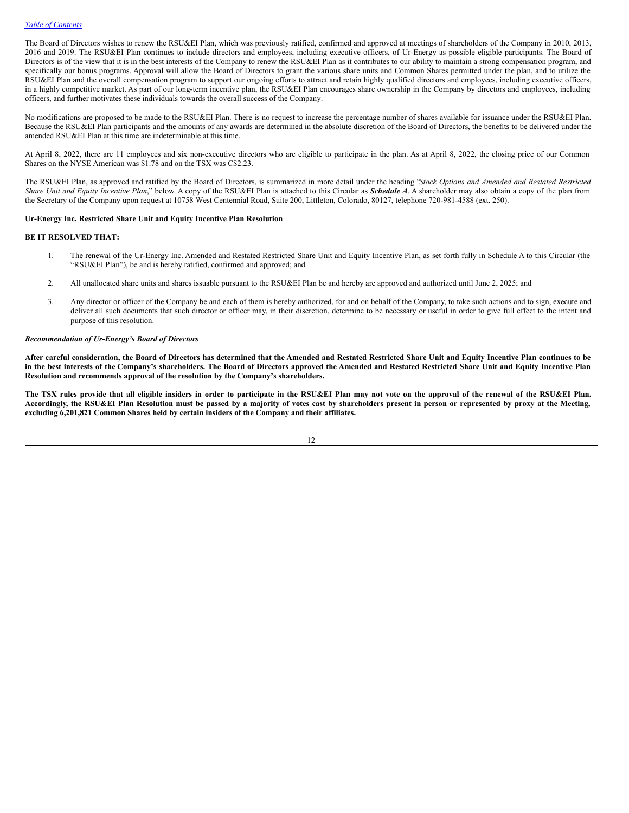The Board of Directors wishes to renew the RSU&EI Plan, which was previously ratified, confirmed and approved at meetings of shareholders of the Company in 2010, 2013, 2016 and 2019. The RSU&EI Plan continues to include directors and employees, including executive officers, of Ur-Energy as possible eligible participants. The Board of Directors is of the view that it is in the best interests of the Company to renew the RSU&EI Plan as it contributes to our ability to maintain a strong compensation program, and specifically our bonus programs. Approval will allow the Board of Directors to grant the various share units and Common Shares permitted under the plan, and to utilize the RSU&EI Plan and the overall compensation program to support our ongoing efforts to attract and retain highly qualified directors and employees, including executive officers, in a highly competitive market. As part of our long-term incentive plan, the RSU&EI Plan encourages share ownership in the Company by directors and employees, including officers, and further motivates these individuals towards the overall success of the Company.

No modifications are proposed to be made to the RSU&EI Plan. There is no request to increase the percentage number of shares available for issuance under the RSU&EI Plan. Because the RSU&EI Plan participants and the amounts of any awards are determined in the absolute discretion of the Board of Directors, the benefits to be delivered under the amended RSU&EI Plan at this time are indeterminable at this time.

At April 8, 2022, there are 11 employees and six non-executive directors who are eligible to participate in the plan. As at April 8, 2022, the closing price of our Common Shares on the NYSE American was \$1.78 and on the TSX was C\$2.23.

The RSU&EI Plan, as approved and ratified by the Board of Directors, is summarized in more detail under the heading "*Stock Options and Amended and Restated Restricted* Share Unit and Equity Incentive Plan," below. A copy of the RSU&EI Plan is attached to this Circular as Schedule A. A shareholder may also obtain a copy of the plan from the Secretary of the Company upon request at 10758 West Centennial Road, Suite 200, Littleton, Colorado, 80127, telephone 720-981-4588 (ext. 250).

## **Ur-Energy Inc. Restricted Share Unit and Equity Incentive Plan Resolution**

## **BE IT RESOLVED THAT:**

- 1. The renewal of the Ur-Energy Inc. Amended and Restated Restricted Share Unit and Equity Incentive Plan, as set forth fully in Schedule A to this Circular (the "RSU&EI Plan"), be and is hereby ratified, confirmed and approved; and
- 2. All unallocated share units and shares issuable pursuant to the RSU&EI Plan be and hereby are approved and authorized until June 2, 2025; and
- 3. Any director or officer of the Company be and each of them is hereby authorized, for and on behalf of the Company, to take such actions and to sign, execute and deliver all such documents that such director or officer may, in their discretion, determine to be necessary or useful in order to give full effect to the intent and purpose of this resolution.

## *Recommendation of Ur-Energy's Board of Directors*

After careful consideration, the Board of Directors has determined that the Amended and Restated Restricted Share Unit and Equity Incentive Plan continues to be in the best interests of the Company's shareholders. The Board of Directors approved the Amended and Restated Restricted Share Unit and Equity Incentive Plan **Resolution and recommends approval of the resolution by the Company's shareholders.**

The TSX rules provide that all eligible insiders in order to participate in the RSU&EI Plan may not vote on the approval of the renewal of the RSU&EI Plan. Accordingly, the RSU&EI Plan Resolution must be passed by a majority of votes cast by shareholders present in person or represented by proxy at the Meeting, **excluding 6,201,821 Common Shares held by certain insiders of the Company and their affiliates.**

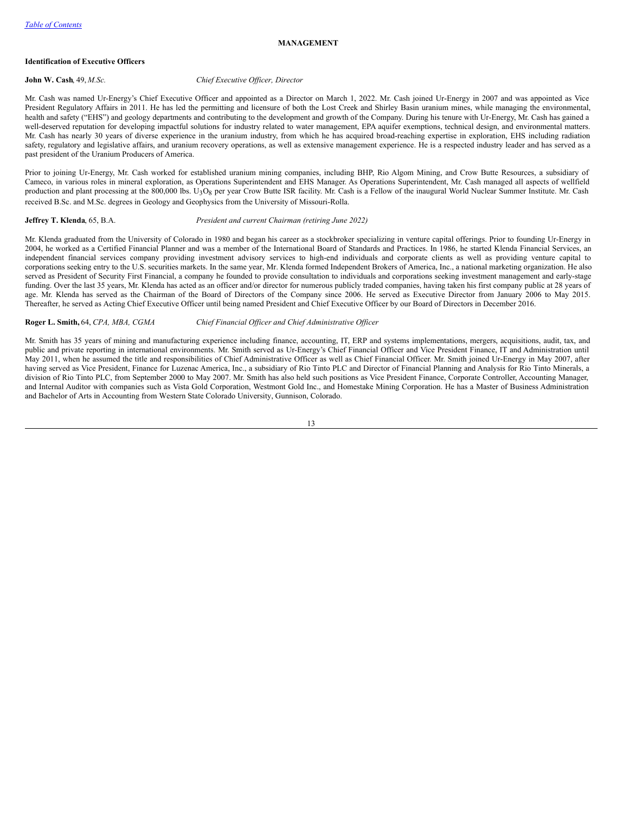## <span id="page-15-0"></span>**MANAGEMENT**

## **Identification of Executive Officers**

#### **John W. Cash**, 49, *M.Sc. Chief Executive Of icer, Director*

Mr. Cash was named Ur-Energy's Chief Executive Officer and appointed as a Director on March 1, 2022. Mr. Cash joined Ur-Energy in 2007 and was appointed as Vice President Regulatory Affairs in 2011. He has led the permitting and licensure of both the Lost Creek and Shirley Basin uranium mines, while managing the environmental, health and safety ("EHS") and geology departments and contributing to the development and growth of the Company. During his tenure with Ur-Energy, Mr. Cash has gained a well-deserved reputation for developing impactful solutions for industry related to water management, EPA aquifer exemptions, technical design, and environmental matters. Mr. Cash has nearly 30 years of diverse experience in the uranium industry, from which he has acquired broad-reaching expertise in exploration, EHS including radiation safety, regulatory and legislative affairs, and uranium recovery operations, as well as extensive management experience. He is a respected industry leader and has served as a past president of the Uranium Producers of America.

Prior to joining Ur-Energy, Mr. Cash worked for established uranium mining companies, including BHP, Rio Algom Mining, and Crow Butte Resources, a subsidiary of Cameco, in various roles in mineral exploration, as Operations Superintendent and EHS Manager. As Operations Superintendent, Mr. Cash managed all aspects of wellfield production and plant processing at the 800,000 lbs. U<sub>3</sub>O<sub>8</sub> per year Crow Butte ISR facility. Mr. Cash is a Fellow of the inaugural World Nuclear Summer Institute. Mr. Cash received B.Sc. and M.Sc. degrees in Geology and Geophysics from the University of Missouri-Rolla.

## **Jeffrey T. Klenda**, 65, B.A. *President and current Chairman (retiring June 2022)*

Mr. Klenda graduated from the University of Colorado in 1980 and began his career as a stockbroker specializing in venture capital offerings. Prior to founding Ur-Energy in 2004, he worked as a Certified Financial Planner and was a member of the International Board of Standards and Practices. In 1986, he started Klenda Financial Services, an independent financial services company providing investment advisory services to high-end individuals and corporate clients as well as providing venture capital to corporations seeking entry to the U.S. securities markets. In the same year, Mr. Klenda formed Independent Brokers of America, Inc., a national marketing organization. He also served as President of Security First Financial, a company he founded to provide consultation to individuals and corporations seeking investment management and early-stage funding. Over the last 35 years, Mr. Klenda has acted as an officer and/or director for numerous publicly traded companies, having taken his first company public at 28 years of age. Mr. Klenda has served as the Chairman of the Board of Directors of the Company since 2006. He served as Executive Director from January 2006 to May 2015. Thereafter, he served as Acting Chief Executive Officer until being named President and Chief Executive Officer by our Board of Directors in December 2016.

## **Roger L. Smith,** 64, *CPA, MBA, CGMA Chief Financial Of icer and Chief Administrative Of icer*

Mr. Smith has 35 years of mining and manufacturing experience including finance, accounting, IT, ERP and systems implementations, mergers, acquisitions, audit, tax, and public and private reporting in international environments. Mr. Smith served as Ur-Energy's Chief Financial Officer and Vice President Finance, IT and Administration until May 2011, when he assumed the title and responsibilities of Chief Administrative Officer as well as Chief Financial Officer. Mr. Smith joined Ur-Energy in May 2007, after having served as Vice President, Finance for Luzenac America, Inc., a subsidiary of Rio Tinto PLC and Director of Financial Planning and Analysis for Rio Tinto Minerals, a division of Rio Tinto PLC, from September 2000 to May 2007. Mr. Smith has also held such positions as Vice President Finance, Corporate Controller, Accounting Manager, and Internal Auditor with companies such as Vista Gold Corporation, Westmont Gold Inc., and Homestake Mining Corporation. He has a Master of Business Administration and Bachelor of Arts in Accounting from Western State Colorado University, Gunnison, Colorado.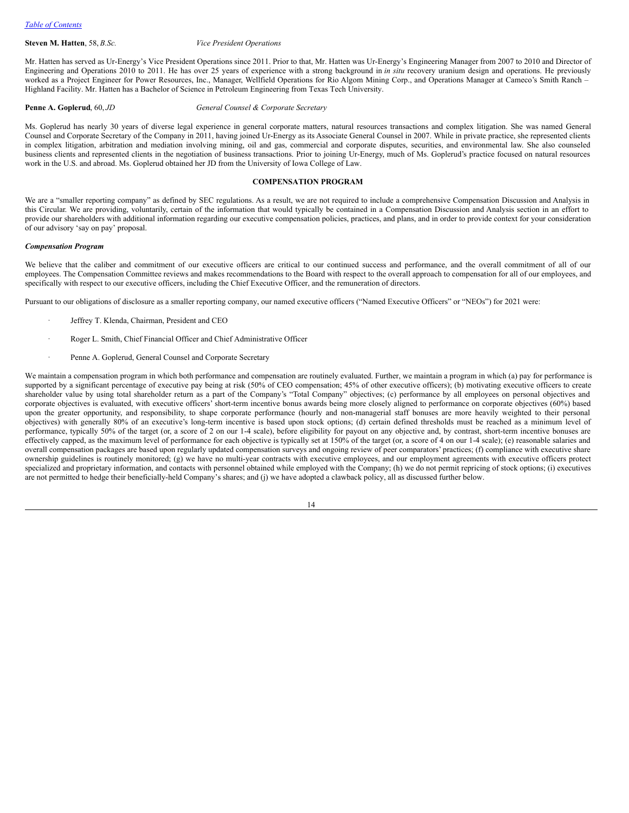## **Steven M. Hatten**, 58, *B.Sc. Vice President Operations*

Mr. Hatten has served as Ur-Energy's Vice President Operations since 2011. Prior to that, Mr. Hatten was Ur-Energy's Engineering Manager from 2007 to 2010 and Director of Engineering and Operations 2010 to 2011. He has over 25 years of experience with a strong background in *in situ* recovery uranium design and operations. He previously worked as a Project Engineer for Power Resources, Inc., Manager, Wellfield Operations for Rio Algom Mining Corp., and Operations Manager at Cameco's Smith Ranch – Highland Facility. Mr. Hatten has a Bachelor of Science in Petroleum Engineering from Texas Tech University.

#### **Penne A. Goplerud**, 60, *JD General Counsel & Corporate Secretary*

Ms. Goplerud has nearly 30 years of diverse legal experience in general corporate matters, natural resources transactions and complex litigation. She was named General Counsel and Corporate Secretary of the Company in 2011, having joined Ur‑Energy as its Associate General Counsel in 2007. While in private practice, she represented clients in complex litigation, arbitration and mediation involving mining, oil and gas, commercial and corporate disputes, securities, and environmental law. She also counseled business clients and represented clients in the negotiation of business transactions. Prior to joining Ur-Energy, much of Ms. Goplerud's practice focused on natural resources work in the U.S. and abroad. Ms. Goplerud obtained her JD from the University of Iowa College of Law.

## <span id="page-16-0"></span>**COMPENSATION PROGRAM**

We are a "smaller reporting company" as defined by SEC regulations. As a result, we are not required to include a comprehensive Compensation Discussion and Analysis in this Circular. We are providing, voluntarily, certain of the information that would typically be contained in a Compensation Discussion and Analysis section in an effort to provide our shareholders with additional information regarding our executive compensation policies, practices, and plans, and in order to provide context for your consideration of our advisory 'say on pay' proposal.

## *Compensation Program*

We believe that the caliber and commitment of our executive officers are critical to our continued success and performance, and the overall commitment of all of our employees. The Compensation Committee reviews and makes recommendations to the Board with respect to the overall approach to compensation for all of our employees, and specifically with respect to our executive officers, including the Chief Executive Officer, and the remuneration of directors.

Pursuant to our obligations of disclosure as a smaller reporting company, our named executive officers ("Named Executive Officers" or "NEOs") for 2021 were:

- Jeffrey T. Klenda, Chairman, President and CEO
- Roger L. Smith, Chief Financial Officer and Chief Administrative Officer
- Penne A. Goplerud, General Counsel and Corporate Secretary

We maintain a compensation program in which both performance and compensation are routinely evaluated. Further, we maintain a program in which (a) pay for performance is supported by a significant percentage of executive pay being at risk (50% of CEO compensation; 45% of other executive officers); (b) motivating executive officers to create shareholder value by using total shareholder return as a part of the Company's "Total Company" objectives; (c) performance by all employees on personal objectives and corporate objectives is evaluated, with executive officers' short-term incentive bonus awards being more closely aligned to performance on corporate objectives (60%) based upon the greater opportunity, and responsibility, to shape corporate performance (hourly and non-managerial staff bonuses are more heavily weighted to their personal objectives) with generally 80% of an executive's long-term incentive is based upon stock options; (d) certain defined thresholds must be reached as a minimum level of performance, typically 50% of the target (or, a score of 2 on our 1-4 scale), before eligibility for payout on any objective and, by contrast, short-term incentive bonuses are effectively capped, as the maximum level of performance for each objective is typically set at 150% of the target (or, a score of 4 on our 1-4 scale); (e) reasonable salaries and overall compensation packages are based upon regularly updated compensation surveys and ongoing review of peer comparators' practices; (f) compliance with executive share ownership guidelines is routinely monitored; (g) we have no multi-year contracts with executive employees, and our employment agreements with executive officers protect specialized and proprietary information, and contacts with personnel obtained while employed with the Company; (h) we do not permit repricing of stock options; (i) executives are not permitted to hedge their beneficially-held Company's shares; and (j) we have adopted a clawback policy, all as discussed further below.

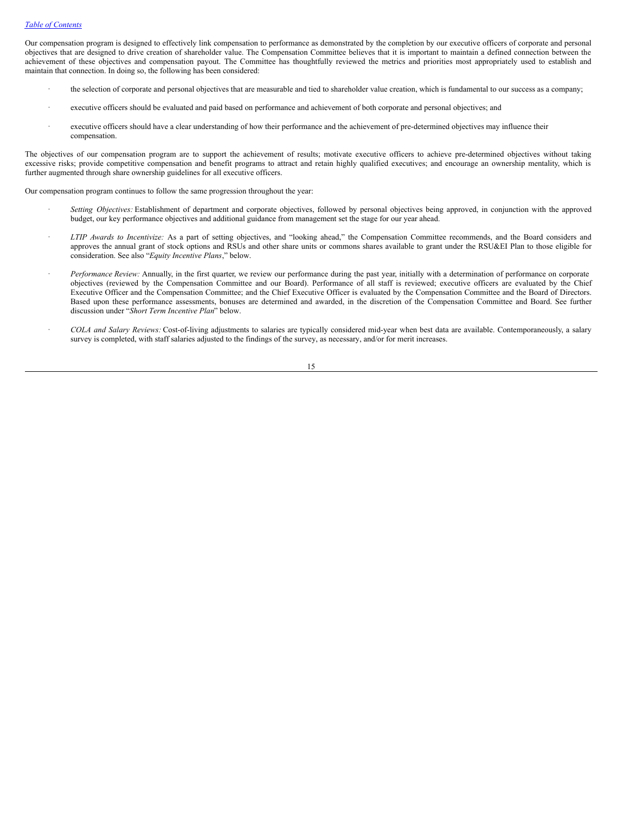Our compensation program is designed to effectively link compensation to performance as demonstrated by the completion by our executive officers of corporate and personal objectives that are designed to drive creation of shareholder value. The Compensation Committee believes that it is important to maintain a defined connection between the achievement of these objectives and compensation payout. The Committee has thoughtfully reviewed the metrics and priorities most appropriately used to establish and maintain that connection. In doing so, the following has been considered:

- the selection of corporate and personal objectives that are measurable and tied to shareholder value creation, which is fundamental to our success as a company;
- · executive officers should be evaluated and paid based on performance and achievement of both corporate and personal objectives; and
- · executive officers should have a clear understanding of how their performance and the achievement of pre-determined objectives may influence their compensation.

The objectives of our compensation program are to support the achievement of results; motivate executive officers to achieve pre-determined objectives without taking excessive risks; provide competitive compensation and benefit programs to attract and retain highly qualified executives; and encourage an ownership mentality, which is further augmented through share ownership guidelines for all executive officers.

Our compensation program continues to follow the same progression throughout the year:

- Setting Objectives: Establishment of department and corporate objectives, followed by personal objectives being approved, in conjunction with the approved budget, our key performance objectives and additional guidance from management set the stage for our year ahead.
- LTIP Awards to Incentivize: As a part of setting objectives, and "looking ahead," the Compensation Committee recommends, and the Board considers and approves the annual grant of stock options and RSUs and other share units or commons shares available to grant under the RSU&EI Plan to those eligible for consideration. See also "*Equity Incentive Plans*," below.
- Performance Review: Annually, in the first quarter, we review our performance during the past year, initially with a determination of performance on corporate objectives (reviewed by the Compensation Committee and our Board). Performance of all staff is reviewed; executive officers are evaluated by the Chief Executive Officer and the Compensation Committee; and the Chief Executive Officer is evaluated by the Compensation Committee and the Board of Directors. Based upon these performance assessments, bonuses are determined and awarded, in the discretion of the Compensation Committee and Board. See further discussion under "*Short Term Incentive Plan*" below.
- · *COLA and Salary Reviews:* Cost-of-living adjustments to salaries are typically considered mid-year when best data are available. Contemporaneously, a salary survey is completed, with staff salaries adjusted to the findings of the survey, as necessary, and/or for merit increases.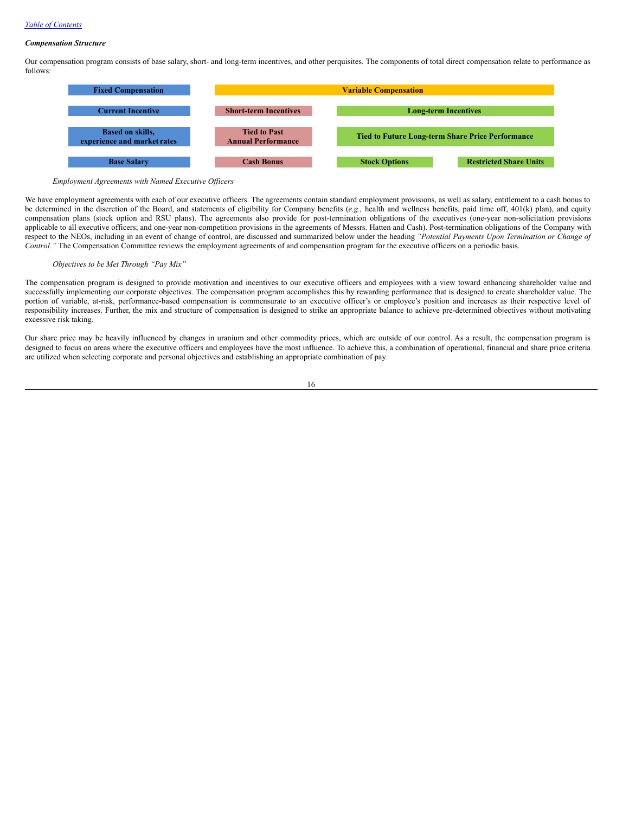## *Compensation Structure*

Our compensation program consists of base salary, short- and long-term incentives, and other perquisites. The components of total direct compensation relate to performance as follows:



## *Employment Agreements with Named Executive Of icers*

We have employment agreements with each of our executive officers. The agreements contain standard employment provisions, as well as salary, entitlement to a cash bonus to be determined in the discretion of the Board, and statements of eligibility for Company benefits (*e.g.*, health and wellness benefits, paid time off, 401(k) plan), and equity compensation plans (stock option and RSU plans). The agreements also provide for post-termination obligations of the executives (one-year non-solicitation provisions applicable to all executive officers; and one-year non-competition provisions in the agreements of Messrs. Hatten and Cash). Post-termination obligations of the Company with respect to the NEOs, including in an event of change of control, are discussed and summarized below under the heading *"Potential Payments Upon Termination or Change of Control."* The Compensation Committee reviews the employment agreements of and compensation program for the executive officers on a periodic basis.

## *Objectives to be Met Through "Pay Mix"*

The compensation program is designed to provide motivation and incentives to our executive officers and employees with a view toward enhancing shareholder value and successfully implementing our corporate objectives. The compensation program accomplishes this by rewarding performance that is designed to create shareholder value. The portion of variable, at-risk, performance-based compensation is commensurate to an executive officer's or employee's position and increases as their respective level of responsibility increases. Further, the mix and structure of compensation is designed to strike an appropriate balance to achieve pre-determined objectives without motivating excessive risk taking.

Our share price may be heavily influenced by changes in uranium and other commodity prices, which are outside of our control. As a result, the compensation program is designed to focus on areas where the executive officers and employees have the most influence. To achieve this, a combination of operational, financial and share price criteria are utilized when selecting corporate and personal objectives and establishing an appropriate combination of pay.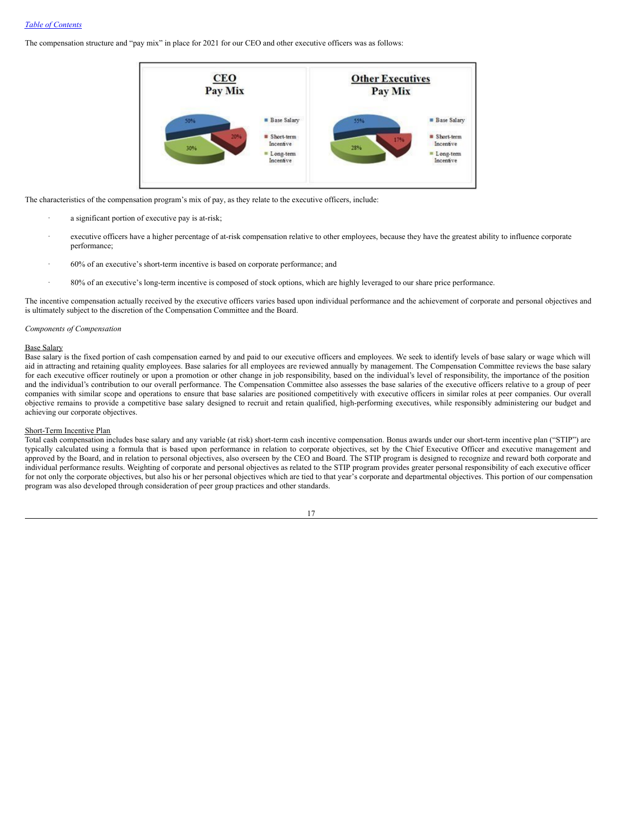## *Table of [Contents](#page-2-0)*

The compensation structure and "pay mix" in place for 2021 for our CEO and other executive officers was as follows:



The characteristics of the compensation program's mix of pay, as they relate to the executive officers, include:

- a significant portion of executive pay is at-risk;
- executive officers have a higher percentage of at-risk compensation relative to other employees, because they have the greatest ability to influence corporate performance;
- · 60% of an executive's short-term incentive is based on corporate performance; and
- · 80% of an executive's long-term incentive is composed of stock options, which are highly leveraged to our share price performance.

The incentive compensation actually received by the executive officers varies based upon individual performance and the achievement of corporate and personal objectives and is ultimately subject to the discretion of the Compensation Committee and the Board.

#### *Components of Compensation*

## Base Salary

Base salary is the fixed portion of cash compensation earned by and paid to our executive officers and employees. We seek to identify levels of base salary or wage which will aid in attracting and retaining quality employees. Base salaries for all employees are reviewed annually by management. The Compensation Committee reviews the base salary for each executive officer routinely or upon a promotion or other change in job responsibility, based on the individual's level of responsibility, the importance of the position and the individual's contribution to our overall performance. The Compensation Committee also assesses the base salaries of the executive officers relative to a group of peer companies with similar scope and operations to ensure that base salaries are positioned competitively with executive officers in similar roles at peer companies. Our overall objective remains to provide a competitive base salary designed to recruit and retain qualified, high-performing executives, while responsibly administering our budget and achieving our corporate objectives.

#### Short-Term Incentive Plan

Total cash compensation includes base salary and any variable (at risk) short-term cash incentive compensation. Bonus awards under our short-term incentive plan ("STIP") are typically calculated using a formula that is based upon performance in relation to corporate objectives, set by the Chief Executive Officer and executive management and approved by the Board, and in relation to personal objectives, also overseen by the CEO and Board. The STIP program is designed to recognize and reward both corporate and individual performance results. Weighting of corporate and personal objectives as related to the STIP program provides greater personal responsibility of each executive officer for not only the corporate objectives, but also his or her personal objectives which are tied to that year's corporate and departmental objectives. This portion of our compensation program was also developed through consideration of peer group practices and other standards.

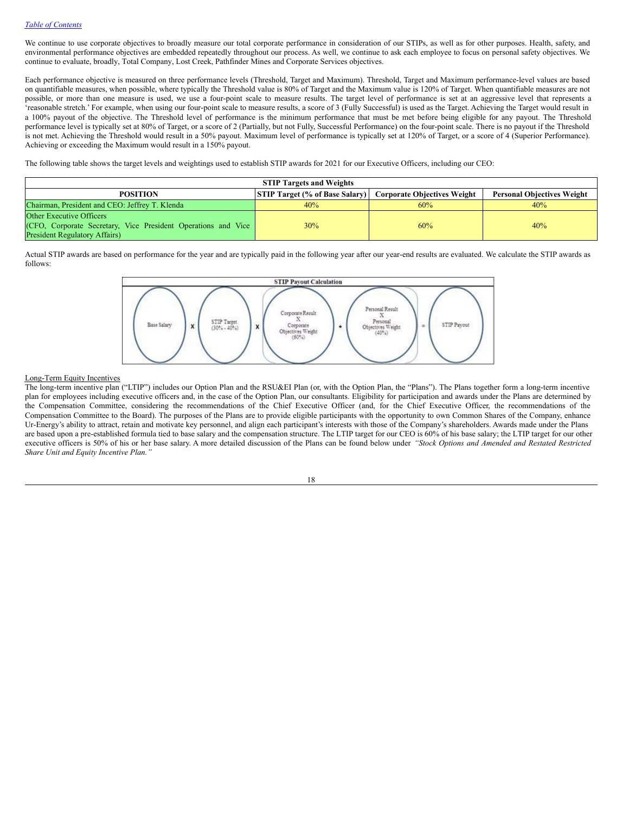We continue to use corporate objectives to broadly measure our total corporate performance in consideration of our STIPs, as well as for other purposes. Health, safety, and environmental performance objectives are embedded repeatedly throughout our process. As well, we continue to ask each employee to focus on personal safety objectives. We continue to evaluate, broadly, Total Company, Lost Creek, Pathfinder Mines and Corporate Services objectives.

Each performance objective is measured on three performance levels (Threshold, Target and Maximum). Threshold, Target and Maximum performance-level values are based on quantifiable measures, when possible, where typically the Threshold value is 80% of Target and the Maximum value is 120% of Target. When quantifiable measures are not possible, or more than one measure is used, we use a four-point scale to measure results. The target level of performance is set at an aggressive level that represents a 'reasonable stretch.' For example, when using our four-point scale to measure results, a score of 3 (Fully Successful) is used as the Target. Achieving the Target would result in a 100% payout of the objective. The Threshold level of performance is the minimum performance that must be met before being eligible for any payout. The Threshold performance level is typically set at 80% of Target, or a score of 2 (Partially, but not Fully, Successful Performance) on the four-point scale. There is no payout if the Threshold is not met. Achieving the Threshold would result in a 50% payout. Maximum level of performance is typically set at 120% of Target, or a score of 4 (Superior Performance). Achieving or exceeding the Maximum would result in a 150% payout.

The following table shows the target levels and weightings used to establish STIP awards for 2021 for our Executive Officers, including our CEO:

| <b>STIP Targets and Weights</b>                                                                                                    |                                       |                                    |                                   |  |  |  |  |  |
|------------------------------------------------------------------------------------------------------------------------------------|---------------------------------------|------------------------------------|-----------------------------------|--|--|--|--|--|
| <b>POSITION</b>                                                                                                                    | <b>STIP Target (% of Base Salary)</b> | <b>Corporate Objectives Weight</b> | <b>Personal Objectives Weight</b> |  |  |  |  |  |
| Chairman, President and CEO: Jeffrey T. Klenda                                                                                     | 40%                                   | 60%                                | 40%                               |  |  |  |  |  |
| Other Executive Officers<br>(CFO, Corporate Secretary, Vice President Operations and Vice<br><b>President Regulatory Affairs</b> ) | 30%                                   | 60%                                | 40%                               |  |  |  |  |  |

Actual STIP awards are based on performance for the year and are typically paid in the following year after our year-end results are evaluated. We calculate the STIP awards as follows:



## Long-Term Equity Incentives

The long-term incentive plan ("LTIP") includes our Option Plan and the RSU&EI Plan (or, with the Option Plan, the "Plans"). The Plans together form a long-term incentive plan for employees including executive officers and, in the case of the Option Plan, our consultants. Eligibility for participation and awards under the Plans are determined by the Compensation Committee, considering the recommendations of the Chief Executive Officer (and, for the Chief Executive Officer, the recommendations of the Compensation Committee to the Board). The purposes of the Plans are to provide eligible participants with the opportunity to own Common Shares of the Company, enhance Ur-Energy's ability to attract, retain and motivate key personnel, and align each participant's interests with those of the Company's shareholders. Awards made under the Plans are based upon a pre-established formula tied to base salary and the compensation structure. The LTIP target for our CEO is 60% of his base salary; the LTIP target for our other executive officers is 50% of his or her base salary. A more detailed discussion of the Plans can be found below under *"Stock Options and Amended and Restated Restricted Share Unit and Equity Incentive Plan."*

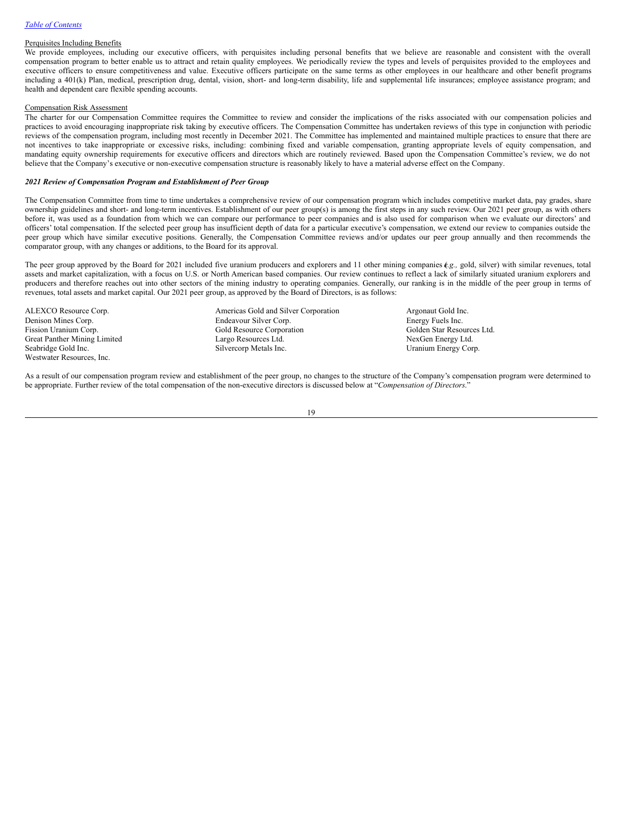## Perquisites Including Benefits

We provide employees, including our executive officers, with perquisites including personal benefits that we believe are reasonable and consistent with the overall compensation program to better enable us to attract and retain quality employees. We periodically review the types and levels of perquisites provided to the employees and executive officers to ensure competitiveness and value. Executive officers participate on the same terms as other employees in our healthcare and other benefit programs including a 401(k) Plan, medical, prescription drug, dental, vision, short- and long-term disability, life and supplemental life insurances; employee assistance program; and health and dependent care flexible spending accounts.

## Compensation Risk Assessment

The charter for our Compensation Committee requires the Committee to review and consider the implications of the risks associated with our compensation policies and practices to avoid encouraging inappropriate risk taking by executive officers. The Compensation Committee has undertaken reviews of this type in conjunction with periodic reviews of the compensation program, including most recently in December 2021. The Committee has implemented and maintained multiple practices to ensure that there are not incentives to take inappropriate or excessive risks, including: combining fixed and variable compensation, granting appropriate levels of equity compensation, and mandating equity ownership requirements for executive officers and directors which are routinely reviewed. Based upon the Compensation Committee's review, we do not believe that the Company's executive or non-executive compensation structure is reasonably likely to have a material adverse effect on the Company.

## *2021 Review of Compensation Program and Establishment of Peer Group*

The Compensation Committee from time to time undertakes a comprehensive review of our compensation program which includes competitive market data, pay grades, share ownership guidelines and short- and long-term incentives. Establishment of our peer group(s) is among the first steps in any such review. Our 2021 peer group, as with others before it, was used as a foundation from which we can compare our performance to peer companies and is also used for comparison when we evaluate our directors' and officers' total compensation. If the selected peer group has insufficient depth of data for a particular executive's compensation, we extend our review to companies outside the peer group which have similar executive positions. Generally, the Compensation Committee reviews and/or updates our peer group annually and then recommends the comparator group, with any changes or additions, to the Board for its approval.

The peer group approved by the Board for 2021 included five uranium producers and explorers and 11 other mining companies *(e.g., gold, silver)* with similar revenues, total assets and market capitalization, with a focus on U.S. or North American based companies. Our review continues to reflect a lack of similarly situated uranium explorers and producers and therefore reaches out into other sectors of the mining industry to operating companies. Generally, our ranking is in the middle of the peer group in terms of revenues, total assets and market capital. Our 2021 peer group, as approved by the Board of Directors, is as follows:

Denison Mines Corp. **Endeavour Silver Corp.** Westwater Resources, Inc.

- ALEXCO Resource Corp. <br>
Americas Gold and Silver Corporation Argonaut Gold Inc.<br>
Americas Gold and Silver Corp. Argonaut Gold Inc.<br>
Americas Gold and Silver Corporation Argonaut Gold Inc. Fission Uranium Corp. The Corporation Gold Resource Corporation Golden Star Resources Ltd. Great Panther Mining Limited Largo Resources Ltd. NexGen Energy Ltd. Seabridge Gold Inc. Silvercorp Metals Inc. Silvercorp Metals Inc. The Uranium Energy Corp.
	-

As a result of our compensation program review and establishment of the peer group, no changes to the structure of the Company's compensation program were determined to be appropriate. Further review of the total compensation of the non-executive directors is discussed below at "*Compensation of Directors*."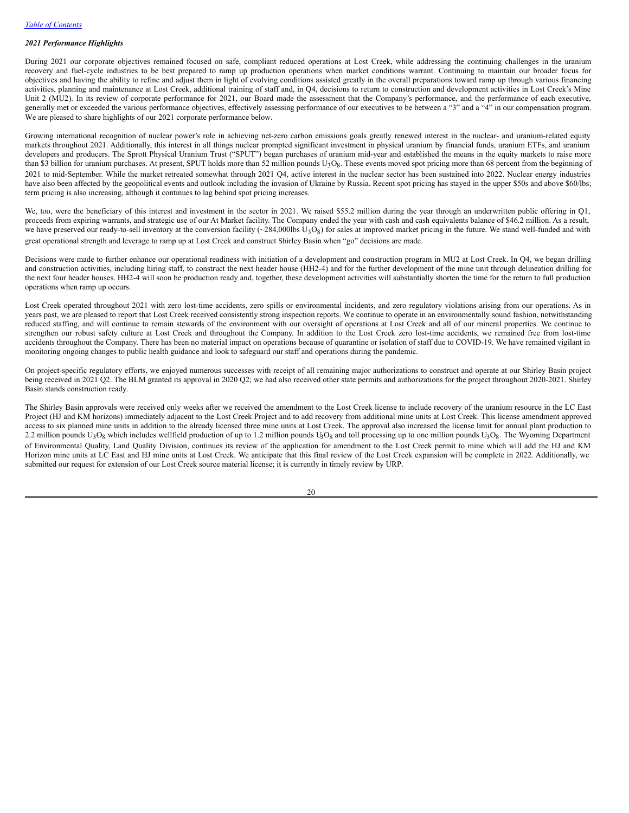## *2021 Performance Highlights*

During 2021 our corporate objectives remained focused on safe, compliant reduced operations at Lost Creek, while addressing the continuing challenges in the uranium recovery and fuel-cycle industries to be best prepared to ramp up production operations when market conditions warrant. Continuing to maintain our broader focus for objectives and having the ability to refine and adjust them in light of evolving conditions assisted greatly in the overall preparations toward ramp up through various financing activities, planning and maintenance at Lost Creek, additional training of staff and, in Q4, decisions to return to construction and development activities in Lost Creek's Mine Unit 2 (MU2). In its review of corporate performance for 2021, our Board made the assessment that the Company's performance, and the performance of each executive, generally met or exceeded the various performance objectives, effectively assessing performance of our executives to be between a "3" and a "4" in our compensation program. We are pleased to share highlights of our 2021 corporate performance below.

Growing international recognition of nuclear power's role in achieving net-zero carbon emissions goals greatly renewed interest in the nuclear- and uranium-related equity markets throughout 2021. Additionally, this interest in all things nuclear prompted significant investment in physical uranium by financial funds, uranium ETFs, and uranium developers and producers. The Sprott Physical Uranium Trust ("SPUT") began purchases of uranium mid-year and established the means in the equity markets to raise more than \$3 billion for uranium purchases. At present, SPUT holds more than 52 million pounds  $U_3O_8$ . These events moved spot pricing more than 68 percent from the beginning of 2021 to mid-September. While the market retreated somewhat through 2021 Q4, active interest in the nuclear sector has been sustained into 2022. Nuclear energy industries have also been affected by the geopolitical events and outlook including the invasion of Ukraine by Russia. Recent spot pricing has stayed in the upper \$50s and above \$60/lbs; term pricing is also increasing, although it continues to lag behind spot pricing increases.

We, too, were the beneficiary of this interest and investment in the sector in 2021. We raised \$55.2 million during the year through an underwritten public offering in Q1, proceeds from expiring warrants, and strategic use of our At Market facility. The Company ended the year with cash and cash equivalents balance of \$46.2 million. As a result, we have preserved our ready-to-sell inventory at the conversion facility  $(-284,000$ lbs  $U_3O_8$ ) for sales at improved market pricing in the future. We stand well-funded and with great operational strength and leverage to ramp up at Lost Creek and construct Shirley Basin when "go" decisions are made.

Decisions were made to further enhance our operational readiness with initiation of a development and construction program in MU2 at Lost Creek. In Q4, we began drilling and construction activities, including hiring staff, to construct the next header house (HH2-4) and for the further development of the mine unit through delineation drilling for the next four header houses. HH2-4 will soon be production ready and, together, these development activities will substantially shorten the time for the return to full production operations when ramp up occurs.

Lost Creek operated throughout 2021 with zero lost-time accidents, zero spills or environmental incidents, and zero regulatory violations arising from our operations. As in years past, we are pleased to report that Lost Creek received consistently strong inspection reports. We continue to operate in an environmentally sound fashion, notwithstanding reduced staffing, and will continue to remain stewards of the environment with our oversight of operations at Lost Creek and all of our mineral properties. We continue to strengthen our robust safety culture at Lost Creek and throughout the Company. In addition to the Lost Creek zero lost-time accidents, we remained free from lost-time accidents throughout the Company. There has been no material impact on operations because of quarantine or isolation of staff due to COVID-19. We have remained vigilant in monitoring ongoing changes to public health guidance and look to safeguard our staff and operations during the pandemic.

On project-specific regulatory efforts, we enjoyed numerous successes with receipt of all remaining major authorizations to construct and operate at our Shirley Basin project being received in 2021 Q2. The BLM granted its approval in 2020 Q2; we had also received other state permits and authorizations for the project throughout 2020-2021. Shirley Basin stands construction ready.

The Shirley Basin approvals were received only weeks after we received the amendment to the Lost Creek license to include recovery of the uranium resource in the LC East Project (HJ and KM horizons) immediately adjacent to the Lost Creek Project and to add recovery from additional mine units at Lost Creek. This license amendment approved access to six planned mine units in addition to the already licensed three mine units at Lost Creek. The approval also increased the license limit for annual plant production to 2.2 million pounds  $U_3O_8$  which includes wellfield production of up to 1.2 million pounds  $U_3O_8$  and toll processing up to one million pounds  $U_3O_8$ . The Wyoming Department of Environmental Quality, Land Quality Division, continues its review of the application for amendment to the Lost Creek permit to mine which will add the HJ and KM Horizon mine units at LC East and HJ mine units at Lost Creek. We anticipate that this final review of the Lost Creek expansion will be complete in 2022. Additionally, we submitted our request for extension of our Lost Creek source material license; it is currently in timely review by URP.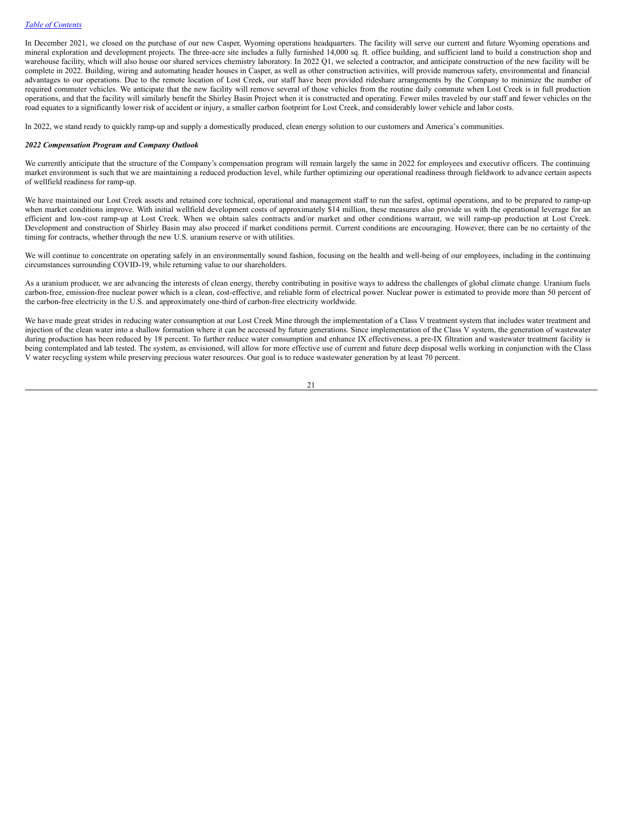In December 2021, we closed on the purchase of our new Casper, Wyoming operations headquarters. The facility will serve our current and future Wyoming operations and mineral exploration and development projects. The three-acre site includes a fully furnished 14,000 sq. ft. office building, and sufficient land to build a construction shop and warehouse facility, which will also house our shared services chemistry laboratory. In 2022 Q1, we selected a contractor, and anticipate construction of the new facility will be complete in 2022. Building, wiring and automating header houses in Casper, as well as other construction activities, will provide numerous safety, environmental and financial advantages to our operations. Due to the remote location of Lost Creek, our staff have been provided rideshare arrangements by the Company to minimize the number of required commuter vehicles. We anticipate that the new facility will remove several of those vehicles from the routine daily commute when Lost Creek is in full production operations, and that the facility will similarly benefit the Shirley Basin Project when it is constructed and operating. Fewer miles traveled by our staff and fewer vehicles on the road equates to a significantly lower risk of accident or injury, a smaller carbon footprint for Lost Creek, and considerably lower vehicle and labor costs.

In 2022, we stand ready to quickly ramp-up and supply a domestically produced, clean energy solution to our customers and America's communities.

#### *2022 Compensation Program and Company Outlook*

We currently anticipate that the structure of the Company's compensation program will remain largely the same in 2022 for employees and executive officers. The continuing market environment is such that we are maintaining a reduced production level, while further optimizing our operational readiness through fieldwork to advance certain aspects of wellfield readiness for ramp-up.

We have maintained our Lost Creek assets and retained core technical, operational and management staff to run the safest, optimal operations, and to be prepared to ramp-up when market conditions improve. With initial wellfield development costs of approximately \$14 million, these measures also provide us with the operational leverage for an efficient and low-cost ramp-up at Lost Creek. When we obtain sales contracts and/or market and other conditions warrant, we will ramp-up production at Lost Creek. Development and construction of Shirley Basin may also proceed if market conditions permit. Current conditions are encouraging. However, there can be no certainty of the timing for contracts, whether through the new U.S. uranium reserve or with utilities.

We will continue to concentrate on operating safely in an environmentally sound fashion, focusing on the health and well-being of our employees, including in the continuing circumstances surrounding COVID-19, while returning value to our shareholders.

As a uranium producer, we are advancing the interests of clean energy, thereby contributing in positive ways to address the challenges of global climate change. Uranium fuels carbon-free, emission-free nuclear power which is a clean, cost-effective, and reliable form of electrical power. Nuclear power is estimated to provide more than 50 percent of the carbon-free electricity in the U.S. and approximately one-third of carbon-free electricity worldwide.

We have made great strides in reducing water consumption at our Lost Creek Mine through the implementation of a Class V treatment system that includes water treatment and injection of the clean water into a shallow formation where it can be accessed by future generations. Since implementation of the Class V system, the generation of wastewater during production has been reduced by 18 percent. To further reduce water consumption and enhance IX effectiveness, a pre-IX filtration and wastewater treatment facility is being contemplated and lab tested. The system, as envisioned, will allow for more effective use of current and future deep disposal wells working in conjunction with the Class V water recycling system while preserving precious water resources. Our goal is to reduce wastewater generation by at least 70 percent.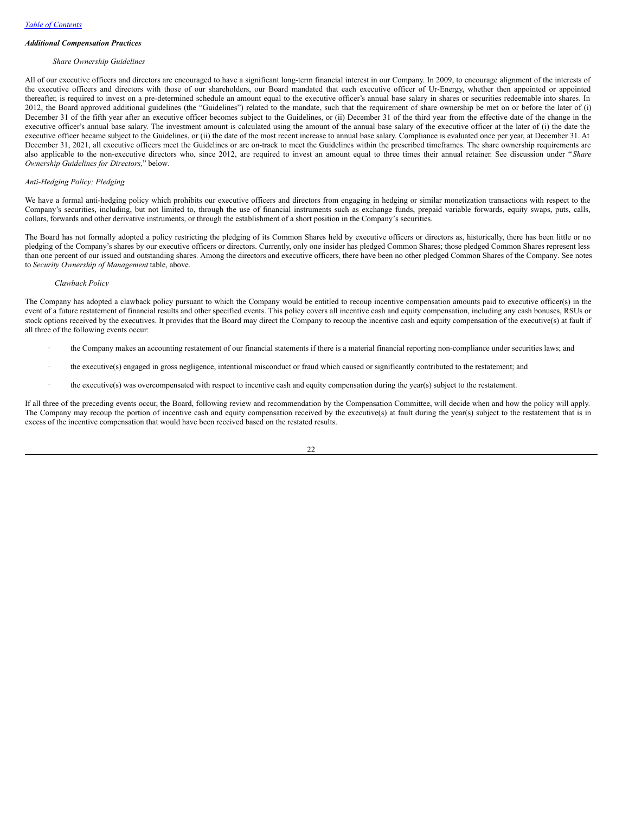## *Additional Compensation Practices*

## *Share Ownership Guidelines*

All of our executive officers and directors are encouraged to have a significant long-term financial interest in our Company. In 2009, to encourage alignment of the interests of the executive officers and directors with those of our shareholders, our Board mandated that each executive officer of Ur-Energy, whether then appointed or appointed thereafter, is required to invest on a pre-determined schedule an amount equal to the executive officer's annual base salary in shares or securities redeemable into shares. In 2012, the Board approved additional guidelines (the "Guidelines") related to the mandate, such that the requirement of share ownership be met on or before the later of (i) December 31 of the fifth year after an executive officer becomes subject to the Guidelines, or (ii) December 31 of the third year from the effective date of the change in the executive officer's annual base salary. The investment amount is calculated using the amount of the annual base salary of the executive officer at the later of (i) the date the executive officer became subject to the Guidelines, or (ii) the date of the most recent increase to annual base salary. Compliance is evaluated once per year, at December 31. At December 31, 2021, all executive officers meet the Guidelines or are on-track to meet the Guidelines within the prescribed timeframes. The share ownership requirements are also applicable to the non-executive directors who, since 2012, are required to invest an amount equal to three times their annual retainer. See discussion under "*Share Ownership Guidelines for Directors,*" below.

## *Anti-Hedging Policy; Pledging*

We have a formal anti-hedging policy which prohibits our executive officers and directors from engaging in hedging or similar monetization transactions with respect to the Company's securities, including, but not limited to, through the use of financial instruments such as exchange funds, prepaid variable forwards, equity swaps, puts, calls, collars, forwards and other derivative instruments, or through the establishment of a short position in the Company's securities.

The Board has not formally adopted a policy restricting the pledging of its Common Shares held by executive officers or directors as, historically, there has been little or no pledging of the Company's shares by our executive officers or directors. Currently, only one insider has pledged Common Shares; those pledged Common Shares represent less than one percent of our issued and outstanding shares. Among the directors and executive officers, there have been no other pledged Common Shares of the Company. See notes to *Security Ownership of Management* table, above.

#### *Clawback Policy*

The Company has adopted a clawback policy pursuant to which the Company would be entitled to recoup incentive compensation amounts paid to executive officer(s) in the event of a future restatement of financial results and other specified events. This policy covers all incentive cash and equity compensation, including any cash bonuses, RSUs or stock options received by the executives. It provides that the Board may direct the Company to recoup the incentive cash and equity compensation of the executive(s) at fault if all three of the following events occur:

- the Company makes an accounting restatement of our financial statements if there is a material financial reporting non-compliance under securities laws; and
- the executive(s) engaged in gross negligence, intentional misconduct or fraud which caused or significantly contributed to the restatement; and
- the executive(s) was overcompensated with respect to incentive cash and equity compensation during the year(s) subject to the restatement.

If all three of the preceding events occur, the Board, following review and recommendation by the Compensation Committee, will decide when and how the policy will apply. The Company may recoup the portion of incentive cash and equity compensation received by the executive(s) at fault during the year(s) subject to the restatement that is in excess of the incentive compensation that would have been received based on the restated results.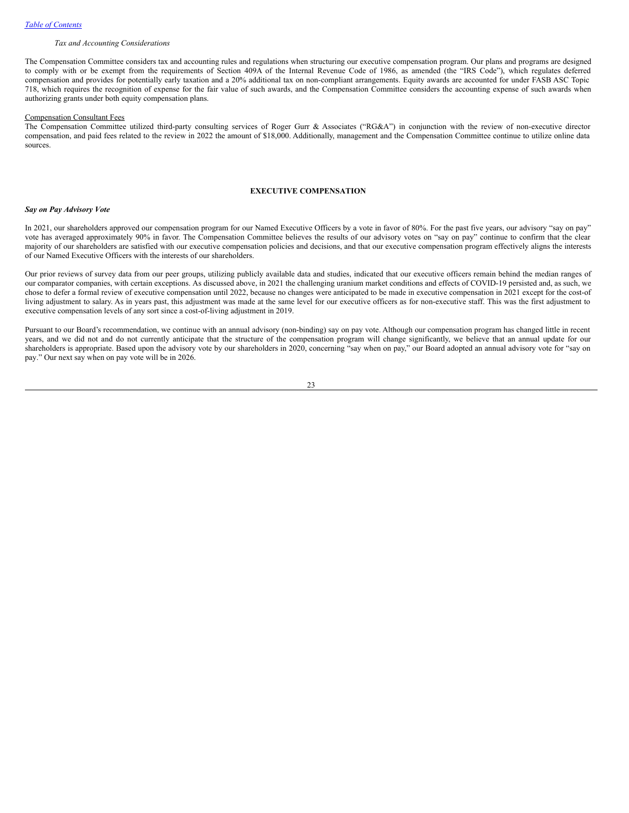## *Tax and Accounting Considerations*

The Compensation Committee considers tax and accounting rules and regulations when structuring our executive compensation program. Our plans and programs are designed to comply with or be exempt from the requirements of Section 409A of the Internal Revenue Code of 1986, as amended (the "IRS Code"), which regulates deferred compensation and provides for potentially early taxation and a 20% additional tax on non-compliant arrangements. Equity awards are accounted for under FASB ASC Topic 718, which requires the recognition of expense for the fair value of such awards, and the Compensation Committee considers the accounting expense of such awards when authorizing grants under both equity compensation plans.

## Compensation Consultant Fees

The Compensation Committee utilized third-party consulting services of Roger Gurr & Associates ("RG&A") in conjunction with the review of non-executive director compensation, and paid fees related to the review in 2022 the amount of \$18,000. Additionally, management and the Compensation Committee continue to utilize online data sources.

## <span id="page-25-0"></span>**EXECUTIVE COMPENSATION**

#### *Say on Pay Advisory Vote*

In 2021, our shareholders approved our compensation program for our Named Executive Officers by a vote in favor of 80%. For the past five years, our advisory "say on pay" vote has averaged approximately 90% in favor. The Compensation Committee believes the results of our advisory votes on "say on pay" continue to confirm that the clear majority of our shareholders are satisfied with our executive compensation policies and decisions, and that our executive compensation program effectively aligns the interests of our Named Executive Officers with the interests of our shareholders.

Our prior reviews of survey data from our peer groups, utilizing publicly available data and studies, indicated that our executive officers remain behind the median ranges of our comparator companies, with certain exceptions. As discussed above, in 2021 the challenging uranium market conditions and effects of COVID-19 persisted and, as such, we chose to defer a formal review of executive compensation until 2022, because no changes were anticipated to be made in executive compensation in 2021 except for the cost-of living adjustment to salary. As in years past, this adjustment was made at the same level for our executive officers as for non-executive staff. This was the first adjustment to executive compensation levels of any sort since a cost-of-living adjustment in 2019.

Pursuant to our Board's recommendation, we continue with an annual advisory (non-binding) say on pay vote. Although our compensation program has changed little in recent years, and we did not and do not currently anticipate that the structure of the compensation program will change significantly, we believe that an annual update for our shareholders is appropriate. Based upon the advisory vote by our shareholders in 2020, concerning "say when on pay," our Board adopted an annual advisory vote for "say on pay." Our next say when on pay vote will be in 2026.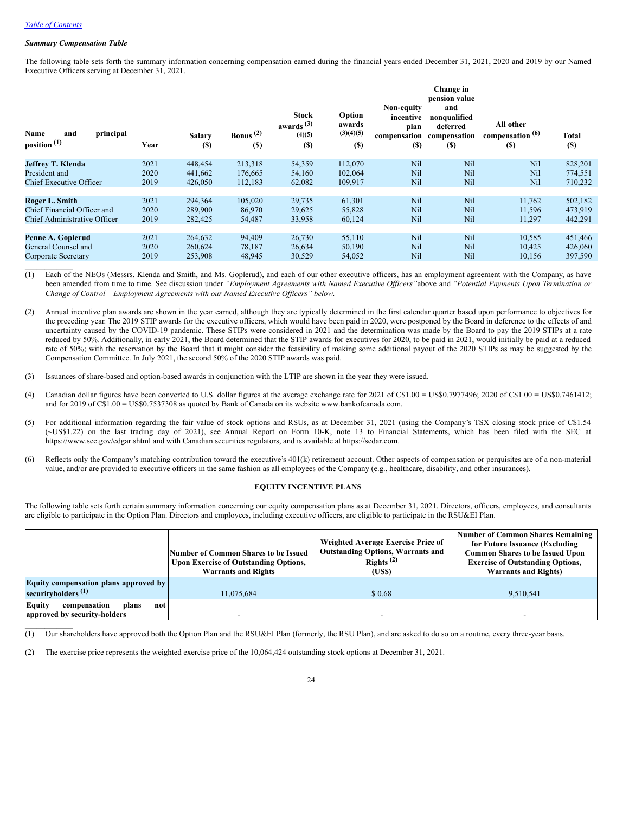$\mathcal{L}_\text{max}$ 

## *Summary Compensation Table*

The following table sets forth the summary information concerning compensation earned during the financial years ended December 31, 2021, 2020 and 2019 by our Named Executive Officers serving at December 31, 2021.

| Name<br>principal<br>and<br>position <sup>(1)</sup> | Year | <b>Salary</b><br><b>(\$)</b> | Bonus <sup><math>(2)</math></sup><br>(S) | Stock<br>awards $^{(3)}$<br>(4)(5)<br>(\$) | Option<br>awards<br>(3)(4)(5)<br>(S) | Non-equity<br>incentive<br>plan<br>compensation<br><b>(\$)</b> | Change in<br>pension value<br>and<br>nonqualified<br>deferred<br>compensation<br><b>(S)</b> | All other<br>compensation <sup>(6)</sup><br><b>(\$)</b> | Total<br>(S) |
|-----------------------------------------------------|------|------------------------------|------------------------------------------|--------------------------------------------|--------------------------------------|----------------------------------------------------------------|---------------------------------------------------------------------------------------------|---------------------------------------------------------|--------------|
|                                                     |      |                              |                                          |                                            |                                      |                                                                |                                                                                             |                                                         |              |
| <b>Jeffrey T. Klenda</b>                            | 2021 | 448,454                      | 213,318                                  | 54,359                                     | 112,070                              | Nil                                                            | Nil                                                                                         | Nil                                                     | 828,201      |
| President and                                       | 2020 | 441,662                      | 176,665                                  | 54,160                                     | 102,064                              | Nil                                                            | Nil                                                                                         | Nil                                                     | 774,551      |
| <b>Chief Executive Officer</b>                      | 2019 | 426,050                      | 112,183                                  | 62,082                                     | 109,917                              | Nil                                                            | Nil                                                                                         | Nil                                                     | 710,232      |
|                                                     |      |                              |                                          |                                            |                                      |                                                                |                                                                                             |                                                         |              |
| <b>Roger L. Smith</b>                               | 2021 | 294,364                      | 105,020                                  | 29,735                                     | 61,301                               | <b>Nil</b>                                                     | Nil                                                                                         | 11,762                                                  | 502,182      |
| Chief Financial Officer and                         | 2020 | 289,900                      | 86,970                                   | 29,625                                     | 55,828                               | N <sub>il</sub>                                                | Nil                                                                                         | 11,596                                                  | 473,919      |
| <b>Chief Administrative Officer</b>                 | 2019 | 282,425                      | 54,487                                   | 33,958                                     | 60,124                               | Nil                                                            | Nil                                                                                         | 11,297                                                  | 442,291      |
|                                                     |      |                              |                                          |                                            |                                      |                                                                |                                                                                             |                                                         |              |
| Penne A. Goplerud                                   | 2021 | 264,632                      | 94.409                                   | 26,730                                     | 55,110                               | Nil                                                            | Nil                                                                                         | 10.585                                                  | 451,466      |
| General Counsel and                                 | 2020 | 260,624                      | 78,187                                   | 26,634                                     | 50,190                               | Nil                                                            | Nil                                                                                         | 10.425                                                  | 426,060      |
| <b>Corporate Secretary</b>                          | 2019 | 253,908                      | 48,945                                   | 30,529                                     | 54,052                               | <b>Nil</b>                                                     | Nil                                                                                         | 10,156                                                  | 397,590      |
|                                                     |      |                              |                                          |                                            |                                      |                                                                |                                                                                             |                                                         |              |

(1) Each of the NEOs (Messrs. Klenda and Smith, and Ms. Goplerud), and each of our other executive officers, has an employment agreement with the Company, as have been amended from time to time. See discussion under "Employment Agreements with Named Executive Officers" above and "Potential Payments Upon Termination or *Change of Control – Employment Agreements with our Named Executive Of icers" below.*

- (2) Annual incentive plan awards are shown in the year earned, although they are typically determined in the first calendar quarter based upon performance to objectives for the preceding year. The 2019 STIP awards for the executive officers, which would have been paid in 2020, were postponed by the Board in deference to the effects of and uncertainty caused by the COVID-19 pandemic. These STIPs were considered in 2021 and the determination was made by the Board to pay the 2019 STIPs at a rate reduced by 50%. Additionally, in early 2021, the Board determined that the STIP awards for executives for 2020, to be paid in 2021, would initially be paid at a reduced rate of 50%; with the reservation by the Board that it might consider the feasibility of making some additional payout of the 2020 STIPs as may be suggested by the Compensation Committee. In July 2021, the second 50% of the 2020 STIP awards was paid.
- (3) Issuances of share-based and option-based awards in conjunction with the LTIP are shown in the year they were issued.
- (4) Canadian dollar figures have been converted to U.S. dollar figures at the average exchange rate for 2021 of C\$1.00 = US\$0.7977496; 2020 of C\$1.00 = US\$0.7461412; and for 2019 of C\$1.00 = US\$0.7537308 as quoted by Bank of Canada on its website www.bankofcanada.com.
- (5) For additional information regarding the fair value of stock options and RSUs, as at December 31, 2021 (using the Company's TSX closing stock price of C\$1.54 (~US\$1.22) on the last trading day of 2021), see Annual Report on Form 10-K, note 13 to Financial Statements, which has been filed with the SEC at https://www.sec.gov/edgar.shtml and with Canadian securities regulators, and is available at https://sedar.com.
- (6) Reflects only the Company's matching contribution toward the executive's 401(k) retirement account. Other aspects of compensation or perquisites are of a non-material value, and/or are provided to executive officers in the same fashion as all employees of the Company (e.g., healthcare, disability, and other insurances).

#### <span id="page-26-0"></span>**EQUITY INCENTIVE PLANS**

The following table sets forth certain summary information concerning our equity compensation plans as at December 31, 2021. Directors, officers, employees, and consultants are eligible to participate in the Option Plan. Directors and employees, including executive officers, are eligible to participate in the RSU&EI Plan.

|                                                                                 | Number of Common Shares to be Issued<br><b>Upon Exercise of Outstanding Options,</b><br><b>Warrants and Rights</b> | <b>Weighted Average Exercise Price of</b><br><b>Outstanding Options, Warrants and</b><br>Rights <sup><math>(2)</math></sup><br>(US\$) | <b>Number of Common Shares Remaining</b><br>for Future Issuance (Excluding<br><b>Common Shares to be Issued Upon</b><br><b>Exercise of Outstanding Options,</b><br><b>Warrants and Rights</b> ) |
|---------------------------------------------------------------------------------|--------------------------------------------------------------------------------------------------------------------|---------------------------------------------------------------------------------------------------------------------------------------|-------------------------------------------------------------------------------------------------------------------------------------------------------------------------------------------------|
| Equity compensation plans approved by                                           |                                                                                                                    |                                                                                                                                       |                                                                                                                                                                                                 |
| securityholders $(1)$                                                           | 11.075.684                                                                                                         | \$0.68                                                                                                                                | 9.510.541                                                                                                                                                                                       |
| <b>Equity</b><br>plans<br>compensation<br>not l<br>approved by security-holders |                                                                                                                    |                                                                                                                                       |                                                                                                                                                                                                 |

(1) Our shareholders have approved both the Option Plan and the RSU&EI Plan (formerly, the RSU Plan), and are asked to do so on a routine, every three-year basis.

(2) The exercise price represents the weighted exercise price of the 10,064,424 outstanding stock options at December 31, 2021.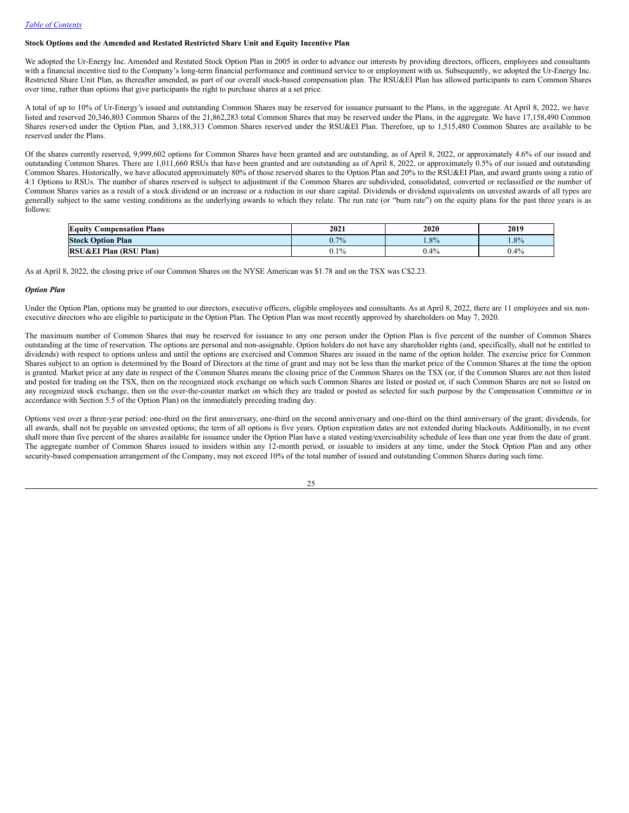## **Stock Options and the Amended and Restated Restricted Share Unit and Equity Incentive Plan**

We adopted the Ur-Energy Inc. Amended and Restated Stock Option Plan in 2005 in order to advance our interests by providing directors, officers, employees and consultants with a financial incentive tied to the Company's long-term financial performance and continued service to or employment with us. Subsequently, we adopted the Ur-Energy Inc. Restricted Share Unit Plan, as thereafter amended, as part of our overall stock-based compensation plan. The RSU&EI Plan has allowed participants to earn Common Shares over time, rather than options that give participants the right to purchase shares at a set price.

A total of up to 10% of Ur-Energy's issued and outstanding Common Shares may be reserved for issuance pursuant to the Plans, in the aggregate. At April 8, 2022, we have listed and reserved 20,346,803 Common Shares of the 21,862,283 total Common Shares that may be reserved under the Plans, in the aggregate. We have 17,158,490 Common Shares reserved under the Option Plan, and 3,188,313 Common Shares reserved under the RSU&EI Plan. Therefore, up to 1,515,480 Common Shares are available to be reserved under the Plans.

Of the shares currently reserved, 9,999,602 options for Common Shares have been granted and are outstanding, as of April 8, 2022, or approximately 4.6% of our issued and outstanding Common Shares. There are 1,011,660 RSUs that have been granted and are outstanding as of April 8, 2022, or approximately 0.5% of our issued and outstanding Common Shares. Historically, we have allocated approximately 80% of those reserved shares to the Option Plan and 20% to the RSU&EI Plan, and award grants using a ratio of 4:1 Options to RSUs. The number of shares reserved is subject to adjustment if the Common Shares are subdivided, consolidated, converted or reclassified or the number of Common Shares varies as a result of a stock dividend or an increase or a reduction in our share capital. Dividends or dividend equivalents on unvested awards of all types are generally subject to the same vesting conditions as the underlying awards to which they relate. The run rate (or "burn rate") on the equity plans for the past three years is as follows:

| Equity<br><b>Compensation Plans</b> | 2021    | 2020 | 2019 |
|-------------------------------------|---------|------|------|
| <b>Stock Option Plan</b>            | 0.7%    | .8%  | .8%  |
| RSU&EI Plan (RSU Plan)              | $0.1\%$ | 0.4% | 0.4% |

As at April 8, 2022, the closing price of our Common Shares on the NYSE American was \$1.78 and on the TSX was C\$2.23.

#### *Option Plan*

Under the Option Plan, options may be granted to our directors, executive officers, eligible employees and consultants. As at April 8, 2022, there are 11 employees and six nonexecutive directors who are eligible to participate in the Option Plan. The Option Plan was most recently approved by shareholders on May 7, 2020.

The maximum number of Common Shares that may be reserved for issuance to any one person under the Option Plan is five percent of the number of Common Shares outstanding at the time of reservation. The options are personal and non-assignable. Option holders do not have any shareholder rights (and, specifically, shall not be entitled to dividends) with respect to options unless and until the options are exercised and Common Shares are issued in the name of the option holder. The exercise price for Common Shares subject to an option is determined by the Board of Directors at the time of grant and may not be less than the market price of the Common Shares at the time the option is granted. Market price at any date in respect of the Common Shares means the closing price of the Common Shares on the TSX (or, if the Common Shares are not then listed and posted for trading on the TSX, then on the recognized stock exchange on which such Common Shares are listed or posted or, if such Common Shares are not so listed on any recognized stock exchange, then on the over-the-counter market on which they are traded or posted as selected for such purpose by the Compensation Committee or in accordance with Section 5.5 of the Option Plan) on the immediately preceding trading day.

Options vest over a three-year period: one-third on the first anniversary, one-third on the second anniversary and one-third on the third anniversary of the grant; dividends, for all awards, shall not be payable on unvested options; the term of all options is five years. Option expiration dates are not extended during blackouts. Additionally, in no event shall more than five percent of the shares available for issuance under the Option Plan have a stated vesting/exercisability schedule of less than one year from the date of grant. The aggregate number of Common Shares issued to insiders within any 12-month period, or issuable to insiders at any time, under the Stock Option Plan and any other security-based compensation arrangement of the Company, may not exceed 10% of the total number of issued and outstanding Common Shares during such time.

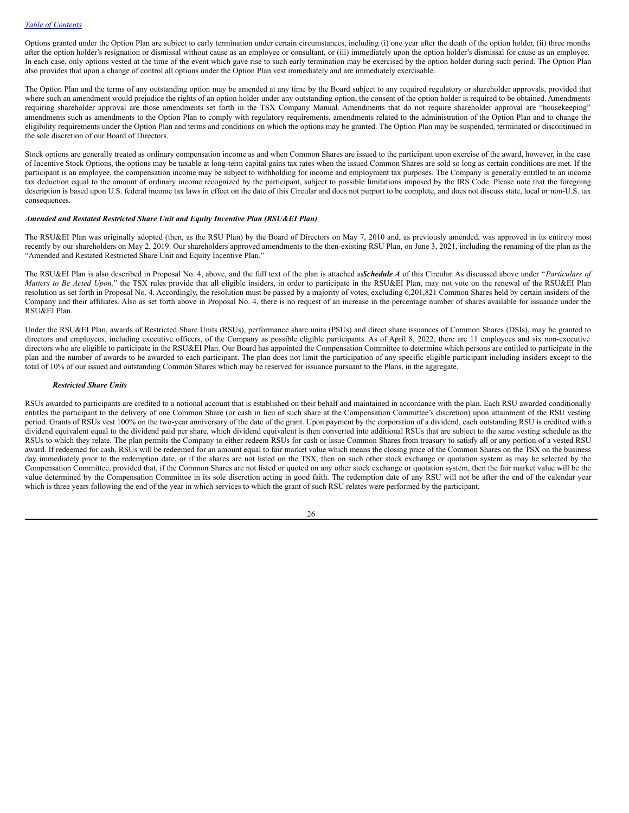Options granted under the Option Plan are subject to early termination under certain circumstances, including (i) one year after the death of the option holder, (ii) three months after the option holder's resignation or dismissal without cause as an employee or consultant, or (iii) immediately upon the option holder's dismissal for cause as an employee. In each case, only options vested at the time of the event which gave rise to such early termination may be exercised by the option holder during such period. The Option Plan also provides that upon a change of control all options under the Option Plan vest immediately and are immediately exercisable.

The Option Plan and the terms of any outstanding option may be amended at any time by the Board subject to any required regulatory or shareholder approvals, provided that where such an amendment would prejudice the rights of an option holder under any outstanding option, the consent of the option holder is required to be obtained. Amendments requiring shareholder approval are those amendments set forth in the TSX Company Manual. Amendments that do not require shareholder approval are "housekeeping" amendments such as amendments to the Option Plan to comply with regulatory requirements, amendments related to the administration of the Option Plan and to change the eligibility requirements under the Option Plan and terms and conditions on which the options may be granted. The Option Plan may be suspended, terminated or discontinued in the sole discretion of our Board of Directors.

Stock options are generally treated as ordinary compensation income as and when Common Shares are issued to the participant upon exercise of the award, however, in the case of Incentive Stock Options, the options may be taxable at long-term capital gains tax rates when the issued Common Shares are sold so long as certain conditions are met. If the participant is an employee, the compensation income may be subject to withholding for income and employment tax purposes. The Company is generally entitled to an income tax deduction equal to the amount of ordinary income recognized by the participant, subject to possible limitations imposed by the IRS Code. Please note that the foregoing description is based upon U.S. federal income tax laws in effect on the date of this Circular and does not purport to be complete, and does not discuss state, local or non-U.S. tax consequences.

## *Amended and Restated Restricted Share Unit and Equity Incentive Plan (RSU&EI Plan)*

The RSU&EI Plan was originally adopted (then, as the RSU Plan) by the Board of Directors on May 7, 2010 and, as previously amended, was approved in its entirety most recently by our shareholders on May 2, 2019. Our shareholders approved amendments to the then-existing RSU Plan, on June 3, 2021, including the renaming of the plan as the "Amended and Restated Restricted Share Unit and Equity Incentive Plan."

The RSU&EI Plan is also described in Proposal No. 4, above, and the full text of the plan is attached as*Schedule A* of this Circular. As discussed above under "*Particulars of Matters to Be Acted Upon,*" the TSX rules provide that all eligible insiders, in order to participate in the RSU&EI Plan, may not vote on the renewal of the RSU&EI Plan resolution as set forth in Proposal No. 4. Accordingly, the resolution must be passed by a majority of votes, excluding 6,201,821 Common Shares held by certain insiders of the Company and their affiliates. Also as set forth above in Proposal No. 4, there is no request of an increase in the percentage number of shares available for issuance under the RSU&EI Plan.

Under the RSU&EI Plan, awards of Restricted Share Units (RSUs), performance share units (PSUs) and direct share issuances of Common Shares (DSIs), may be granted to directors and employees, including executive officers, of the Company as possible eligible participants. As of April 8, 2022, there are 11 employees and six non-executive directors who are eligible to participate in the RSU&EI Plan. Our Board has appointed the Compensation Committee to determine which persons are entitled to participate in the plan and the number of awards to be awarded to each participant. The plan does not limit the participation of any specific eligible participant including insiders except to the total of 10% of our issued and outstanding Common Shares which may be reserved for issuance pursuant to the Plans, in the aggregate.

## *Restricted Share Units*

RSUs awarded to participants are credited to a notional account that is established on their behalf and maintained in accordance with the plan. Each RSU awarded conditionally entitles the participant to the delivery of one Common Share (or cash in lieu of such share at the Compensation Committee's discretion) upon attainment of the RSU vesting period. Grants of RSUs vest 100% on the two-year anniversary of the date of the grant. Upon payment by the corporation of a dividend, each outstanding RSU is credited with a dividend equivalent equal to the dividend paid per share, which dividend equivalent is then converted into additional RSUs that are subject to the same vesting schedule as the RSUs to which they relate. The plan permits the Company to either redeem RSUs for cash or issue Common Shares from treasury to satisfy all or any portion of a vested RSU award. If redeemed for cash, RSUs will be redeemed for an amount equal to fair market value which means the closing price of the Common Shares on the TSX on the business day immediately prior to the redemption date, or if the shares are not listed on the TSX, then on such other stock exchange or quotation system as may be selected by the Compensation Committee, provided that, if the Common Shares are not listed or quoted on any other stock exchange or quotation system, then the fair market value will be the value determined by the Compensation Committee in its sole discretion acting in good faith. The redemption date of any RSU will not be after the end of the calendar year which is three years following the end of the year in which services to which the grant of such RSU relates were performed by the participant.

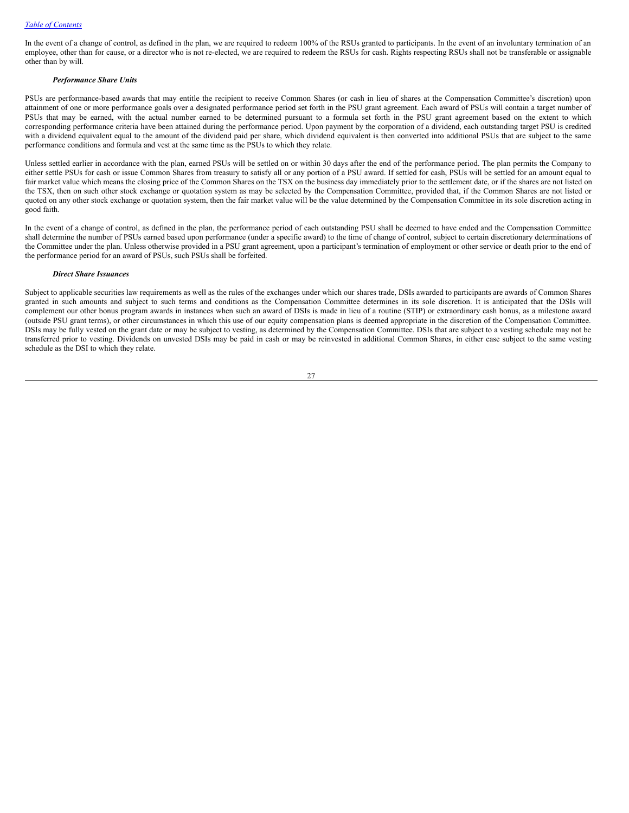In the event of a change of control, as defined in the plan, we are required to redeem 100% of the RSUs granted to participants. In the event of an involuntary termination of an employee, other than for cause, or a director who is not re-elected, we are required to redeem the RSUs for cash. Rights respecting RSUs shall not be transferable or assignable other than by will.

#### *Performance Share Units*

PSUs are performance-based awards that may entitle the recipient to receive Common Shares (or cash in lieu of shares at the Compensation Committee's discretion) upon attainment of one or more performance goals over a designated performance period set forth in the PSU grant agreement. Each award of PSUs will contain a target number of PSUs that may be earned, with the actual number earned to be determined pursuant to a formula set forth in the PSU grant agreement based on the extent to which corresponding performance criteria have been attained during the performance period. Upon payment by the corporation of a dividend, each outstanding target PSU is credited with a dividend equivalent equal to the amount of the dividend paid per share, which dividend equivalent is then converted into additional PSUs that are subject to the same performance conditions and formula and vest at the same time as the PSUs to which they relate.

Unless settled earlier in accordance with the plan, earned PSUs will be settled on or within 30 days after the end of the performance period. The plan permits the Company to either settle PSUs for cash or issue Common Shares from treasury to satisfy all or any portion of a PSU award. If settled for cash, PSUs will be settled for an amount equal to fair market value which means the closing price of the Common Shares on the TSX on the business day immediately prior to the settlement date, or if the shares are not listed on the TSX, then on such other stock exchange or quotation system as may be selected by the Compensation Committee, provided that, if the Common Shares are not listed or quoted on any other stock exchange or quotation system, then the fair market value will be the value determined by the Compensation Committee in its sole discretion acting in good faith.

In the event of a change of control, as defined in the plan, the performance period of each outstanding PSU shall be deemed to have ended and the Compensation Committee shall determine the number of PSUs earned based upon performance (under a specific award) to the time of change of control, subject to certain discretionary determinations of the Committee under the plan. Unless otherwise provided in a PSU grant agreement, upon a participant's termination of employment or other service or death prior to the end of the performance period for an award of PSUs, such PSUs shall be forfeited.

#### *Direct Share Issuances*

Subject to applicable securities law requirements as well as the rules of the exchanges under which our shares trade, DSIs awarded to participants are awards of Common Shares granted in such amounts and subject to such terms and conditions as the Compensation Committee determines in its sole discretion. It is anticipated that the DSIs will complement our other bonus program awards in instances when such an award of DSIs is made in lieu of a routine (STIP) or extraordinary cash bonus, as a milestone award (outside PSU grant terms), or other circumstances in which this use of our equity compensation plans is deemed appropriate in the discretion of the Compensation Committee. DSIs may be fully vested on the grant date or may be subject to vesting, as determined by the Compensation Committee. DSIs that are subject to a vesting schedule may not be transferred prior to vesting. Dividends on unvested DSIs may be paid in cash or may be reinvested in additional Common Shares, in either case subject to the same vesting schedule as the DSI to which they relate.

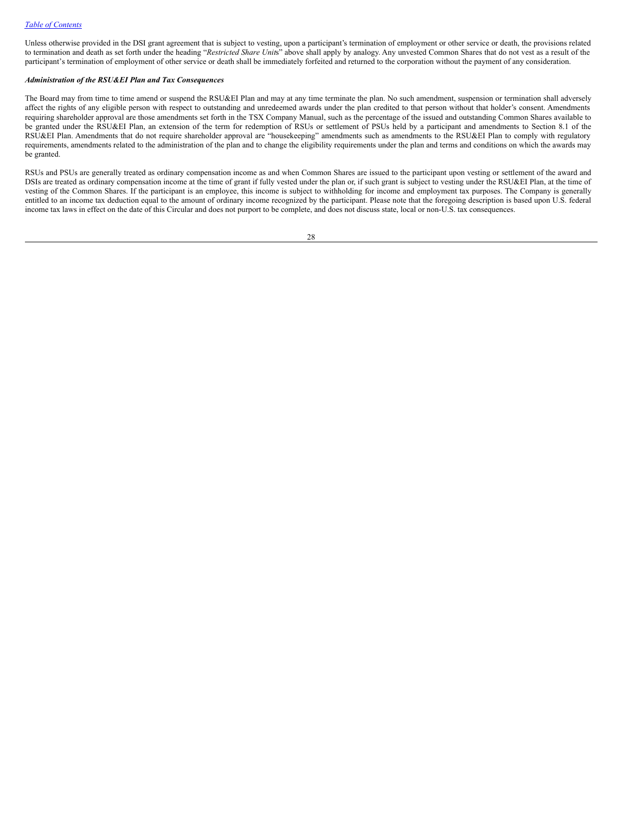Unless otherwise provided in the DSI grant agreement that is subject to vesting, upon a participant's termination of employment or other service or death, the provisions related to termination and death as set forth under the heading "*Restricted Share Unit*s" above shall apply by analogy. Any unvested Common Shares that do not vest as a result of the participant's termination of employment of other service or death shall be immediately forfeited and returned to the corporation without the payment of any consideration.

#### *Administration of the RSU&EI Plan and Tax Consequences*

The Board may from time to time amend or suspend the RSU&EI Plan and may at any time terminate the plan. No such amendment, suspension or termination shall adversely affect the rights of any eligible person with respect to outstanding and unredeemed awards under the plan credited to that person without that holder's consent. Amendments requiring shareholder approval are those amendments set forth in the TSX Company Manual, such as the percentage of the issued and outstanding Common Shares available to be granted under the RSU&EI Plan, an extension of the term for redemption of RSUs or settlement of PSUs held by a participant and amendments to Section 8.1 of the RSU&EI Plan. Amendments that do not require shareholder approval are "housekeeping" amendments such as amendments to the RSU&EI Plan to comply with regulatory requirements, amendments related to the administration of the plan and to change the eligibility requirements under the plan and terms and conditions on which the awards may be granted.

RSUs and PSUs are generally treated as ordinary compensation income as and when Common Shares are issued to the participant upon vesting or settlement of the award and DSIs are treated as ordinary compensation income at the time of grant if fully vested under the plan or, if such grant is subject to vesting under the RSU&EI Plan, at the time of vesting of the Common Shares. If the participant is an employee, this income is subject to withholding for income and employment tax purposes. The Company is generally entitled to an income tax deduction equal to the amount of ordinary income recognized by the participant. Please note that the foregoing description is based upon U.S. federal income tax laws in effect on the date of this Circular and does not purport to be complete, and does not discuss state, local or non-U.S. tax consequences.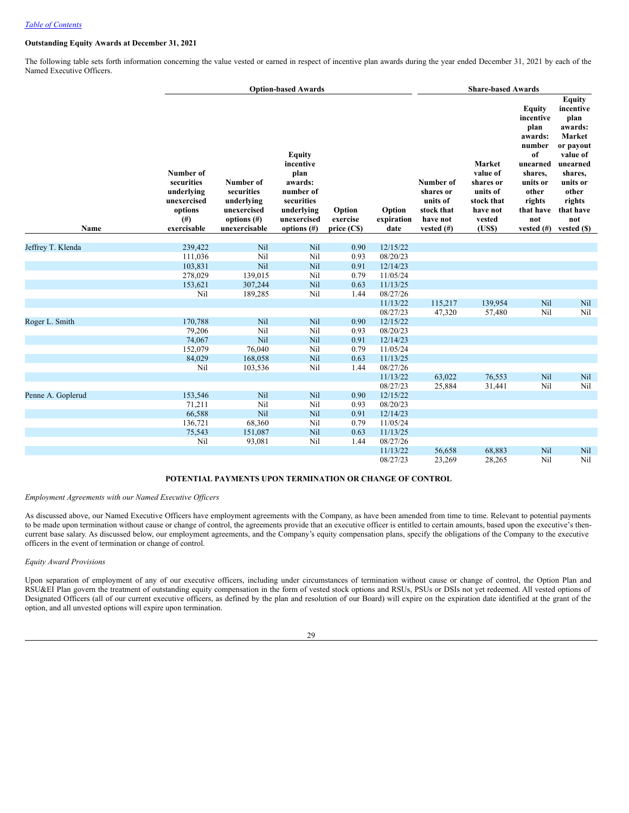## **Outstanding Equity Awards at December 31, 2021**

The following table sets forth information concerning the value vested or earned in respect of incentive plan awards during the year ended December 31, 2021 by each of the Named Executive Officers.

|                   |                                                                                          | <b>Option-based Awards</b>                                                              |                                                                                                                         |                                   |                              | <b>Share-based Awards</b>                                                     |                                                                                                 |                                                                                                                                                          |                                                                                                                                                                           |
|-------------------|------------------------------------------------------------------------------------------|-----------------------------------------------------------------------------------------|-------------------------------------------------------------------------------------------------------------------------|-----------------------------------|------------------------------|-------------------------------------------------------------------------------|-------------------------------------------------------------------------------------------------|----------------------------------------------------------------------------------------------------------------------------------------------------------|---------------------------------------------------------------------------------------------------------------------------------------------------------------------------|
| Name              | Number of<br>securities<br>underlying<br>unexercised<br>options<br>$($ #)<br>exercisable | Number of<br>securities<br>underlying<br>unexercised<br>options $(\#)$<br>unexercisable | <b>Equity</b><br>incentive<br>plan<br>awards:<br>number of<br>securities<br>underlying<br>unexercised<br>options $(\#)$ | Option<br>exercise<br>price (C\$) | Option<br>expiration<br>date | Number of<br>shares or<br>units of<br>stock that<br>have not<br>vested $(\#)$ | <b>Market</b><br>value of<br>shares or<br>units of<br>stock that<br>have not<br>vested<br>(USS) | <b>Equity</b><br>incentive<br>plan<br>awards:<br>number<br>of<br>unearned<br>shares,<br>units or<br>other<br>rights<br>that have<br>not<br>vested $(\#)$ | <b>Equity</b><br>incentive<br>plan<br>awards:<br>Market<br>or payout<br>value of<br>unearned<br>shares,<br>units or<br>other<br>rights<br>that have<br>not<br>vested (\$) |
|                   |                                                                                          |                                                                                         |                                                                                                                         |                                   |                              |                                                                               |                                                                                                 |                                                                                                                                                          |                                                                                                                                                                           |
| Jeffrey T. Klenda | 239,422                                                                                  | Nil                                                                                     | Nil                                                                                                                     | 0.90                              | 12/15/22                     |                                                                               |                                                                                                 |                                                                                                                                                          |                                                                                                                                                                           |
|                   | 111,036                                                                                  | Nil                                                                                     | Nil                                                                                                                     | 0.93                              | 08/20/23                     |                                                                               |                                                                                                 |                                                                                                                                                          |                                                                                                                                                                           |
|                   | 103,831                                                                                  | Nil                                                                                     | Nil                                                                                                                     | 0.91                              | 12/14/23                     |                                                                               |                                                                                                 |                                                                                                                                                          |                                                                                                                                                                           |
|                   | 278,029                                                                                  | 139,015                                                                                 | Nil                                                                                                                     | 0.79                              | 11/05/24                     |                                                                               |                                                                                                 |                                                                                                                                                          |                                                                                                                                                                           |
|                   | 153,621                                                                                  | 307,244                                                                                 | Nil                                                                                                                     | 0.63                              | 11/13/25                     |                                                                               |                                                                                                 |                                                                                                                                                          |                                                                                                                                                                           |
|                   | Nil                                                                                      | 189,285                                                                                 | Nil                                                                                                                     | 1.44                              | 08/27/26                     |                                                                               |                                                                                                 |                                                                                                                                                          |                                                                                                                                                                           |
|                   |                                                                                          |                                                                                         |                                                                                                                         |                                   | 11/13/22                     | 115,217                                                                       | 139,954                                                                                         | Nil                                                                                                                                                      | Nil                                                                                                                                                                       |
|                   |                                                                                          |                                                                                         |                                                                                                                         |                                   | 08/27/23                     | 47,320                                                                        | 57,480                                                                                          | Nil                                                                                                                                                      | Nil                                                                                                                                                                       |
| Roger L. Smith    | 170,788                                                                                  | Nil                                                                                     | Nil                                                                                                                     | 0.90                              | 12/15/22                     |                                                                               |                                                                                                 |                                                                                                                                                          |                                                                                                                                                                           |
|                   | 79,206                                                                                   | Nil                                                                                     | Nil                                                                                                                     | 0.93                              | 08/20/23                     |                                                                               |                                                                                                 |                                                                                                                                                          |                                                                                                                                                                           |
|                   | 74,067                                                                                   | Nil                                                                                     | Nil                                                                                                                     | 0.91                              | 12/14/23                     |                                                                               |                                                                                                 |                                                                                                                                                          |                                                                                                                                                                           |
|                   | 152,079                                                                                  | 76,040                                                                                  | Nil                                                                                                                     | 0.79                              | 11/05/24                     |                                                                               |                                                                                                 |                                                                                                                                                          |                                                                                                                                                                           |
|                   | 84,029                                                                                   | 168,058                                                                                 | Nil                                                                                                                     | 0.63                              | 11/13/25                     |                                                                               |                                                                                                 |                                                                                                                                                          |                                                                                                                                                                           |
|                   | Nil                                                                                      | 103,536                                                                                 | Nil                                                                                                                     | 1.44                              | 08/27/26                     |                                                                               |                                                                                                 |                                                                                                                                                          |                                                                                                                                                                           |
|                   |                                                                                          |                                                                                         |                                                                                                                         |                                   | 11/13/22                     | 63,022                                                                        | 76,553                                                                                          | Nil                                                                                                                                                      | Nil                                                                                                                                                                       |
|                   |                                                                                          |                                                                                         |                                                                                                                         |                                   | 08/27/23                     | 25,884                                                                        | 31,441                                                                                          | Nil                                                                                                                                                      | Nil                                                                                                                                                                       |
| Penne A. Goplerud | 153,546                                                                                  | Nil                                                                                     | Nil                                                                                                                     | 0.90                              | 12/15/22                     |                                                                               |                                                                                                 |                                                                                                                                                          |                                                                                                                                                                           |
|                   | 71,211                                                                                   | Nil                                                                                     | Nil                                                                                                                     | 0.93                              | 08/20/23                     |                                                                               |                                                                                                 |                                                                                                                                                          |                                                                                                                                                                           |
|                   | 66,588                                                                                   | Nil                                                                                     | Nil                                                                                                                     | 0.91                              | 12/14/23                     |                                                                               |                                                                                                 |                                                                                                                                                          |                                                                                                                                                                           |
|                   | 136,721                                                                                  | 68,360                                                                                  | Nil                                                                                                                     | 0.79                              | 11/05/24                     |                                                                               |                                                                                                 |                                                                                                                                                          |                                                                                                                                                                           |
|                   | 75,543                                                                                   | 151,087                                                                                 | Nil<br>Nil                                                                                                              | 0.63                              | 11/13/25<br>08/27/26         |                                                                               |                                                                                                 |                                                                                                                                                          |                                                                                                                                                                           |
|                   | Nil                                                                                      | 93,081                                                                                  |                                                                                                                         | 1.44                              | 11/13/22                     | 56,658                                                                        | 68,883                                                                                          | Nil                                                                                                                                                      | Nil                                                                                                                                                                       |
|                   |                                                                                          |                                                                                         |                                                                                                                         |                                   | 08/27/23                     | 23,269                                                                        | 28,265                                                                                          | Nil                                                                                                                                                      | Nil                                                                                                                                                                       |
|                   |                                                                                          |                                                                                         |                                                                                                                         |                                   |                              |                                                                               |                                                                                                 |                                                                                                                                                          |                                                                                                                                                                           |

## <span id="page-31-0"></span>**POTENTIAL PAYMENTS UPON TERMINATION OR CHANGE OF CONTROL**

*Employment Agreements with our Named Executive Of icers*

As discussed above, our Named Executive Officers have employment agreements with the Company, as have been amended from time to time. Relevant to potential payments to be made upon termination without cause or change of control, the agreements provide that an executive officer is entitled to certain amounts, based upon the executive's thencurrent base salary. As discussed below, our employment agreements, and the Company's equity compensation plans, specify the obligations of the Company to the executive officers in the event of termination or change of control.

## *Equity Award Provisions*

Upon separation of employment of any of our executive officers, including under circumstances of termination without cause or change of control, the Option Plan and RSU&EI Plan govern the treatment of outstanding equity compensation in the form of vested stock options and RSUs, PSUs or DSIs not yet redeemed. All vested options of Designated Officers (all of our current executive officers, as defined by the plan and resolution of our Board) will expire on the expiration date identified at the grant of the option, and all unvested options will expire upon termination.

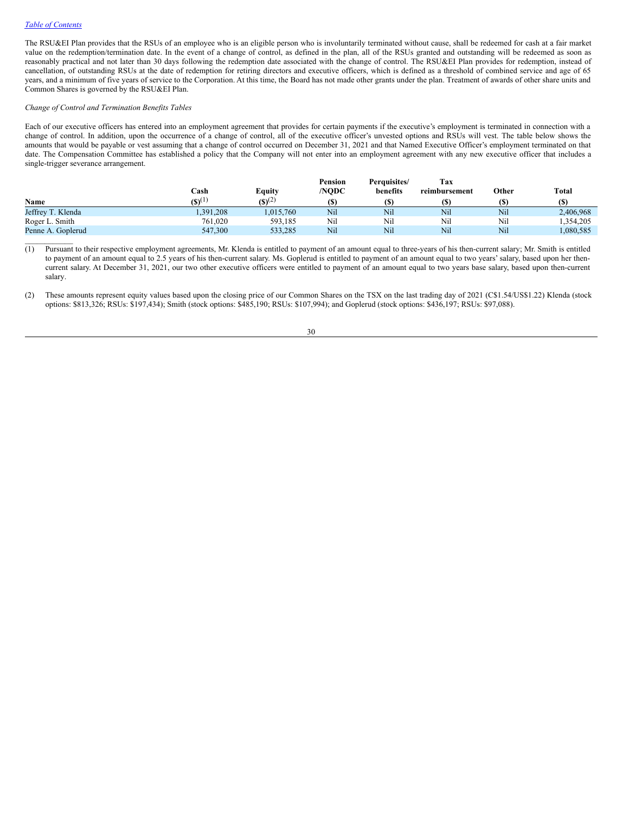The RSU&EI Plan provides that the RSUs of an employee who is an eligible person who is involuntarily terminated without cause, shall be redeemed for cash at a fair market value on the redemption/termination date. In the event of a change of control, as defined in the plan, all of the RSUs granted and outstanding will be redeemed as soon as reasonably practical and not later than 30 days following the redemption date associated with the change of control. The RSU&EI Plan provides for redemption, instead of cancellation, of outstanding RSUs at the date of redemption for retiring directors and executive officers, which is defined as a threshold of combined service and age of 65 years, and a minimum of five years of service to the Corporation. At this time, the Board has not made other grants under the plan. Treatment of awards of other share units and Common Shares is governed by the RSU&EI Plan.

## *Change of Control and Termination Benefits Tables*

Each of our executive officers has entered into an employment agreement that provides for certain payments if the executive's employment is terminated in connection with a change of control. In addition, upon the occurrence of a change of control, all of the executive officer's unvested options and RSUs will vest. The table below shows the amounts that would be payable or vest assuming that a change of control occurred on December 31, 2021 and that Named Executive Officer's employment terminated on that date. The Compensation Committee has established a policy that the Company will not enter into an employment agreement with any new executive officer that includes a single-trigger severance arrangement.

|                   |             |             | Pension | Perquisites/ | Tax           |       |           |
|-------------------|-------------|-------------|---------|--------------|---------------|-------|-----------|
|                   | Cash        | Equity      | /NODC   | benefits     | reimbursement | Other | Total     |
| Name              | $(S)^{(1)}$ | $(S)^{(2)}$ | (S)     | (S           | (S)           | (S    | (S)       |
| Jeffrey T. Klenda | .391,208    | 1,015,760   | Nil     | Nil          | Nil           | Nil   | 2,406,968 |
| Roger L. Smith    | 761,020     | 593.185     | Nil     | Nil          | Nil           | Nil   | 1,354,205 |
| Penne A. Goplerud | 547,300     | 533.285     | Nil     | Nil          | Nil           | Nil   | 1,080,585 |
|                   |             |             |         |              |               |       |           |

(1) Pursuant to their respective employment agreements, Mr. Klenda is entitled to payment of an amount equal to three-years of his then-current salary; Mr. Smith is entitled to payment of an amount equal to 2.5 years of his then-current salary. Ms. Goplerud is entitled to payment of an amount equal to two years' salary, based upon her thencurrent salary. At December 31, 2021, our two other executive officers were entitled to payment of an amount equal to two years base salary, based upon then-current salary.

(2) These amounts represent equity values based upon the closing price of our Common Shares on the TSX on the last trading day of 2021 (C\$1.54/US\$1.22) Klenda (stock options: \$813,326; RSUs: \$197,434); Smith (stock options: \$485,190; RSUs: \$107,994); and Goplerud (stock options: \$436,197; RSUs: \$97,088).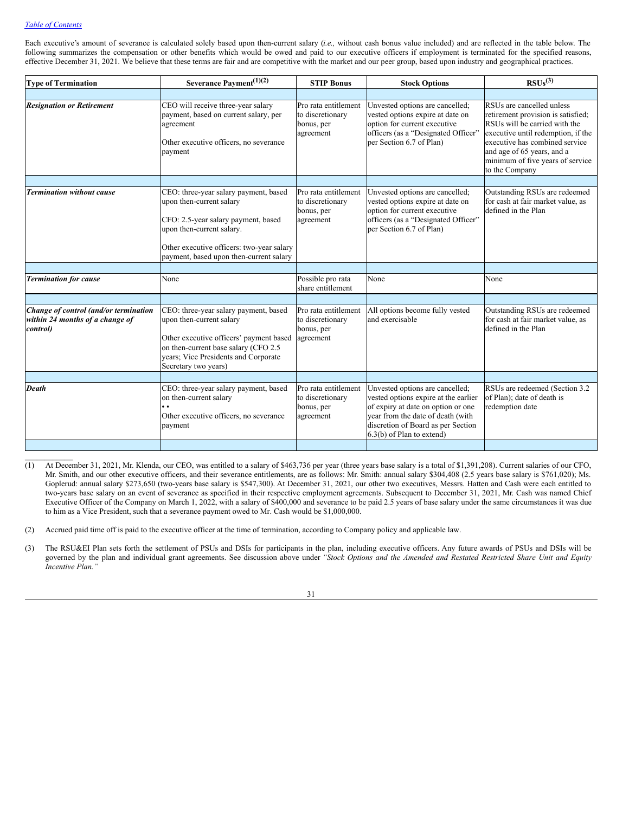## *Table of [Contents](#page-2-0)*

 $\mathcal{L}=\mathcal{L}^{\mathcal{L}}$ 

Each executive's amount of severance is calculated solely based upon then-current salary (*i.e.,* without cash bonus value included) and are reflected in the table below. The following summarizes the compensation or other benefits which would be owed and paid to our executive officers if employment is terminated for the specified reasons, effective December 31, 2021. We believe that these terms are fair and are competitive with the market and our peer group, based upon industry and geographical practices.

| <b>Type of Termination</b>                                                           | Severance Payment <sup>(1)(2)</sup>                                                                                                                                                                                           | <b>STIP Bonus</b>                                                   | <b>Stock Options</b>                                                                                                                                                                                                  | RSUs <sup>(3)</sup>                                                                                                                                                                                                                                          |
|--------------------------------------------------------------------------------------|-------------------------------------------------------------------------------------------------------------------------------------------------------------------------------------------------------------------------------|---------------------------------------------------------------------|-----------------------------------------------------------------------------------------------------------------------------------------------------------------------------------------------------------------------|--------------------------------------------------------------------------------------------------------------------------------------------------------------------------------------------------------------------------------------------------------------|
|                                                                                      |                                                                                                                                                                                                                               |                                                                     |                                                                                                                                                                                                                       |                                                                                                                                                                                                                                                              |
| <b>Resignation or Retirement</b>                                                     | CEO will receive three-year salary<br>payment, based on current salary, per<br>agreement<br>Other executive officers, no severance<br>payment                                                                                 | Pro rata entitlement<br>to discretionary<br>bonus, per<br>agreement | Unvested options are cancelled;<br>vested options expire at date on<br>option for current executive<br>officers (as a "Designated Officer"<br>per Section 6.7 of Plan)                                                | RSUs are cancelled unless<br>retirement provision is satisfied;<br>RSUs will be carried with the<br>executive until redemption, if the<br>executive has combined service<br>and age of 65 years, and a<br>minimum of five years of service<br>to the Company |
|                                                                                      |                                                                                                                                                                                                                               |                                                                     |                                                                                                                                                                                                                       |                                                                                                                                                                                                                                                              |
| <b>Termination without cause</b>                                                     | CEO: three-year salary payment, based<br>upon then-current salary<br>CFO: 2.5-year salary payment, based<br>upon then-current salary.<br>Other executive officers: two-year salary<br>payment, based upon then-current salary | Pro rata entitlement<br>to discretionary<br>bonus, per<br>agreement | Unvested options are cancelled;<br>vested options expire at date on<br>option for current executive<br>officers (as a "Designated Officer"<br>per Section 6.7 of Plan)                                                | Outstanding RSUs are redeemed<br>for cash at fair market value, as<br>defined in the Plan                                                                                                                                                                    |
|                                                                                      |                                                                                                                                                                                                                               |                                                                     |                                                                                                                                                                                                                       |                                                                                                                                                                                                                                                              |
| <b>Termination for cause</b>                                                         | None                                                                                                                                                                                                                          | Possible pro rata<br>share entitlement                              | None                                                                                                                                                                                                                  | None                                                                                                                                                                                                                                                         |
|                                                                                      |                                                                                                                                                                                                                               |                                                                     |                                                                                                                                                                                                                       |                                                                                                                                                                                                                                                              |
| Change of control (and/or termination<br>within 24 months of a change of<br>control) | CEO: three-year salary payment, based<br>upon then-current salary<br>Other executive officers' payment based<br>on then-current base salary (CFO 2.5<br>years; Vice Presidents and Corporate<br>Secretary two years)          | Pro rata entitlement<br>to discretionary<br>bonus, per<br>agreement | All options become fully vested<br>and exercisable                                                                                                                                                                    | Outstanding RSUs are redeemed<br>for cash at fair market value, as<br>defined in the Plan                                                                                                                                                                    |
|                                                                                      |                                                                                                                                                                                                                               |                                                                     |                                                                                                                                                                                                                       |                                                                                                                                                                                                                                                              |
| <b>Death</b>                                                                         | CEO: three-year salary payment, based<br>on then-current salary<br>. .<br>Other executive officers, no severance<br>payment                                                                                                   | Pro rata entitlement<br>to discretionary<br>bonus, per<br>agreement | Unvested options are cancelled;<br>vested options expire at the earlier<br>of expiry at date on option or one<br>year from the date of death (with<br>discretion of Board as per Section<br>6.3(b) of Plan to extend) | RSUs are redeemed (Section 3.2)<br>of Plan); date of death is<br>redemption date                                                                                                                                                                             |
|                                                                                      |                                                                                                                                                                                                                               |                                                                     |                                                                                                                                                                                                                       |                                                                                                                                                                                                                                                              |

(1) At December 31, 2021, Mr. Klenda, our CEO, was entitled to a salary of \$463,736 per year (three years base salary is a total of \$1,391,208). Current salaries of our CFO, Mr. Smith, and our other executive officers, and their severance entitlements, are as follows: Mr. Smith: annual salary \$304,408 (2.5 years base salary is \$761,020); Ms. Goplerud: annual salary \$273,650 (two-years base salary is \$547,300). At December 31, 2021, our other two executives, Messrs. Hatten and Cash were each entitled to two-years base salary on an event of severance as specified in their respective employment agreements. Subsequent to December 31, 2021, Mr. Cash was named Chief Executive Officer of the Company on March 1, 2022, with a salary of \$400,000 and severance to be paid 2.5 years of base salary under the same circumstances it was due to him as a Vice President, such that a severance payment owed to Mr. Cash would be \$1,000,000.

(2) Accrued paid time off is paid to the executive officer at the time of termination, according to Company policy and applicable law.

(3) The RSU&EI Plan sets forth the settlement of PSUs and DSIs for participants in the plan, including executive officers. Any future awards of PSUs and DSIs will be governed by the plan and individual grant agreements. See discussion above under "Stock Options and the Amended and Restated Restricted Share Unit and Equity *Incentive Plan."*

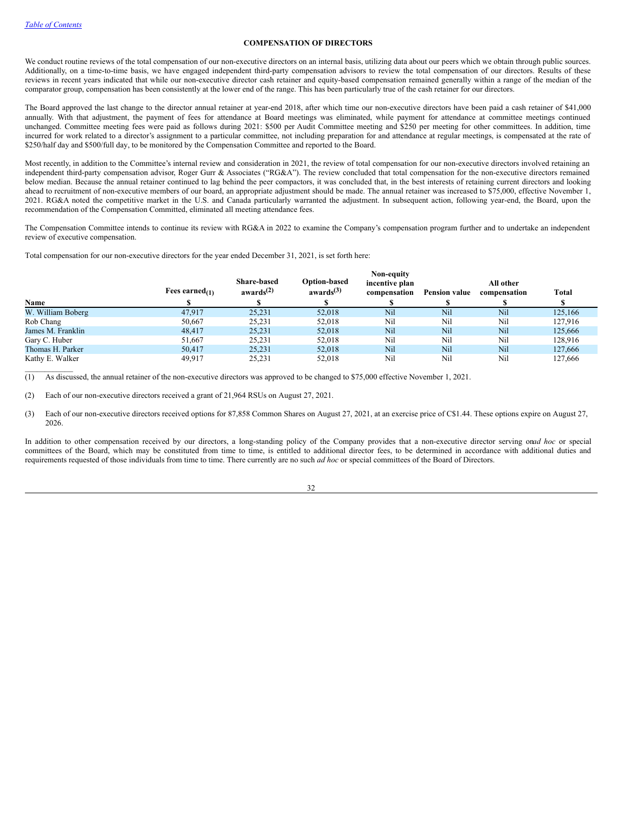$\mathcal{L}=\mathcal{L}^{\mathcal{L}}$ 

## <span id="page-34-0"></span>**COMPENSATION OF DIRECTORS**

We conduct routine reviews of the total compensation of our non-executive directors on an internal basis, utilizing data about our peers which we obtain through public sources. Additionally, on a time-to-time basis, we have engaged independent third-party compensation advisors to review the total compensation of our directors. Results of these reviews in recent years indicated that while our non-executive director cash retainer and equity-based compensation remained generally within a range of the median of the comparator group, compensation has been consistently at the lower end of the range. This has been particularly true of the cash retainer for our directors.

The Board approved the last change to the director annual retainer at year-end 2018, after which time our non-executive directors have been paid a cash retainer of \$41,000 annually. With that adjustment, the payment of fees for attendance at Board meetings was eliminated, while payment for attendance at committee meetings continued unchanged. Committee meeting fees were paid as follows during 2021: \$500 per Audit Committee meeting and \$250 per meeting for other committees. In addition, time incurred for work related to a director's assignment to a particular committee, not including preparation for and attendance at regular meetings, is compensated at the rate of \$250/half day and \$500/full day, to be monitored by the Compensation Committee and reported to the Board.

Most recently, in addition to the Committee's internal review and consideration in 2021, the review of total compensation for our non-executive directors involved retaining an independent third-party compensation advisor, Roger Gurr & Associates ("RG&A"). The review concluded that total compensation for the non-executive directors remained below median. Because the annual retainer continued to lag behind the peer compactors, it was concluded that, in the best interests of retaining current directors and looking ahead to recruitment of non-executive members of our board, an appropriate adjustment should be made. The annual retainer was increased to \$75,000, effective November 1, 2021. RG&A noted the competitive market in the U.S. and Canada particularly warranted the adjustment. In subsequent action, following year-end, the Board, upon the recommendation of the Compensation Committed, eliminated all meeting attendance fees.

The Compensation Committee intends to continue its review with RG&A in 2022 to examine the Company's compensation program further and to undertake an independent review of executive compensation.

Total compensation for our non-executive directors for the year ended December 31, 2021, is set forth here:

|                   | Fees earned $_{(1)}$ | <b>Share-based</b><br>awards $^{(2)}$ | <b>Option-based</b><br>awards $(3)$ | Non-equity<br>incentive plan<br>compensation | <b>Pension value</b> | All other<br>compensation | Total   |
|-------------------|----------------------|---------------------------------------|-------------------------------------|----------------------------------------------|----------------------|---------------------------|---------|
| Name              |                      |                                       |                                     |                                              |                      |                           |         |
| W. William Boberg | 47.917               | 25,231                                | 52.018                              | <b>Nil</b>                                   | Nil                  | <b>Nil</b>                | 125,166 |
| Rob Chang         | 50.667               | 25.231                                | 52,018                              | Nil                                          | Nil                  | Nil                       | 127,916 |
| James M. Franklin | 48,417               | 25,231                                | 52.018                              | Nil                                          | Nil                  | <b>Nil</b>                | 125,666 |
| Gary C. Huber     | 51,667               | 25.231                                | 52,018                              | Nil                                          | Nil                  | Nil                       | 128,916 |
| Thomas H. Parker  | 50.417               | 25,231                                | 52,018                              | Nil                                          | Nil                  | <b>Nil</b>                | 127,666 |
| Kathy E. Walker   | 49.917               | 25.231                                | 52,018                              | Nil                                          | Nil                  | Nil                       | 127,666 |

(1) As discussed, the annual retainer of the non-executive directors was approved to be changed to \$75,000 effective November 1, 2021.

(2) Each of our non-executive directors received a grant of 21,964 RSUs on August 27, 2021.

(3) Each of our non-executive directors received options for 87,858 Common Shares on August 27, 2021, at an exercise price of C\$1.44. These options expire on August 27, 2026.

In addition to other compensation received by our directors, a long-standing policy of the Company provides that a non-executive director serving on*ad hoc* or special committees of the Board, which may be constituted from time to time, is entitled to additional director fees, to be determined in accordance with additional duties and requirements requested of those individuals from time to time. There currently are no such *ad hoc* or special committees of the Board of Directors.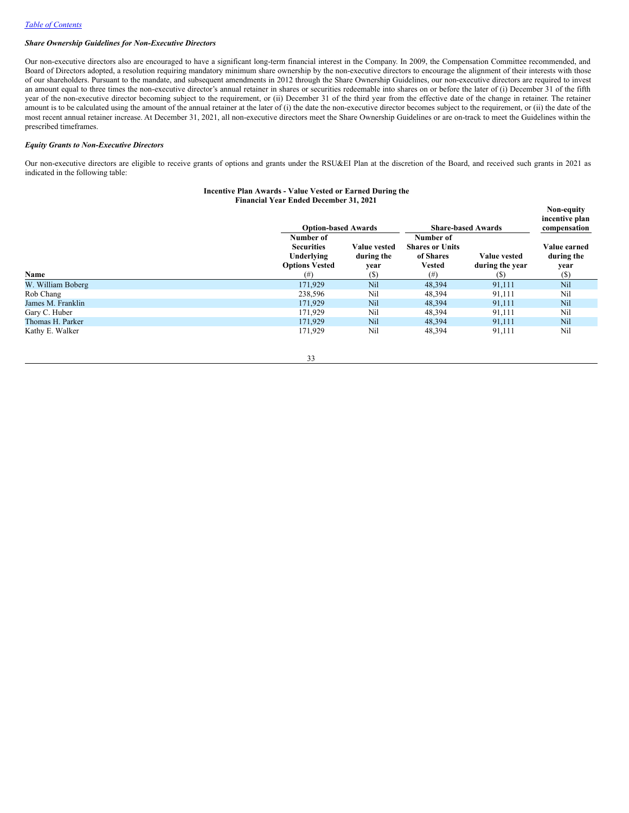## *Share Ownership Guidelines for Non-Executive Directors*

Our non-executive directors also are encouraged to have a significant long-term financial interest in the Company. In 2009, the Compensation Committee recommended, and Board of Directors adopted, a resolution requiring mandatory minimum share ownership by the non-executive directors to encourage the alignment of their interests with those of our shareholders. Pursuant to the mandate, and subsequent amendments in 2012 through the Share Ownership Guidelines, our non-executive directors are required to invest an amount equal to three times the non-executive director's annual retainer in shares or securities redeemable into shares on or before the later of (i) December 31 of the fifth year of the non-executive director becoming subject to the requirement, or (ii) December 31 of the third year from the effective date of the change in retainer. The retainer amount is to be calculated using the amount of the annual retainer at the later of (i) the date the non-executive director becomes subject to the requirement, or (ii) the date of the most recent annual retainer increase. At December 31, 2021, all non-executive directors meet the Share Ownership Guidelines or are on-track to meet the Guidelines within the prescribed timeframes.

## *Equity Grants to Non-Executive Directors*

Our non-executive directors are eligible to receive grants of options and grants under the RSU&EI Plan at the discretion of the Board, and received such grants in 2021 as indicated in the following table:

### **Incentive Plan Awards - Value Vested or Earned During the Financial Year Ended December 31, 2021**

|                   | <b>Option-based Awards</b>                                            |                                           | <b>Share-based Awards</b>                                         | Non-equity<br>incentive plan<br>compensation |                                    |
|-------------------|-----------------------------------------------------------------------|-------------------------------------------|-------------------------------------------------------------------|----------------------------------------------|------------------------------------|
|                   | Number of<br><b>Securities</b><br>Underlying<br><b>Options Vested</b> | <b>Value vested</b><br>during the<br>year | Number of<br><b>Shares or Units</b><br>of Shares<br><b>Vested</b> | <b>Value vested</b><br>during the year       | Value earned<br>during the<br>vear |
| Name              | (# )                                                                  | (\$)                                      | (# )                                                              | (S)                                          | (S)                                |
| W. William Boberg | 171,929                                                               | Nil                                       | 48,394                                                            | 91,111                                       | Nil                                |
| Rob Chang         | 238,596                                                               | Nil                                       | 48.394                                                            | 91,111                                       | Nil                                |
| James M. Franklin | 171,929                                                               | Nil                                       | 48,394                                                            | 91,111                                       | Nil                                |
| Gary C. Huber     | 171.929                                                               | Nil                                       | 48.394                                                            | 91.111                                       | Nil                                |
| Thomas H. Parker  | 171,929                                                               | Nil                                       | 48.394                                                            | 91,111                                       | Nil                                |
| Kathy E. Walker   | 171.929                                                               | Nil                                       | 48,394                                                            | 91,111                                       | Nil                                |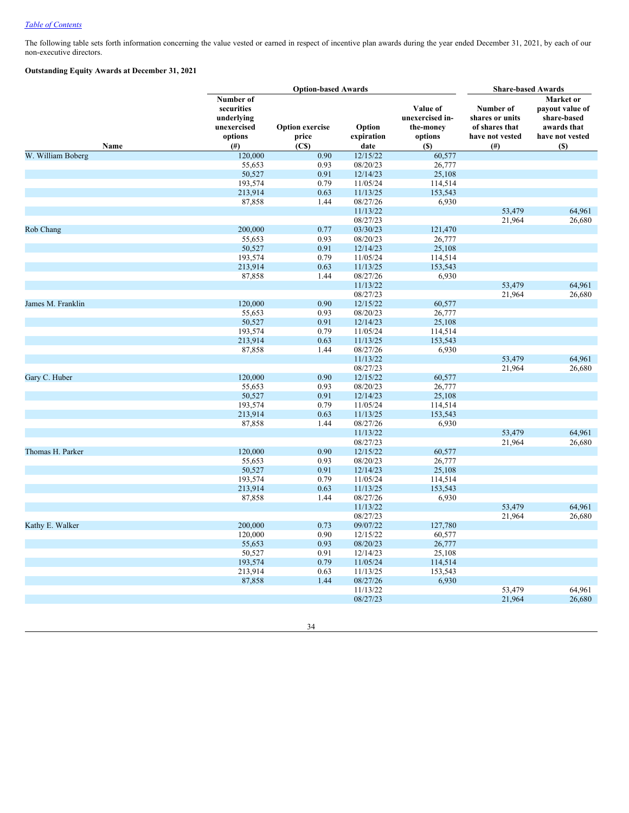## *Table of [Contents](#page-2-0)*

The following table sets forth information concerning the value vested or earned in respect of incentive plan awards during the year ended December 31, 2021, by each of our non-executive directors.

## **Outstanding Equity Awards at December 31, 2021**

|                   | <b>Option-based Awards</b>                                              |                                                      |                              | <b>Share-based Awards</b>                                  |                                                                           |                                                                                         |
|-------------------|-------------------------------------------------------------------------|------------------------------------------------------|------------------------------|------------------------------------------------------------|---------------------------------------------------------------------------|-----------------------------------------------------------------------------------------|
| Name              | Number of<br>securities<br>underlying<br>unexercised<br>options<br>(# ) | <b>Option exercise</b><br>price<br>(C <sub>s</sub> ) | Option<br>expiration<br>date | Value of<br>unexercised in-<br>the-money<br>options<br>(S) | Number of<br>shares or units<br>of shares that<br>have not vested<br>(# ) | Market or<br>payout value of<br>share-based<br>awards that<br>have not vested<br>$(\$)$ |
| W. William Boberg | 120,000                                                                 | 0.90                                                 | 12/15/22                     | 60,577                                                     |                                                                           |                                                                                         |
|                   | 55,653                                                                  | 0.93                                                 | 08/20/23                     | 26,777                                                     |                                                                           |                                                                                         |
|                   | 50,527                                                                  | 0.91                                                 | 12/14/23                     | 25,108                                                     |                                                                           |                                                                                         |
|                   | 193,574                                                                 | 0.79                                                 | 11/05/24                     | 114,514                                                    |                                                                           |                                                                                         |
|                   | 213,914                                                                 | 0.63                                                 | 11/13/25                     | 153,543                                                    |                                                                           |                                                                                         |
|                   | 87,858                                                                  | 1.44                                                 | 08/27/26                     | 6,930                                                      |                                                                           |                                                                                         |
|                   |                                                                         |                                                      | 11/13/22                     |                                                            | 53,479                                                                    | 64,961                                                                                  |
|                   |                                                                         |                                                      | 08/27/23                     |                                                            | 21,964                                                                    | 26,680                                                                                  |
| Rob Chang         | 200,000                                                                 | 0.77                                                 | 03/30/23                     | 121,470                                                    |                                                                           |                                                                                         |
|                   | 55,653                                                                  | 0.93                                                 | 08/20/23                     | 26,777                                                     |                                                                           |                                                                                         |
|                   | 50,527                                                                  | 0.91                                                 | 12/14/23                     | 25,108                                                     |                                                                           |                                                                                         |
|                   | 193,574                                                                 | 0.79                                                 | 11/05/24                     | 114,514                                                    |                                                                           |                                                                                         |
|                   | 213,914                                                                 | 0.63                                                 | 11/13/25                     | 153,543                                                    |                                                                           |                                                                                         |
|                   | 87,858                                                                  | 1.44                                                 | 08/27/26                     | 6,930                                                      |                                                                           |                                                                                         |
|                   |                                                                         |                                                      | 11/13/22                     |                                                            | 53,479                                                                    | 64,961                                                                                  |
|                   |                                                                         |                                                      | 08/27/23                     |                                                            | 21,964                                                                    | 26,680                                                                                  |
| James M. Franklin | 120,000                                                                 | 0.90                                                 | 12/15/22                     | 60,577                                                     |                                                                           |                                                                                         |
|                   | 55,653                                                                  | 0.93                                                 | 08/20/23                     | 26,777                                                     |                                                                           |                                                                                         |
|                   | 50,527                                                                  | 0.91                                                 | 12/14/23                     | 25,108                                                     |                                                                           |                                                                                         |
|                   | 193,574<br>213,914                                                      | 0.79<br>0.63                                         | 11/05/24                     | 114,514                                                    |                                                                           |                                                                                         |
|                   | 87,858                                                                  | 1.44                                                 | 11/13/25<br>08/27/26         | 153,543<br>6,930                                           |                                                                           |                                                                                         |
|                   |                                                                         |                                                      | 11/13/22                     |                                                            | 53,479                                                                    | 64,961                                                                                  |
|                   |                                                                         |                                                      | 08/27/23                     |                                                            | 21,964                                                                    | 26,680                                                                                  |
| Gary C. Huber     | 120,000                                                                 | 0.90                                                 | 12/15/22                     | 60,577                                                     |                                                                           |                                                                                         |
|                   | 55,653                                                                  | 0.93                                                 | 08/20/23                     | 26,777                                                     |                                                                           |                                                                                         |
|                   | 50,527                                                                  | 0.91                                                 | 12/14/23                     | 25,108                                                     |                                                                           |                                                                                         |
|                   | 193,574                                                                 | 0.79                                                 | 11/05/24                     | 114,514                                                    |                                                                           |                                                                                         |
|                   | 213,914                                                                 | 0.63                                                 | 11/13/25                     | 153,543                                                    |                                                                           |                                                                                         |
|                   | 87,858                                                                  | 1.44                                                 | 08/27/26                     | 6,930                                                      |                                                                           |                                                                                         |
|                   |                                                                         |                                                      | 11/13/22                     |                                                            | 53,479                                                                    | 64,961                                                                                  |
|                   |                                                                         |                                                      | 08/27/23                     |                                                            | 21,964                                                                    | 26,680                                                                                  |
| Thomas H. Parker  | 120,000                                                                 | 0.90                                                 | 12/15/22                     | 60,577                                                     |                                                                           |                                                                                         |
|                   | 55,653                                                                  | 0.93                                                 | 08/20/23                     | 26,777                                                     |                                                                           |                                                                                         |
|                   | 50,527                                                                  | 0.91                                                 | 12/14/23                     | 25,108                                                     |                                                                           |                                                                                         |
|                   | 193,574                                                                 | 0.79                                                 | 11/05/24                     | 114,514                                                    |                                                                           |                                                                                         |
|                   | 213,914                                                                 | 0.63                                                 | 11/13/25                     | 153,543                                                    |                                                                           |                                                                                         |
|                   | 87,858                                                                  | 1.44                                                 | 08/27/26                     | 6,930                                                      |                                                                           |                                                                                         |
|                   |                                                                         |                                                      | 11/13/22                     |                                                            | 53,479                                                                    | 64,961                                                                                  |
|                   |                                                                         |                                                      | 08/27/23                     |                                                            | 21,964                                                                    | 26,680                                                                                  |
| Kathy E. Walker   | 200,000                                                                 | 0.73                                                 | 09/07/22                     | 127,780                                                    |                                                                           |                                                                                         |
|                   | 120,000                                                                 | 0.90                                                 | 12/15/22                     | 60,577                                                     |                                                                           |                                                                                         |
|                   | 55,653                                                                  | 0.93                                                 | 08/20/23                     | 26,777                                                     |                                                                           |                                                                                         |
|                   | 50,527                                                                  | 0.91                                                 | 12/14/23                     | 25,108                                                     |                                                                           |                                                                                         |
|                   | 193,574                                                                 | 0.79                                                 | 11/05/24                     | 114,514                                                    |                                                                           |                                                                                         |
|                   | 213,914                                                                 | 0.63                                                 | 11/13/25                     | 153,543                                                    |                                                                           |                                                                                         |
|                   | 87,858                                                                  | 1.44                                                 | 08/27/26                     | 6,930                                                      |                                                                           |                                                                                         |
|                   |                                                                         |                                                      | 11/13/22                     |                                                            | 53,479                                                                    | 64,961                                                                                  |
|                   |                                                                         |                                                      | 08/27/23                     |                                                            | 21,964                                                                    | 26,680                                                                                  |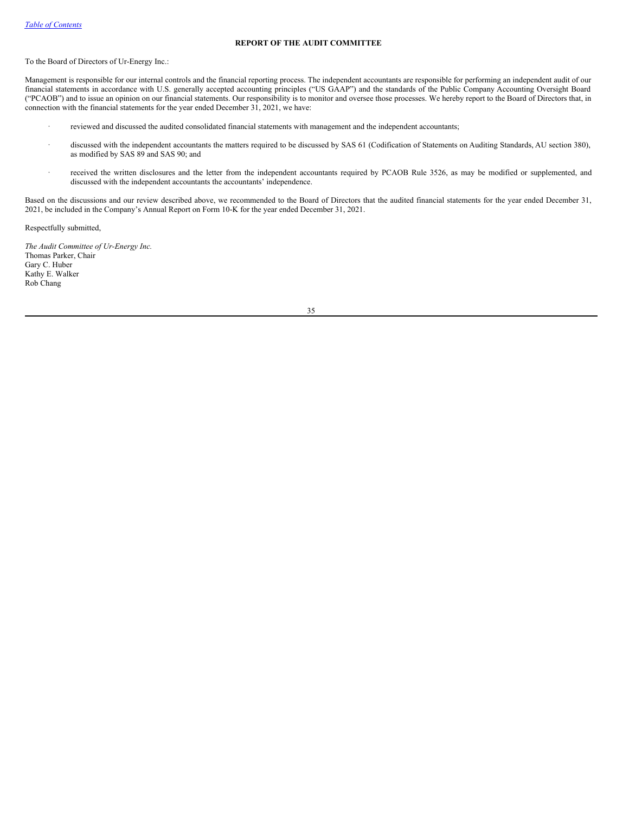## <span id="page-37-0"></span>**REPORT OF THE AUDIT COMMITTEE**

To the Board of Directors of Ur-Energy Inc.:

Management is responsible for our internal controls and the financial reporting process. The independent accountants are responsible for performing an independent audit of our financial statements in accordance with U.S. generally accepted accounting principles ("US GAAP") and the standards of the Public Company Accounting Oversight Board ("PCAOB") and to issue an opinion on our financial statements. Our responsibility is to monitor and oversee those processes. We hereby report to the Board of Directors that, in connection with the financial statements for the year ended December 31, 2021, we have:

- reviewed and discussed the audited consolidated financial statements with management and the independent accountants;
- · discussed with the independent accountants the matters required to be discussed by SAS 61 (Codification of Statements on Auditing Standards, AU section 380), as modified by SAS 89 and SAS 90; and
- · received the written disclosures and the letter from the independent accountants required by PCAOB Rule 3526, as may be modified or supplemented, and discussed with the independent accountants the accountants' independence.

Based on the discussions and our review described above, we recommended to the Board of Directors that the audited financial statements for the year ended December 31, 2021, be included in the Company's Annual Report on Form 10‑K for the year ended December 31, 2021.

Respectfully submitted,

*The Audit Committee of Ur-Energy Inc.* Thomas Parker, Chair Gary C. Huber Kathy E. Walker Rob Chang

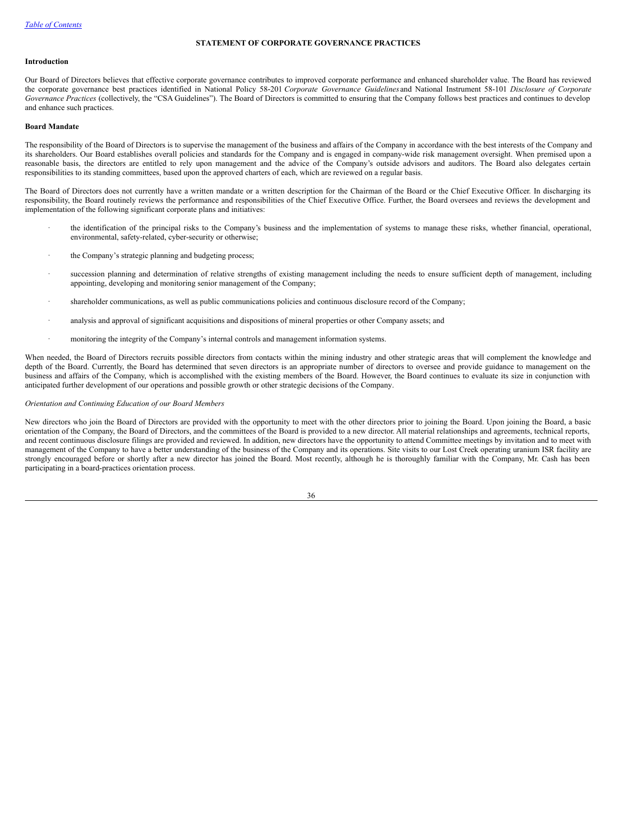## <span id="page-38-0"></span>**STATEMENT OF CORPORATE GOVERNANCE PRACTICES**

## **Introduction**

Our Board of Directors believes that effective corporate governance contributes to improved corporate performance and enhanced shareholder value. The Board has reviewed the corporate governance best practices identified in National Policy 58‑201 *Corporate Governance Guidelines* and National Instrument 58-101 *Disclosure of Corporate Governance Practices* (collectively, the "CSA Guidelines"). The Board of Directors is committed to ensuring that the Company follows best practices and continues to develop and enhance such practices.

#### **Board Mandate**

The responsibility of the Board of Directors is to supervise the management of the business and affairs of the Company in accordance with the best interests of the Company and its shareholders. Our Board establishes overall policies and standards for the Company and is engaged in company-wide risk management oversight. When premised upon a reasonable basis, the directors are entitled to rely upon management and the advice of the Company's outside advisors and auditors. The Board also delegates certain responsibilities to its standing committees, based upon the approved charters of each, which are reviewed on a regular basis.

The Board of Directors does not currently have a written mandate or a written description for the Chairman of the Board or the Chief Executive Officer. In discharging its responsibility, the Board routinely reviews the performance and responsibilities of the Chief Executive Office. Further, the Board oversees and reviews the development and implementation of the following significant corporate plans and initiatives:

- the identification of the principal risks to the Company's business and the implementation of systems to manage these risks, whether financial, operational, environmental, safety-related, cyber-security or otherwise;
- the Company's strategic planning and budgeting process;
- succession planning and determination of relative strengths of existing management including the needs to ensure sufficient depth of management, including appointing, developing and monitoring senior management of the Company;
- shareholder communications, as well as public communications policies and continuous disclosure record of the Company;
- analysis and approval of significant acquisitions and dispositions of mineral properties or other Company assets; and
- · monitoring the integrity of the Company's internal controls and management information systems.

When needed, the Board of Directors recruits possible directors from contacts within the mining industry and other strategic areas that will complement the knowledge and depth of the Board. Currently, the Board has determined that seven directors is an appropriate number of directors to oversee and provide guidance to management on the business and affairs of the Company, which is accomplished with the existing members of the Board. However, the Board continues to evaluate its size in conjunction with anticipated further development of our operations and possible growth or other strategic decisions of the Company.

#### *Orientation and Continuing Education of our Board Members*

New directors who join the Board of Directors are provided with the opportunity to meet with the other directors prior to joining the Board. Upon joining the Board, a basic orientation of the Company, the Board of Directors, and the committees of the Board is provided to a new director. All material relationships and agreements, technical reports, and recent continuous disclosure filings are provided and reviewed. In addition, new directors have the opportunity to attend Committee meetings by invitation and to meet with management of the Company to have a better understanding of the business of the Company and its operations. Site visits to our Lost Creek operating uranium ISR facility are strongly encouraged before or shortly after a new director has joined the Board. Most recently, although he is thoroughly familiar with the Company, Mr. Cash has been participating in a board-practices orientation process.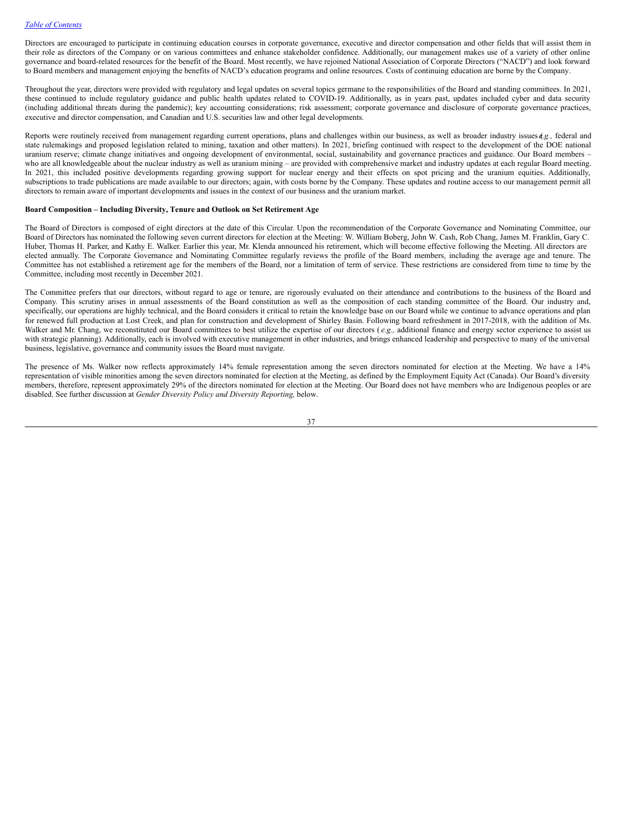Directors are encouraged to participate in continuing education courses in corporate governance, executive and director compensation and other fields that will assist them in their role as directors of the Company or on various committees and enhance stakeholder confidence. Additionally, our management makes use of a variety of other online governance and board-related resources for the benefit of the Board. Most recently, we have rejoined National Association of Corporate Directors ("NACD") and look forward to Board members and management enjoying the benefits of NACD's education programs and online resources. Costs of continuing education are borne by the Company.

Throughout the year, directors were provided with regulatory and legal updates on several topics germane to the responsibilities of the Board and standing committees. In 2021, these continued to include regulatory guidance and public health updates related to COVID-19. Additionally, as in years past, updates included cyber and data security (including additional threats during the pandemic); key accounting considerations; risk assessment; corporate governance and disclosure of corporate governance practices, executive and director compensation, and Canadian and U.S. securities law and other legal developments.

Reports were routinely received from management regarding current operations, plans and challenges within our business, as well as broader industry issues *e*(*.g.,* federal and state rulemakings and proposed legislation related to mining, taxation and other matters). In 2021, briefing continued with respect to the development of the DOE national uranium reserve; climate change initiatives and ongoing development of environmental, social, sustainability and governance practices and guidance. Our Board members who are all knowledgeable about the nuclear industry as well as uranium mining – are provided with comprehensive market and industry updates at each regular Board meeting. In 2021, this included positive developments regarding growing support for nuclear energy and their effects on spot pricing and the uranium equities. Additionally, subscriptions to trade publications are made available to our directors; again, with costs borne by the Company. These updates and routine access to our management permit all directors to remain aware of important developments and issues in the context of our business and the uranium market.

## **Board Composition – Including Diversity, Tenure and Outlook on Set Retirement Age**

The Board of Directors is composed of eight directors at the date of this Circular. Upon the recommendation of the Corporate Governance and Nominating Committee, our Board of Directors has nominated the following seven current directors for election at the Meeting: W. William Boberg, John W. Cash, Rob Chang, James M. Franklin, Gary C. Huber, Thomas H. Parker, and Kathy E. Walker. Earlier this year, Mr. Klenda announced his retirement, which will become effective following the Meeting. All directors are elected annually. The Corporate Governance and Nominating Committee regularly reviews the profile of the Board members, including the average age and tenure. The Committee has not established a retirement age for the members of the Board, nor a limitation of term of service. These restrictions are considered from time to time by the Committee, including most recently in December 2021.

The Committee prefers that our directors, without regard to age or tenure, are rigorously evaluated on their attendance and contributions to the business of the Board and Company. This scrutiny arises in annual assessments of the Board constitution as well as the composition of each standing committee of the Board. Our industry and, specifically, our operations are highly technical, and the Board considers it critical to retain the knowledge base on our Board while we continue to advance operations and plan for renewed full production at Lost Creek, and plan for construction and development of Shirley Basin. Following board refreshment in 2017-2018, with the addition of Ms. Walker and Mr. Chang, we reconstituted our Board committees to best utilize the expertise of our directors (*e.g.*, additional finance and energy sector experience to assist us with strategic planning). Additionally, each is involved with executive management in other industries, and brings enhanced leadership and perspective to many of the universal business, legislative, governance and community issues the Board must navigate.

The presence of Ms. Walker now reflects approximately 14% female representation among the seven directors nominated for election at the Meeting. We have a 14% representation of visible minorities among the seven directors nominated for election at the Meeting, as defined by the Employment Equity Act (Canada). Our Board's diversity members, therefore, represent approximately 29% of the directors nominated for election at the Meeting. Our Board does not have members who are Indigenous peoples or are disabled. See further discussion at *Gender Diversity Policy and Diversity Reporting,* below.

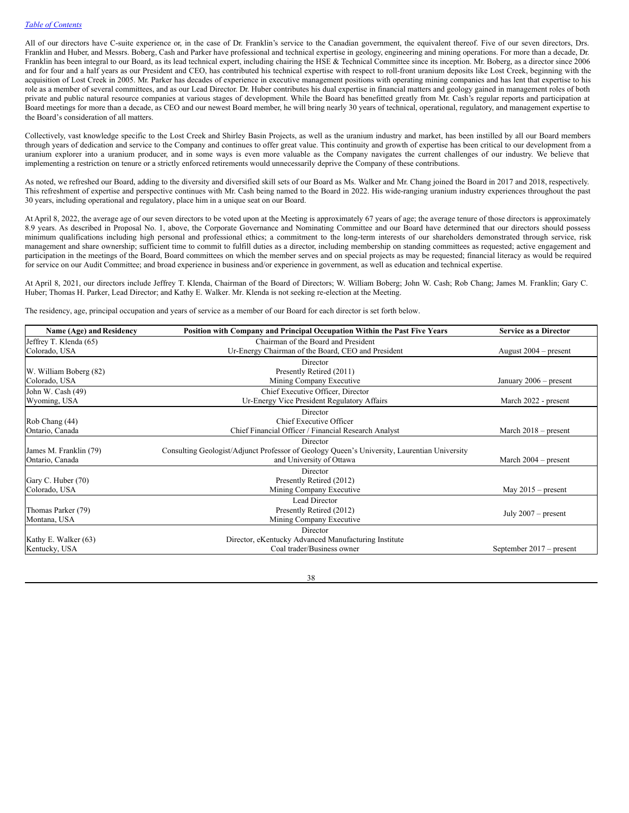All of our directors have C-suite experience or, in the case of Dr. Franklin's service to the Canadian government, the equivalent thereof. Five of our seven directors, Drs. Franklin and Huber, and Messrs. Boberg, Cash and Parker have professional and technical expertise in geology, engineering and mining operations. For more than a decade, Dr. Franklin has been integral to our Board, as its lead technical expert, including chairing the HSE & Technical Committee since its inception. Mr. Boberg, as a director since 2006 and for four and a half years as our President and CEO, has contributed his technical expertise with respect to roll-front uranium deposits like Lost Creek, beginning with the acquisition of Lost Creek in 2005. Mr. Parker has decades of experience in executive management positions with operating mining companies and has lent that expertise to his role as a member of several committees, and as our Lead Director. Dr. Huber contributes his dual expertise in financial matters and geology gained in management roles of both private and public natural resource companies at various stages of development. While the Board has benefitted greatly from Mr. Cash's regular reports and participation at Board meetings for more than a decade, as CEO and our newest Board member, he will bring nearly 30 years of technical, operational, regulatory, and management expertise to the Board's consideration of all matters.

Collectively, vast knowledge specific to the Lost Creek and Shirley Basin Projects, as well as the uranium industry and market, has been instilled by all our Board members through years of dedication and service to the Company and continues to offer great value. This continuity and growth of expertise has been critical to our development from a uranium explorer into a uranium producer, and in some ways is even more valuable as the Company navigates the current challenges of our industry. We believe that implementing a restriction on tenure or a strictly enforced retirements would unnecessarily deprive the Company of these contributions.

As noted, we refreshed our Board, adding to the diversity and diversified skill sets of our Board as Ms. Walker and Mr. Chang joined the Board in 2017 and 2018, respectively. This refreshment of expertise and perspective continues with Mr. Cash being named to the Board in 2022. His wide-ranging uranium industry experiences throughout the past 30 years, including operational and regulatory, place him in a unique seat on our Board.

At April 8, 2022, the average age of our seven directors to be voted upon at the Meeting is approximately 67 years of age; the average tenure of those directors is approximately 8.9 years. As described in Proposal No. 1, above, the Corporate Governance and Nominating Committee and our Board have determined that our directors should possess minimum qualifications including high personal and professional ethics; a commitment to the long-term interests of our shareholders demonstrated through service, risk management and share ownership; sufficient time to commit to fulfill duties as a director, including membership on standing committees as requested; active engagement and participation in the meetings of the Board, Board committees on which the member serves and on special projects as may be requested; financial literacy as would be required for service on our Audit Committee; and broad experience in business and/or experience in government, as well as education and technical expertise.

At April 8, 2021, our directors include Jeffrey T. Klenda, Chairman of the Board of Directors; W. William Boberg; John W. Cash; Rob Chang; James M. Franklin; Gary C. Huber; Thomas H. Parker, Lead Director; and Kathy E. Walker. Mr. Klenda is not seeking re-election at the Meeting.

The residency, age, principal occupation and years of service as a member of our Board for each director is set forth below.

| Name (Age) and Residency | Position with Company and Principal Occupation Within the Past Five Years                   | <b>Service as a Director</b> |
|--------------------------|---------------------------------------------------------------------------------------------|------------------------------|
| Jeffrey T. Klenda (65)   | Chairman of the Board and President                                                         |                              |
| Colorado, USA            | Ur-Energy Chairman of the Board, CEO and President                                          | August $2004$ – present      |
|                          | Director                                                                                    |                              |
| W. William Boberg (82)   | Presently Retired (2011)                                                                    |                              |
| Colorado, USA            | Mining Company Executive                                                                    | January 2006 – present       |
| John W. Cash (49)        | Chief Executive Officer, Director                                                           |                              |
| Wyoming, USA             | Ur-Energy Vice President Regulatory Affairs                                                 | March 2022 - present         |
|                          | Director                                                                                    |                              |
| Rob Chang (44)           | Chief Executive Officer                                                                     |                              |
| Ontario, Canada          | Chief Financial Officer / Financial Research Analyst                                        | March 2018 – present         |
|                          | Director                                                                                    |                              |
| James M. Franklin (79)   | Consulting Geologist/Adjunct Professor of Geology Queen's University, Laurentian University |                              |
| Ontario, Canada          | and University of Ottawa                                                                    | March $2004$ – present       |
|                          | Director                                                                                    |                              |
| Gary C. Huber (70)       | Presently Retired (2012)                                                                    |                              |
| Colorado, USA            | Mining Company Executive                                                                    | May $2015$ – present         |
|                          | <b>Lead Director</b>                                                                        |                              |
| Thomas Parker (79)       | Presently Retired (2012)                                                                    | July $2007$ – present        |
| Montana, USA             | Mining Company Executive                                                                    |                              |
|                          | Director                                                                                    |                              |
| Kathy E. Walker (63)     | Director, eKentucky Advanced Manufacturing Institute                                        |                              |
| Kentucky, USA            | Coal trader/Business owner                                                                  | September $2017$ – present   |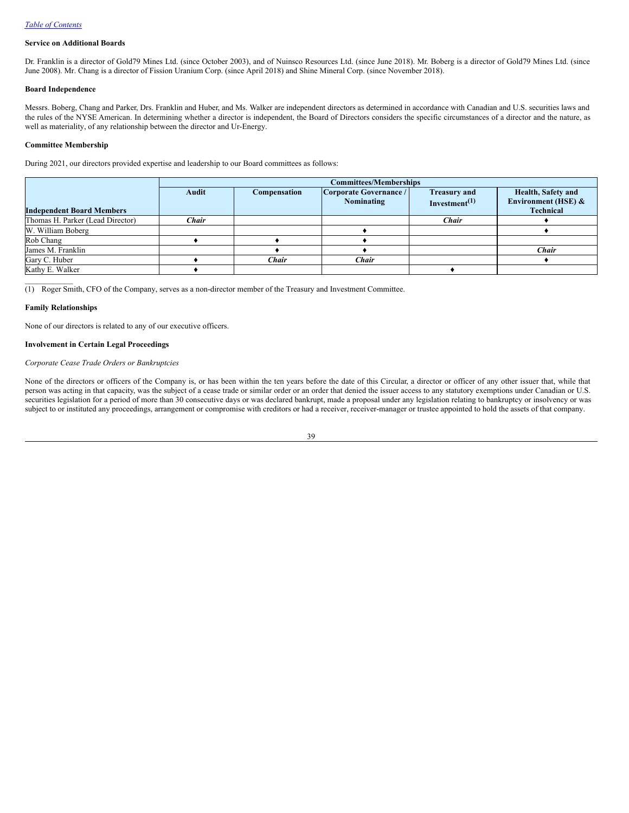## **Service on Additional Boards**

Dr. Franklin is a director of Gold79 Mines Ltd. (since October 2003), and of Nuinsco Resources Ltd. (since June 2018). Mr. Boberg is a director of Gold79 Mines Ltd. (since June 2008). Mr. Chang is a director of Fission Uranium Corp. (since April 2018) and Shine Mineral Corp. (since November 2018).

## **Board Independence**

Messrs. Boberg, Chang and Parker, Drs. Franklin and Huber, and Ms. Walker are independent directors as determined in accordance with Canadian and U.S. securities laws and the rules of the NYSE American. In determining whether a director is independent, the Board of Directors considers the specific circumstances of a director and the nature, as well as materiality, of any relationship between the director and Ur-Energy.

## **Committee Membership**

During 2021, our directors provided expertise and leadership to our Board committees as follows:

|                                  |              | <b>Committees/Memberships</b> |                                      |                                                               |                                                               |
|----------------------------------|--------------|-------------------------------|--------------------------------------|---------------------------------------------------------------|---------------------------------------------------------------|
| <b>Independent Board Members</b> | Audit        | <b>Compensation</b>           | Corporate Governance /<br>Nominating | <b>Treasury and</b><br>Investment <sup><math>(1)</math></sup> | Health, Safety and<br>Environment (HSE) &<br><b>Technical</b> |
| Thomas H. Parker (Lead Director) | <b>Chair</b> |                               |                                      | <b>Chair</b>                                                  |                                                               |
| W. William Boberg                |              |                               |                                      |                                                               |                                                               |
| Rob Chang                        |              |                               |                                      |                                                               |                                                               |
| James M. Franklin                |              |                               |                                      |                                                               | Chair                                                         |
| Gary C. Huber                    |              | <b>Chair</b>                  | <b>Chair</b>                         |                                                               |                                                               |
| Kathy E. Walker                  |              |                               |                                      |                                                               |                                                               |

(1) Roger Smith, CFO of the Company, serves as a non-director member of the Treasury and Investment Committee.

#### **Family Relationships**

 $\mathcal{L}_\text{max}$ 

None of our directors is related to any of our executive officers.

## **Involvement in Certain Legal Proceedings**

## *Corporate Cease Trade Orders or Bankruptcies*

None of the directors or officers of the Company is, or has been within the ten years before the date of this Circular, a director or officer of any other issuer that, while that person was acting in that capacity, was the subject of a cease trade or similar order or an order that denied the issuer access to any statutory exemptions under Canadian or U.S. securities legislation for a period of more than 30 consecutive days or was declared bankrupt, made a proposal under any legislation relating to bankruptcy or insolvency or was subject to or instituted any proceedings, arrangement or compromise with creditors or had a receiver, receiver-manager or trustee appointed to hold the assets of that company.

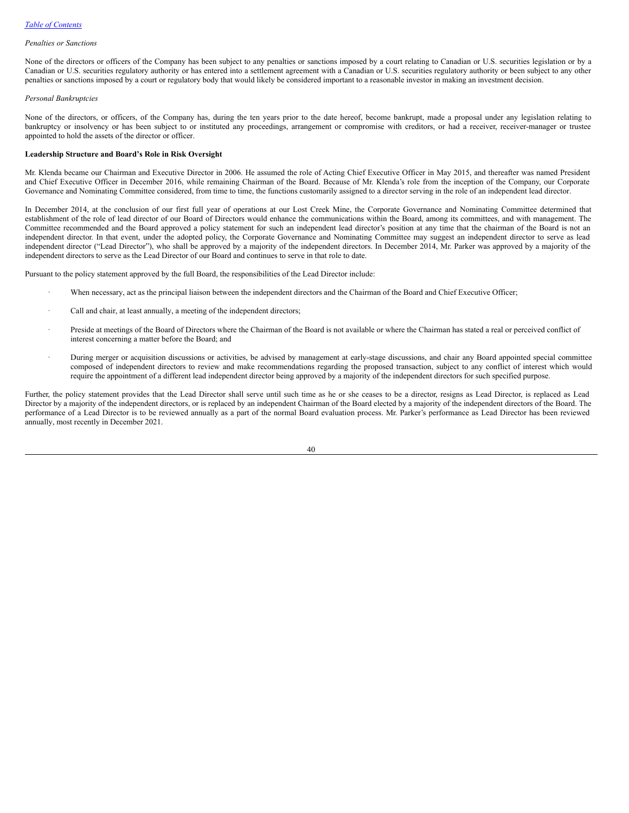## *Penalties or Sanctions*

None of the directors or officers of the Company has been subject to any penalties or sanctions imposed by a court relating to Canadian or U.S. securities legislation or by a Canadian or U.S. securities regulatory authority or has entered into a settlement agreement with a Canadian or U.S. securities regulatory authority or been subject to any other penalties or sanctions imposed by a court or regulatory body that would likely be considered important to a reasonable investor in making an investment decision.

## *Personal Bankruptcies*

None of the directors, or officers, of the Company has, during the ten years prior to the date hereof, become bankrupt, made a proposal under any legislation relating to bankruptcy or insolvency or has been subject to or instituted any proceedings, arrangement or compromise with creditors, or had a receiver, receiver-manager or trustee appointed to hold the assets of the director or officer.

## **Leadership Structure and Board's Role in Risk Oversight**

Mr. Klenda became our Chairman and Executive Director in 2006. He assumed the role of Acting Chief Executive Officer in May 2015, and thereafter was named President and Chief Executive Officer in December 2016, while remaining Chairman of the Board. Because of Mr. Klenda's role from the inception of the Company, our Corporate Governance and Nominating Committee considered, from time to time, the functions customarily assigned to a director serving in the role of an independent lead director.

In December 2014, at the conclusion of our first full year of operations at our Lost Creek Mine, the Corporate Governance and Nominating Committee determined that establishment of the role of lead director of our Board of Directors would enhance the communications within the Board, among its committees, and with management. The Committee recommended and the Board approved a policy statement for such an independent lead director's position at any time that the chairman of the Board is not an independent director. In that event, under the adopted policy, the Corporate Governance and Nominating Committee may suggest an independent director to serve as lead independent director ("Lead Director"), who shall be approved by a majority of the independent directors. In December 2014, Mr. Parker was approved by a majority of the independent directors to serve as the Lead Director of our Board and continues to serve in that role to date.

Pursuant to the policy statement approved by the full Board, the responsibilities of the Lead Director include:

- When necessary, act as the principal liaison between the independent directors and the Chairman of the Board and Chief Executive Officer;
- Call and chair, at least annually, a meeting of the independent directors;
- Preside at meetings of the Board of Directors where the Chairman of the Board is not available or where the Chairman has stated a real or perceived conflict of interest concerning a matter before the Board; and
- · During merger or acquisition discussions or activities, be advised by management at early-stage discussions, and chair any Board appointed special committee composed of independent directors to review and make recommendations regarding the proposed transaction, subject to any conflict of interest which would require the appointment of a different lead independent director being approved by a majority of the independent directors for such specified purpose.

Further, the policy statement provides that the Lead Director shall serve until such time as he or she ceases to be a director, resigns as Lead Director, is replaced as Lead Director by a majority of the independent directors, or is replaced by an independent Chairman of the Board elected by a majority of the independent directors of the Board. The performance of a Lead Director is to be reviewed annually as a part of the normal Board evaluation process. Mr. Parker's performance as Lead Director has been reviewed annually, most recently in December 2021.

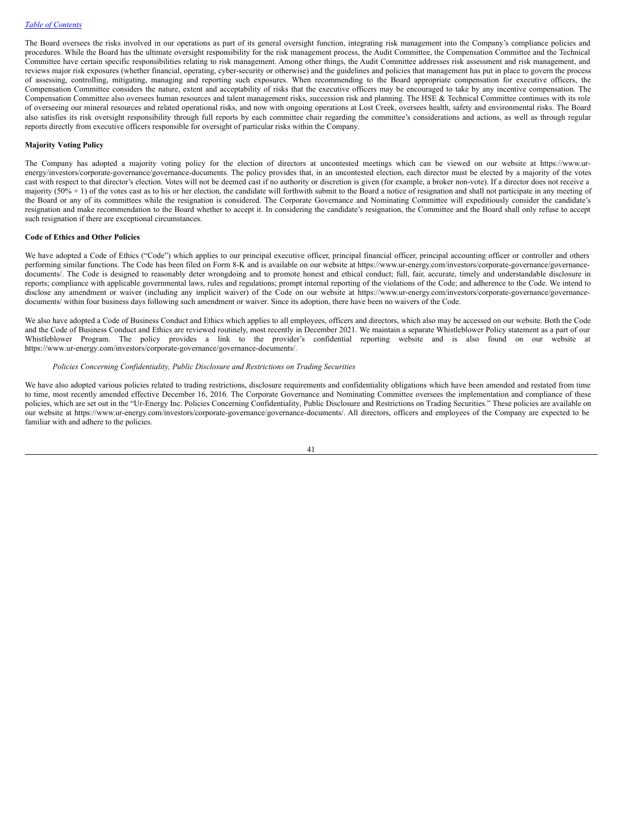The Board oversees the risks involved in our operations as part of its general oversight function, integrating risk management into the Company's compliance policies and procedures. While the Board has the ultimate oversight responsibility for the risk management process, the Audit Committee, the Compensation Committee and the Technical Committee have certain specific responsibilities relating to risk management. Among other things, the Audit Committee addresses risk assessment and risk management, and reviews major risk exposures (whether financial, operating, cyber-security or otherwise) and the guidelines and policies that management has put in place to govern the process of assessing, controlling, mitigating, managing and reporting such exposures. When recommending to the Board appropriate compensation for executive officers, the Compensation Committee considers the nature, extent and acceptability of risks that the executive officers may be encouraged to take by any incentive compensation. The Compensation Committee also oversees human resources and talent management risks, succession risk and planning. The HSE & Technical Committee continues with its role of overseeing our mineral resources and related operational risks, and now with ongoing operations at Lost Creek, oversees health, safety and environmental risks. The Board also satisfies its risk oversight responsibility through full reports by each committee chair regarding the committee's considerations and actions, as well as through regular reports directly from executive officers responsible for oversight of particular risks within the Company.

## **Majority Voting Policy**

The Company has adopted a majority voting policy for the election of directors at uncontested meetings which can be viewed on our website at https://www.urenergy/investors/corporate-governance/governance-documents. The policy provides that, in an uncontested election, each director must be elected by a majority of the votes cast with respect to that director's election. Votes will not be deemed cast if no authority or discretion is given (for example, a broker non-vote). If a director does not receive a majority  $(50% + 1)$  of the votes cast as to his or her election, the candidate will forthwith submit to the Board a notice of resignation and shall not participate in any meeting of the Board or any of its committees while the resignation is considered. The Corporate Governance and Nominating Committee will expeditiously consider the candidate's resignation and make recommendation to the Board whether to accept it. In considering the candidate's resignation, the Committee and the Board shall only refuse to accept such resignation if there are exceptional circumstances.

## **Code of Ethics and Other Policies**

We have adopted a Code of Ethics ("Code") which applies to our principal executive officer, principal financial officer, principal accounting officer or controller and others performing similar functions. The Code has been filed on Form 8-K and is available on our website at https://www.ur-energy.com/investors/corporate-governance/governancedocuments/. The Code is designed to reasonably deter wrongdoing and to promote honest and ethical conduct; full, fair, accurate, timely and understandable disclosure in reports; compliance with applicable governmental laws, rules and regulations; prompt internal reporting of the violations of the Code; and adherence to the Code. We intend to disclose any amendment or waiver (including any implicit waiver) of the Code on our website at https://www.ur-energy.com/investors/corporate-governance/governancedocuments/ within four business days following such amendment or waiver. Since its adoption, there have been no waivers of the Code.

We also have adopted a Code of Business Conduct and Ethics which applies to all employees, officers and directors, which also may be accessed on our website. Both the Code and the Code of Business Conduct and Ethics are reviewed routinely, most recently in December 2021. We maintain a separate Whistleblower Policy statement as a part of our Whistleblower Program. The policy provides a link to the provider's confidential reporting website and is also found on our website at https://www.ur‑energy.com/investors/corporate-governance/governance-documents/.

## *Policies Concerning Confidentiality, Public Disclosure and Restrictions on Trading Securities*

We have also adopted various policies related to trading restrictions, disclosure requirements and confidentiality obligations which have been amended and restated from time to time, most recently amended effective December 16, 2016. The Corporate Governance and Nominating Committee oversees the implementation and compliance of these policies, which are set out in the "Ur-Energy Inc. Policies Concerning Confidentiality, Public Disclosure and Restrictions on Trading Securities." These policies are available on our website at https://www.ur‑energy.com/investors/corporate-governance/governance-documents/. All directors, officers and employees of the Company are expected to be familiar with and adhere to the policies.

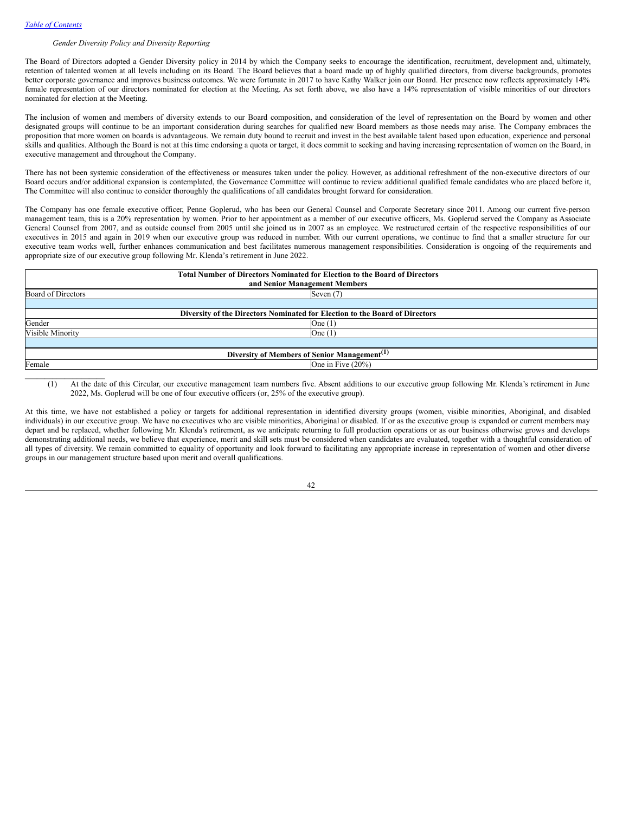## *Gender Diversity Policy and Diversity Reporting*

The Board of Directors adopted a Gender Diversity policy in 2014 by which the Company seeks to encourage the identification, recruitment, development and, ultimately, retention of talented women at all levels including on its Board. The Board believes that a board made up of highly qualified directors, from diverse backgrounds, promotes better corporate governance and improves business outcomes. We were fortunate in 2017 to have Kathy Walker join our Board. Her presence now reflects approximately 14% female representation of our directors nominated for election at the Meeting. As set forth above, we also have a 14% representation of visible minorities of our directors nominated for election at the Meeting.

The inclusion of women and members of diversity extends to our Board composition, and consideration of the level of representation on the Board by women and other designated groups will continue to be an important consideration during searches for qualified new Board members as those needs may arise. The Company embraces the proposition that more women on boards is advantageous. We remain duty bound to recruit and invest in the best available talent based upon education, experience and personal skills and qualities. Although the Board is not at this time endorsing a quota or target, it does commit to seeking and having increasing representation of women on the Board, in executive management and throughout the Company.

There has not been systemic consideration of the effectiveness or measures taken under the policy. However, as additional refreshment of the non-executive directors of our Board occurs and/or additional expansion is contemplated, the Governance Committee will continue to review additional qualified female candidates who are placed before it, The Committee will also continue to consider thoroughly the qualifications of all candidates brought forward for consideration.

The Company has one female executive officer, Penne Goplerud, who has been our General Counsel and Corporate Secretary since 2011. Among our current five-person management team, this is a 20% representation by women. Prior to her appointment as a member of our executive officers, Ms. Goplerud served the Company as Associate General Counsel from 2007, and as outside counsel from 2005 until she joined us in 2007 as an employee. We restructured certain of the respective responsibilities of our executives in 2015 and again in 2019 when our executive group was reduced in number. With our current operations, we continue to find that a smaller structure for our executive team works well, further enhances communication and best facilitates numerous management responsibilities. Consideration is ongoing of the requirements and appropriate size of our executive group following Mr. Klenda's retirement in June 2022.

| and Senior Management Members                            |                                                                                                                                                                  |
|----------------------------------------------------------|------------------------------------------------------------------------------------------------------------------------------------------------------------------|
| Seven $(7)$                                              |                                                                                                                                                                  |
|                                                          |                                                                                                                                                                  |
|                                                          |                                                                                                                                                                  |
| One $(1)$                                                |                                                                                                                                                                  |
| One $(1)$                                                |                                                                                                                                                                  |
|                                                          |                                                                                                                                                                  |
| Diversity of Members of Senior Management <sup>(1)</sup> |                                                                                                                                                                  |
| One in Five (20%)                                        |                                                                                                                                                                  |
|                                                          | <b>Total Number of Directors Nominated for Election to the Board of Directors</b><br>Diversity of the Directors Nominated for Election to the Board of Directors |

(1) At the date of this Circular, our executive management team numbers five. Absent additions to our executive group following Mr. Klenda's retirement in June 2022, Ms. Goplerud will be one of four executive officers (or, 25% of the executive group).

At this time, we have not established a policy or targets for additional representation in identified diversity groups (women, visible minorities, Aboriginal, and disabled individuals) in our executive group. We have no executives who are visible minorities, Aboriginal or disabled. If or as the executive group is expanded or current members may depart and be replaced, whether following Mr. Klenda's retirement, as we anticipate returning to full production operations or as our business otherwise grows and develops demonstrating additional needs, we believe that experience, merit and skill sets must be considered when candidates are evaluated, together with a thoughtful consideration of all types of diversity. We remain committed to equality of opportunity and look forward to facilitating any appropriate increase in representation of women and other diverse groups in our management structure based upon merit and overall qualifications.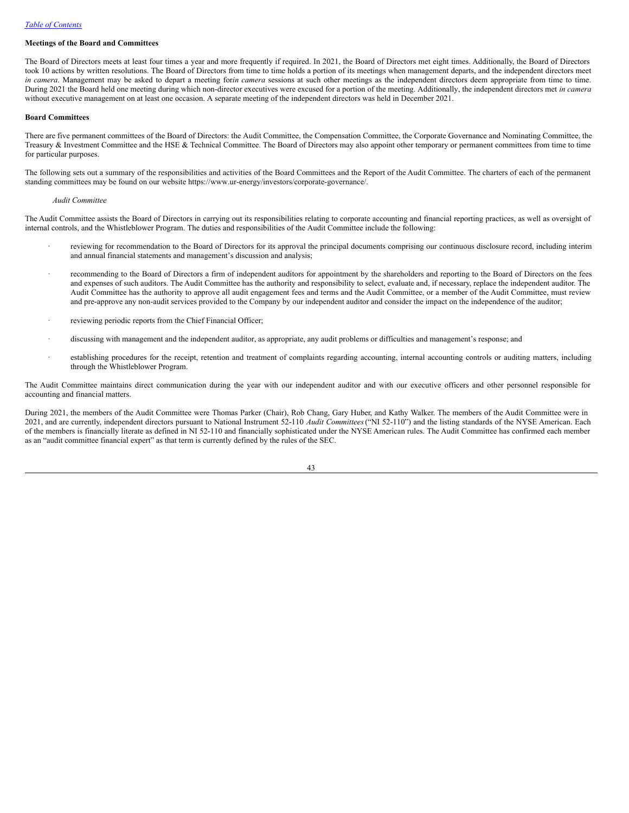## **Meetings of the Board and Committees**

The Board of Directors meets at least four times a year and more frequently if required. In 2021, the Board of Directors met eight times. Additionally, the Board of Directors took 10 actions by written resolutions. The Board of Directors from time to time holds a portion of its meetings when management departs, and the independent directors meet *in camera*. Management may be asked to depart a meeting for*in camera* sessions at such other meetings as the independent directors deem appropriate from time to time. During 2021 the Board held one meeting during which non-director executives were excused for a portion of the meeting. Additionally, the independent directors met *in camera* without executive management on at least one occasion. A separate meeting of the independent directors was held in December 2021.

### **Board Committees**

There are five permanent committees of the Board of Directors: the Audit Committee, the Compensation Committee, the Corporate Governance and Nominating Committee, the Treasury & Investment Committee and the HSE & Technical Committee. The Board of Directors may also appoint other temporary or permanent committees from time to time for particular purposes.

The following sets out a summary of the responsibilities and activities of the Board Committees and the Report of the Audit Committee. The charters of each of the permanent standing committees may be found on our website https://www.ur-energy/investors/corporate-governance/.

#### *Audit Committee*

The Audit Committee assists the Board of Directors in carrying out its responsibilities relating to corporate accounting and financial reporting practices, as well as oversight of internal controls, and the Whistleblower Program. The duties and responsibilities of the Audit Committee include the following:

- reviewing for recommendation to the Board of Directors for its approval the principal documents comprising our continuous disclosure record, including interim and annual financial statements and management's discussion and analysis;
- recommending to the Board of Directors a firm of independent auditors for appointment by the shareholders and reporting to the Board of Directors on the fees and expenses of such auditors. The Audit Committee has the authority and responsibility to select, evaluate and, if necessary, replace the independent auditor. The Audit Committee has the authority to approve all audit engagement fees and terms and the Audit Committee, or a member of the Audit Committee, must review and pre-approve any non-audit services provided to the Company by our independent auditor and consider the impact on the independence of the auditor;
- reviewing periodic reports from the Chief Financial Officer;
- · discussing with management and the independent auditor, as appropriate, any audit problems or difficulties and management's response; and
- establishing procedures for the receipt, retention and treatment of complaints regarding accounting, internal accounting controls or auditing matters, including through the Whistleblower Program.

The Audit Committee maintains direct communication during the year with our independent auditor and with our executive officers and other personnel responsible for accounting and financial matters.

During 2021, the members of the Audit Committee were Thomas Parker (Chair), Rob Chang, Gary Huber, and Kathy Walker. The members of the Audit Committee were in 2021, and are currently, independent directors pursuant to National Instrument 52-110 *Audit Committees*("NI 52-110") and the listing standards of the NYSE American. Each of the members is financially literate as defined in NI 52-110 and financially sophisticated under the NYSE American rules. The Audit Committee has confirmed each member as an "audit committee financial expert" as that term is currently defined by the rules of the SEC.

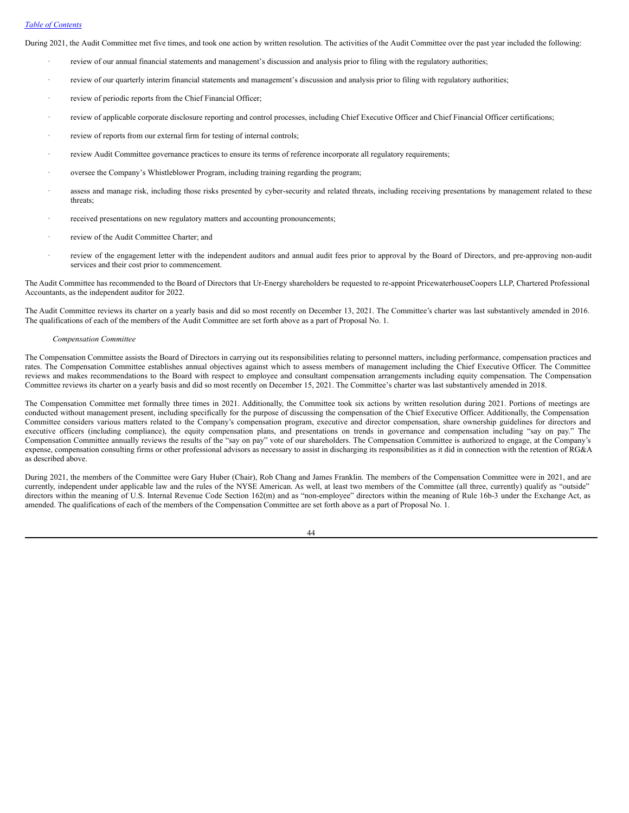During 2021, the Audit Committee met five times, and took one action by written resolution. The activities of the Audit Committee over the past year included the following:

- · review of our annual financial statements and management's discussion and analysis prior to filing with the regulatory authorities;
- review of our quarterly interim financial statements and management's discussion and analysis prior to filing with regulatory authorities;
- review of periodic reports from the Chief Financial Officer;
- review of applicable corporate disclosure reporting and control processes, including Chief Executive Officer and Chief Financial Officer certifications;
- review of reports from our external firm for testing of internal controls;
- review Audit Committee governance practices to ensure its terms of reference incorporate all regulatory requirements;
- · oversee the Company's Whistleblower Program, including training regarding the program;
- assess and manage risk, including those risks presented by cyber-security and related threats, including receiving presentations by management related to these threats;
- received presentations on new regulatory matters and accounting pronouncements;
- review of the Audit Committee Charter; and
- review of the engagement letter with the independent auditors and annual audit fees prior to approval by the Board of Directors, and pre-approving non-audit services and their cost prior to commencement.

The Audit Committee has recommended to the Board of Directors that Ur-Energy shareholders be requested to re-appoint PricewaterhouseCoopers LLP, Chartered Professional Accountants, as the independent auditor for 2022.

The Audit Committee reviews its charter on a yearly basis and did so most recently on December 13, 2021. The Committee's charter was last substantively amended in 2016. The qualifications of each of the members of the Audit Committee are set forth above as a part of Proposal No. 1.

## *Compensation Committee*

The Compensation Committee assists the Board of Directors in carrying out its responsibilities relating to personnel matters, including performance, compensation practices and rates. The Compensation Committee establishes annual objectives against which to assess members of management including the Chief Executive Officer. The Committee reviews and makes recommendations to the Board with respect to employee and consultant compensation arrangements including equity compensation. The Compensation Committee reviews its charter on a yearly basis and did so most recently on December 15, 2021. The Committee's charter was last substantively amended in 2018.

The Compensation Committee met formally three times in 2021. Additionally, the Committee took six actions by written resolution during 2021. Portions of meetings are conducted without management present, including specifically for the purpose of discussing the compensation of the Chief Executive Officer. Additionally, the Compensation Committee considers various matters related to the Company's compensation program, executive and director compensation, share ownership guidelines for directors and executive officers (including compliance), the equity compensation plans, and presentations on trends in governance and compensation including "say on pay." The Compensation Committee annually reviews the results of the "say on pay" vote of our shareholders. The Compensation Committee is authorized to engage, at the Company's expense, compensation consulting firms or other professional advisors as necessary to assist in discharging its responsibilities as it did in connection with the retention of RG&A as described above.

During 2021, the members of the Committee were Gary Huber (Chair), Rob Chang and James Franklin. The members of the Compensation Committee were in 2021, and are currently, independent under applicable law and the rules of the NYSE American. As well, at least two members of the Committee (all three, currently) qualify as "outside" directors within the meaning of U.S. Internal Revenue Code Section 162(m) and as "non-employee" directors within the meaning of Rule 16b-3 under the Exchange Act, as amended. The qualifications of each of the members of the Compensation Committee are set forth above as a part of Proposal No. 1.

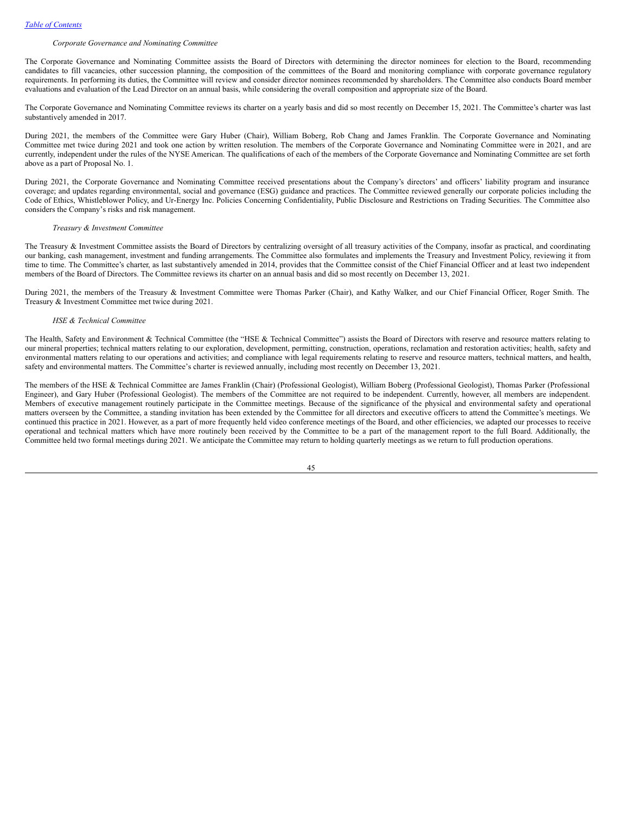## *Corporate Governance and Nominating Committee*

The Corporate Governance and Nominating Committee assists the Board of Directors with determining the director nominees for election to the Board, recommending candidates to fill vacancies, other succession planning, the composition of the committees of the Board and monitoring compliance with corporate governance regulatory requirements. In performing its duties, the Committee will review and consider director nominees recommended by shareholders. The Committee also conducts Board member evaluations and evaluation of the Lead Director on an annual basis, while considering the overall composition and appropriate size of the Board.

The Corporate Governance and Nominating Committee reviews its charter on a yearly basis and did so most recently on December 15, 2021. The Committee's charter was last substantively amended in 2017.

During 2021, the members of the Committee were Gary Huber (Chair), William Boberg, Rob Chang and James Franklin. The Corporate Governance and Nominating Committee met twice during 2021 and took one action by written resolution. The members of the Corporate Governance and Nominating Committee were in 2021, and are currently, independent under the rules of the NYSE American. The qualifications of each of the members of the Corporate Governance and Nominating Committee are set forth above as a part of Proposal No. 1.

During 2021, the Corporate Governance and Nominating Committee received presentations about the Company's directors' and officers' liability program and insurance coverage; and updates regarding environmental, social and governance (ESG) guidance and practices. The Committee reviewed generally our corporate policies including the Code of Ethics, Whistleblower Policy, and Ur-Energy Inc. Policies Concerning Confidentiality, Public Disclosure and Restrictions on Trading Securities. The Committee also considers the Company's risks and risk management.

#### *Treasury & Investment Committee*

The Treasury & Investment Committee assists the Board of Directors by centralizing oversight of all treasury activities of the Company, insofar as practical, and coordinating our banking, cash management, investment and funding arrangements. The Committee also formulates and implements the Treasury and Investment Policy, reviewing it from time to time. The Committee's charter, as last substantively amended in 2014, provides that the Committee consist of the Chief Financial Officer and at least two independent members of the Board of Directors. The Committee reviews its charter on an annual basis and did so most recently on December 13, 2021.

During 2021, the members of the Treasury & Investment Committee were Thomas Parker (Chair), and Kathy Walker, and our Chief Financial Officer, Roger Smith. The Treasury & Investment Committee met twice during 2021.

#### *HSE & Technical Committee*

The Health, Safety and Environment & Technical Committee (the "HSE & Technical Committee") assists the Board of Directors with reserve and resource matters relating to our mineral properties; technical matters relating to our exploration, development, permitting, construction, operations, reclamation and restoration activities; health, safety and environmental matters relating to our operations and activities; and compliance with legal requirements relating to reserve and resource matters, technical matters, and health, safety and environmental matters. The Committee's charter is reviewed annually, including most recently on December 13, 2021.

The members of the HSE & Technical Committee are James Franklin (Chair) (Professional Geologist), William Boberg (Professional Geologist), Thomas Parker (Professional Engineer), and Gary Huber (Professional Geologist). The members of the Committee are not required to be independent. Currently, however, all members are independent. Members of executive management routinely participate in the Committee meetings. Because of the significance of the physical and environmental safety and operational matters overseen by the Committee, a standing invitation has been extended by the Committee for all directors and executive officers to attend the Committee's meetings. We continued this practice in 2021. However, as a part of more frequently held video conference meetings of the Board, and other efficiencies, we adapted our processes to receive operational and technical matters which have more routinely been received by the Committee to be a part of the management report to the full Board. Additionally, the Committee held two formal meetings during 2021. We anticipate the Committee may return to holding quarterly meetings as we return to full production operations.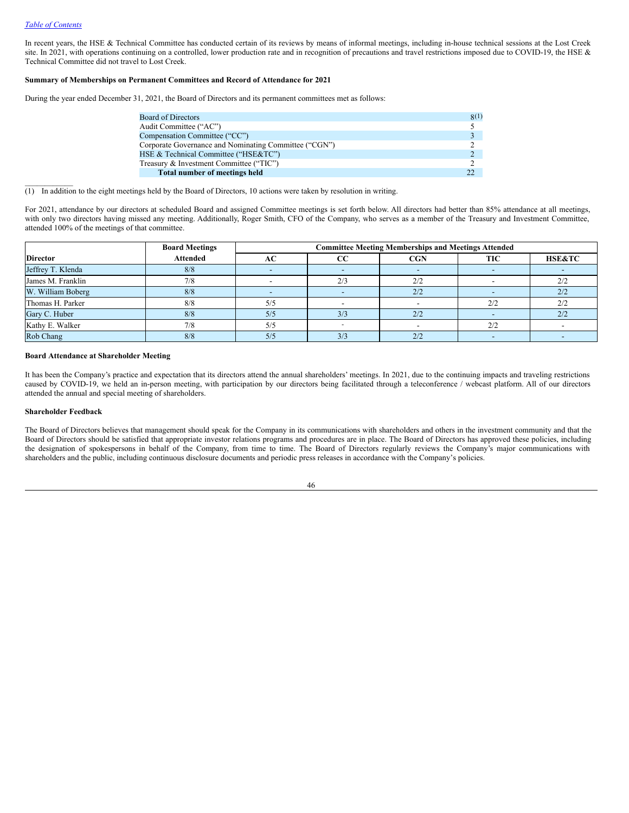$\mathcal{L}=\mathcal{L}^{\mathcal{L}}$ 

In recent years, the HSE & Technical Committee has conducted certain of its reviews by means of informal meetings, including in-house technical sessions at the Lost Creek site. In 2021, with operations continuing on a controlled, lower production rate and in recognition of precautions and travel restrictions imposed due to COVID-19, the HSE & Technical Committee did not travel to Lost Creek.

## **Summary of Memberships on Permanent Committees and Record of Attendance for 2021**

During the year ended December 31, 2021, the Board of Directors and its permanent committees met as follows:

| <b>Board of Directors</b>                             | 8(1) |
|-------------------------------------------------------|------|
| Audit Committee ("AC")                                |      |
| Compensation Committee ("CC")                         |      |
| Corporate Governance and Nominating Committee ("CGN") |      |
| HSE & Technical Committee ("HSE&TC")                  |      |
| Treasury & Investment Committee ("TIC")               |      |
| Total number of meetings held                         | າາ   |

(1) In addition to the eight meetings held by the Board of Directors, 10 actions were taken by resolution in writing.

For 2021, attendance by our directors at scheduled Board and assigned Committee meetings is set forth below. All directors had better than 85% attendance at all meetings, with only two directors having missed any meeting. Additionally, Roger Smith, CFO of the Company, who serves as a member of the Treasury and Investment Committee, attended 100% of the meetings of that committee.

| <b>Board Meetings</b> |                 |     |             | <b>Committee Meeting Memberships and Meetings Attended</b> |     |                   |  |
|-----------------------|-----------------|-----|-------------|------------------------------------------------------------|-----|-------------------|--|
| <b>Director</b>       | <b>Attended</b> | AC  | $_{\rm CC}$ | CGN                                                        | TIC | <b>HSE&amp;TC</b> |  |
| Jeffrey T. Klenda     | 8/8             |     |             |                                                            |     |                   |  |
| James M. Franklin     | 7/8             |     | 2/3         | 2/2                                                        |     | 2/2               |  |
| W. William Boberg     | 8/8             |     |             | 2/2                                                        |     | 2/2               |  |
| Thomas H. Parker      | 8/8             | 5/5 |             |                                                            | 2/2 | 2/2               |  |
| Gary C. Huber         | 8/8             | 5/5 | 3/3         | 2/2                                                        |     | 2/2               |  |
| Kathy E. Walker       | 7/8             | 5/5 |             |                                                            | 2/2 |                   |  |
| Rob Chang             | 8/8             | 5/5 | 3/3         | 2/2                                                        |     |                   |  |

#### **Board Attendance at Shareholder Meeting**

It has been the Company's practice and expectation that its directors attend the annual shareholders' meetings. In 2021, due to the continuing impacts and traveling restrictions caused by COVID-19, we held an in-person meeting, with participation by our directors being facilitated through a teleconference / webcast platform. All of our directors attended the annual and special meeting of shareholders.

## **Shareholder Feedback**

The Board of Directors believes that management should speak for the Company in its communications with shareholders and others in the investment community and that the Board of Directors should be satisfied that appropriate investor relations programs and procedures are in place. The Board of Directors has approved these policies, including the designation of spokespersons in behalf of the Company, from time to time. The Board of Directors regularly reviews the Company's major communications with shareholders and the public, including continuous disclosure documents and periodic press releases in accordance with the Company's policies.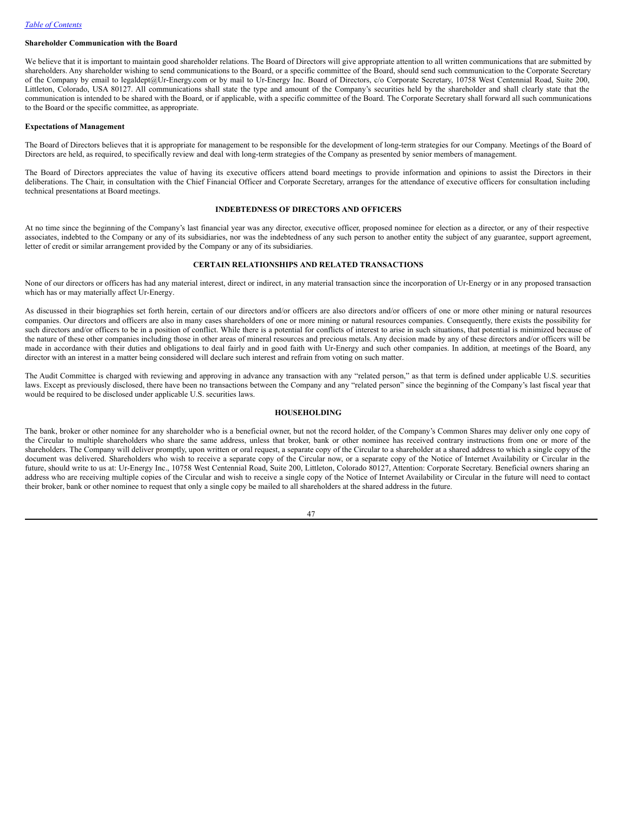## **Shareholder Communication with the Board**

We believe that it is important to maintain good shareholder relations. The Board of Directors will give appropriate attention to all written communications that are submitted by shareholders. Any shareholder wishing to send communications to the Board, or a specific committee of the Board, should send such communication to the Corporate Secretary of the Company by email to legaldept@Ur‑Energy.com or by mail to Ur-Energy Inc. Board of Directors, c/o Corporate Secretary, 10758 West Centennial Road, Suite 200, Littleton, Colorado, USA 80127. All communications shall state the type and amount of the Company's securities held by the shareholder and shall clearly state that the communication is intended to be shared with the Board, or if applicable, with a specific committee of the Board. The Corporate Secretary shall forward all such communications to the Board or the specific committee, as appropriate.

#### **Expectations of Management**

The Board of Directors believes that it is appropriate for management to be responsible for the development of long-term strategies for our Company. Meetings of the Board of Directors are held, as required, to specifically review and deal with long-term strategies of the Company as presented by senior members of management.

The Board of Directors appreciates the value of having its executive officers attend board meetings to provide information and opinions to assist the Directors in their deliberations. The Chair, in consultation with the Chief Financial Officer and Corporate Secretary, arranges for the attendance of executive officers for consultation including technical presentations at Board meetings.

## <span id="page-49-0"></span>**INDEBTEDNESS OF DIRECTORS AND OFFICERS**

At no time since the beginning of the Company's last financial year was any director, executive officer, proposed nominee for election as a director, or any of their respective associates, indebted to the Company or any of its subsidiaries, nor was the indebtedness of any such person to another entity the subject of any guarantee, support agreement, letter of credit or similar arrangement provided by the Company or any of its subsidiaries.

## <span id="page-49-1"></span>**CERTAIN RELATIONSHIPS AND RELATED TRANSACTIONS**

None of our directors or officers has had any material interest, direct or indirect, in any material transaction since the incorporation of Ur-Energy or in any proposed transaction which has or may materially affect Ur-Energy.

As discussed in their biographies set forth herein, certain of our directors and/or officers are also directors and/or officers of one or more other mining or natural resources companies. Our directors and officers are also in many cases shareholders of one or more mining or natural resources companies. Consequently, there exists the possibility for such directors and/or officers to be in a position of conflict. While there is a potential for conflicts of interest to arise in such situations, that potential is minimized because of the nature of these other companies including those in other areas of mineral resources and precious metals. Any decision made by any of these directors and/or officers will be made in accordance with their duties and obligations to deal fairly and in good faith with Ur-Energy and such other companies. In addition, at meetings of the Board, any director with an interest in a matter being considered will declare such interest and refrain from voting on such matter.

The Audit Committee is charged with reviewing and approving in advance any transaction with any "related person," as that term is defined under applicable U.S. securities laws. Except as previously disclosed, there have been no transactions between the Company and any "related person" since the beginning of the Company's last fiscal year that would be required to be disclosed under applicable U.S. securities laws.

## <span id="page-49-2"></span>**HOUSEHOLDING**

The bank, broker or other nominee for any shareholder who is a beneficial owner, but not the record holder, of the Company's Common Shares may deliver only one copy of the Circular to multiple shareholders who share the same address, unless that broker, bank or other nominee has received contrary instructions from one or more of the shareholders. The Company will deliver promptly, upon written or oral request, a separate copy of the Circular to a shareholder at a shared address to which a single copy of the document was delivered. Shareholders who wish to receive a separate copy of the Circular now, or a separate copy of the Notice of Internet Availability or Circular in the future, should write to us at: Ur-Energy Inc., 10758 West Centennial Road, Suite 200, Littleton, Colorado 80127, Attention: Corporate Secretary. Beneficial owners sharing an address who are receiving multiple copies of the Circular and wish to receive a single copy of the Notice of Internet Availability or Circular in the future will need to contact their broker, bank or other nominee to request that only a single copy be mailed to all shareholders at the shared address in the future.

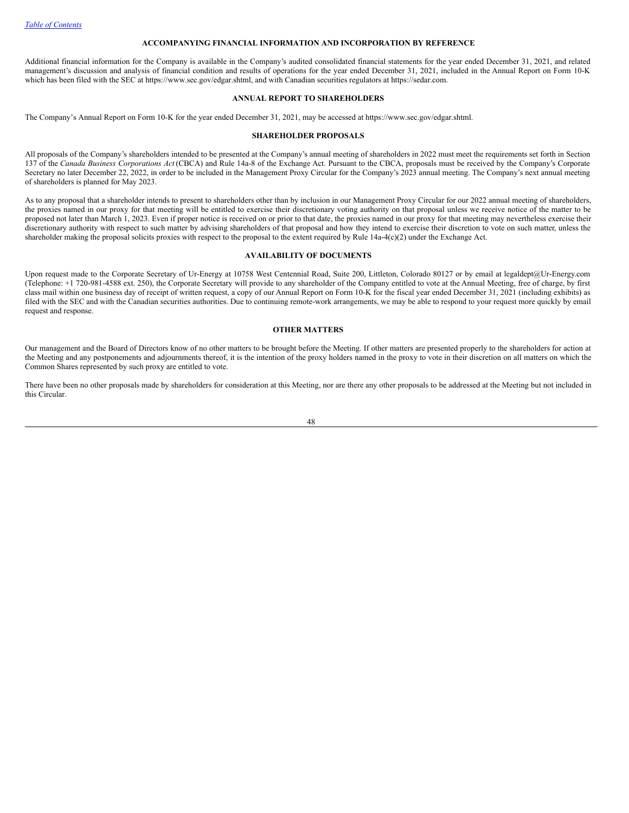## <span id="page-50-0"></span>**ACCOMPANYING FINANCIAL INFORMATION AND INCORPORATION BY REFERENCE**

Additional financial information for the Company is available in the Company's audited consolidated financial statements for the year ended December 31, 2021, and related management's discussion and analysis of financial condition and results of operations for the year ended December 31, 2021, included in the Annual Report on Form 10‑K which has been filed with the SEC at https://www.sec.gov/edgar.shtml, and with Canadian securities regulators at https://sedar.com.

#### <span id="page-50-1"></span>**ANNUAL REPORT TO SHAREHOLDERS**

The Company's Annual Report on Form 10-K for the year ended December 31, 2021, may be accessed at https://www.sec.gov/edgar.shtml.

## <span id="page-50-2"></span>**SHAREHOLDER PROPOSALS**

All proposals of the Company's shareholders intended to be presented at the Company's annual meeting of shareholders in 2022 must meet the requirements set forth in Section 137 of the *Canada Business Corporations Act* (CBCA) and Rule 14a-8 of the Exchange Act. Pursuant to the CBCA, proposals must be received by the Company's Corporate Secretary no later December 22, 2022, in order to be included in the Management Proxy Circular for the Company's 2023 annual meeting. The Company's next annual meeting of shareholders is planned for May 2023.

As to any proposal that a shareholder intends to present to shareholders other than by inclusion in our Management Proxy Circular for our 2022 annual meeting of shareholders, the proxies named in our proxy for that meeting will be entitled to exercise their discretionary voting authority on that proposal unless we receive notice of the matter to be proposed not later than March 1, 2023. Even if proper notice is received on or prior to that date, the proxies named in our proxy for that meeting may nevertheless exercise their discretionary authority with respect to such matter by advising shareholders of that proposal and how they intend to exercise their discretion to vote on such matter, unless the shareholder making the proposal solicits proxies with respect to the proposal to the extent required by Rule 14a-4(c)(2) under the Exchange Act.

## <span id="page-50-3"></span>**AVAILABILITY OF DOCUMENTS**

Upon request made to the Corporate Secretary of Ur-Energy at 10758 West Centennial Road, Suite 200, Littleton, Colorado 80127 or by email at legaldept@Ur-Energy.com (Telephone: +1 720-981-4588 ext. 250), the Corporate Secretary will provide to any shareholder of the Company entitled to vote at the Annual Meeting, free of charge, by first class mail within one business day of receipt of written request, a copy of our Annual Report on Form 10-K for the fiscal year ended December 31, 2021 (including exhibits) as filed with the SEC and with the Canadian securities authorities. Due to continuing remote-work arrangements, we may be able to respond to your request more quickly by email request and response.

#### <span id="page-50-4"></span>**OTHER MATTERS**

Our management and the Board of Directors know of no other matters to be brought before the Meeting. If other matters are presented properly to the shareholders for action at the Meeting and any postponements and adjournments thereof, it is the intention of the proxy holders named in the proxy to vote in their discretion on all matters on which the Common Shares represented by such proxy are entitled to vote.

There have been no other proposals made by shareholders for consideration at this Meeting, nor are there any other proposals to be addressed at the Meeting but not included in this Circular.

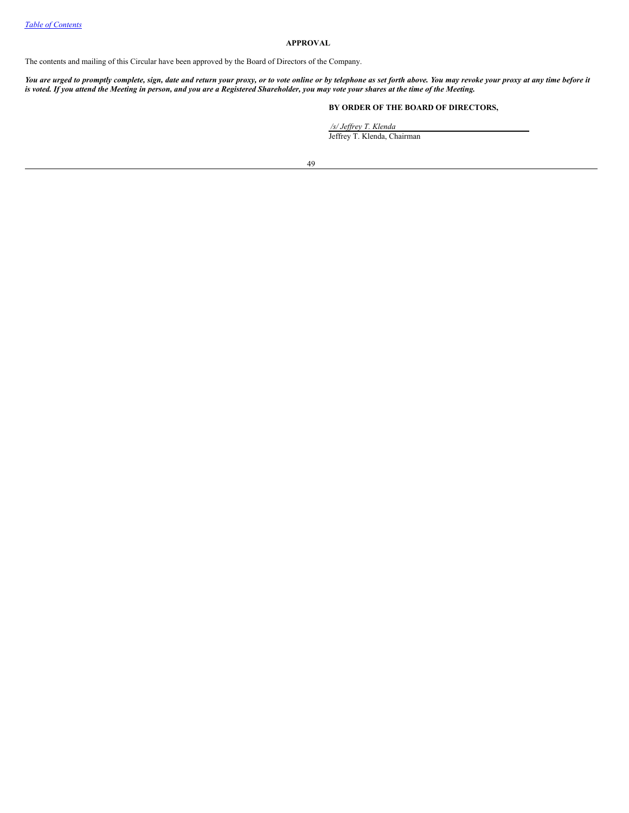#### <span id="page-51-0"></span>**APPROVAL**

The contents and mailing of this Circular have been approved by the Board of Directors of the Company.

You are urged to promptly complete, sign, date and return your proxy, or to vote online or by telephone as set forth above. You may revoke your proxy at any time before it is voted. If you attend the Meeting in person, and you are a Registered Shareholder, you may vote your shares at the time of the Meeting.

## **BY ORDER OF THE BOARD OF DIRECTORS,**

*/s/ Jef rey T. Klenda* Jeffrey T. Klenda, Chairman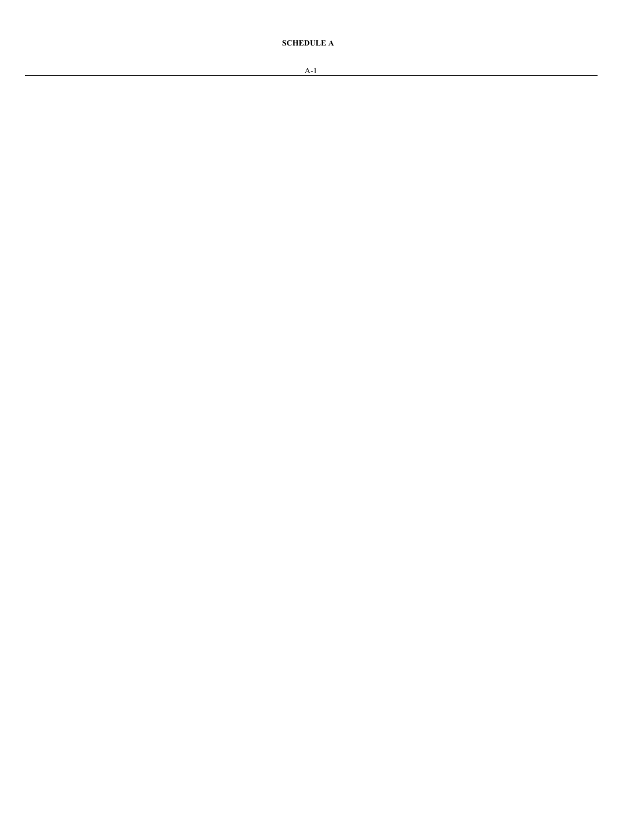<span id="page-52-0"></span>**SCHEDULE A**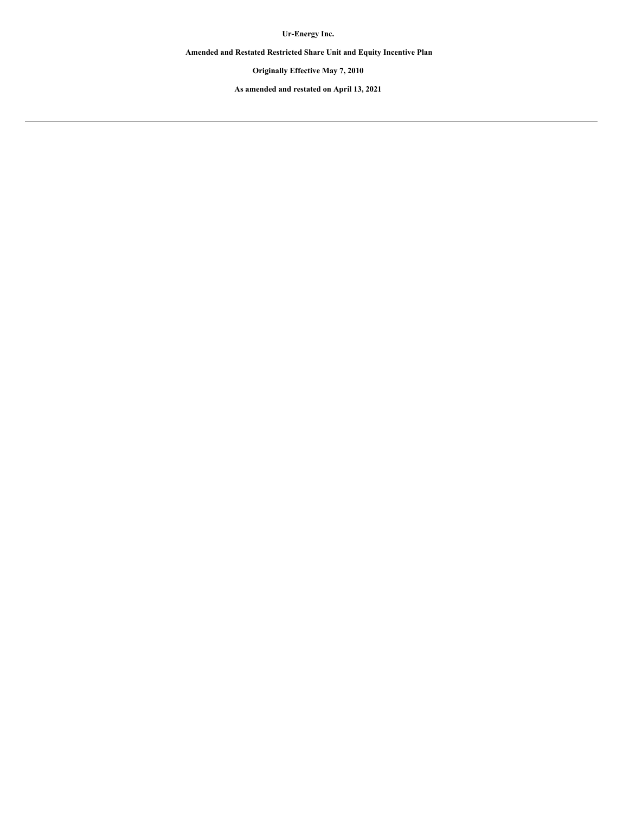**Ur-Energy Inc.**

**Amended and Restated Restricted Share Unit and Equity Incentive Plan**

**Originally Effective May 7, 2010**

**As amended and restated on April 13, 2021**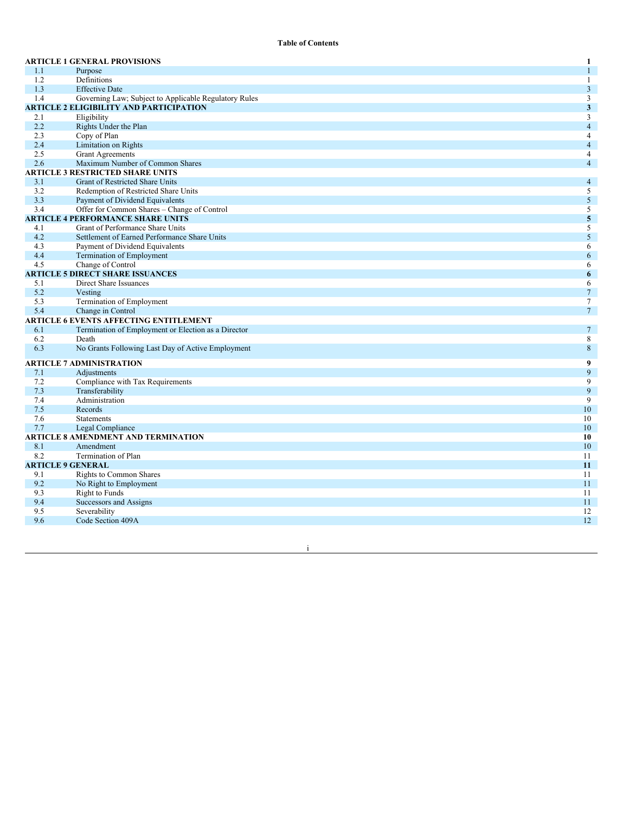|     | <b>ARTICLE 1 GENERAL PROVISIONS</b>                   | $\mathbf{1}$            |
|-----|-------------------------------------------------------|-------------------------|
| 1.1 | Purpose                                               | $\mathbf{1}$            |
| 1.2 | Definitions                                           | $\mathbf{1}$            |
| 1.3 | <b>Effective Date</b>                                 | $\mathfrak{Z}$          |
| 1.4 | Governing Law; Subject to Applicable Regulatory Rules | 3                       |
|     | <b>ARTICLE 2 ELIGIBILITY AND PARTICIPATION</b>        | $\mathbf{3}$            |
| 2.1 | Eligibility                                           | 3                       |
| 2.2 | Rights Under the Plan                                 | $\overline{4}$          |
| 2.3 | Copy of Plan                                          | $\overline{4}$          |
| 2.4 | Limitation on Rights                                  | $\overline{4}$          |
| 2.5 | <b>Grant Agreements</b>                               | $\overline{4}$          |
| 2.6 | Maximum Number of Common Shares                       | $\overline{4}$          |
|     | <b>ARTICLE 3 RESTRICTED SHARE UNITS</b>               |                         |
| 3.1 | Grant of Restricted Share Units                       | $\overline{4}$          |
| 3.2 | Redemption of Restricted Share Units                  | 5                       |
| 3.3 | Payment of Dividend Equivalents                       | 5                       |
| 3.4 | Offer for Common Shares - Change of Control           | 5                       |
|     | <b>ARTICLE 4 PERFORMANCE SHARE UNITS</b>              | $\overline{\mathbf{5}}$ |
| 4.1 | Grant of Performance Share Units                      | 5                       |
| 4.2 | Settlement of Earned Performance Share Units          | $\mathfrak{h}$          |
| 4.3 | Payment of Dividend Equivalents                       | 6                       |
| 4.4 | Termination of Employment                             | 6                       |
| 4.5 | Change of Control                                     | 6                       |
|     | <b>ARTICLE 5 DIRECT SHARE ISSUANCES</b>               | $\boldsymbol{6}$        |
| 5.1 | Direct Share Issuances                                | 6                       |
| 5.2 | Vesting                                               | $\overline{7}$          |
| 5.3 | Termination of Employment                             | $\tau$                  |
| 5.4 | Change in Control                                     | $\tau$                  |
|     | <b>ARTICLE 6 EVENTS AFFECTING ENTITLEMENT</b>         |                         |
| 6.1 | Termination of Employment or Election as a Director   | $\overline{7}$          |
| 6.2 | Death                                                 | $\,8\,$                 |
| 6.3 | No Grants Following Last Day of Active Employment     | $\,8\,$                 |
|     | <b>ARTICLE 7 ADMINISTRATION</b>                       | 9                       |
| 7.1 | Adjustments                                           | 9                       |
| 7.2 | Compliance with Tax Requirements                      | 9                       |
| 7.3 | Transferability                                       | 9                       |
| 7.4 | Administration                                        | 9                       |
| 7.5 | Records                                               | 10                      |
| 7.6 | Statements                                            | 10                      |
| 7.7 | Legal Compliance                                      | 10                      |
|     | <b>ARTICLE 8 AMENDMENT AND TERMINATION</b>            | 10                      |
| 8.1 | Amendment                                             | 10                      |
| 8.2 | Termination of Plan                                   | 11                      |
|     | <b>ARTICLE 9 GENERAL</b>                              | 11                      |
| 9.1 | Rights to Common Shares                               | 11                      |
| 9.2 | No Right to Employment                                | 11                      |
| 9.3 | <b>Right to Funds</b>                                 | 11                      |
| 9.4 | Successors and Assigns                                | 11                      |
| 9.5 | Severability                                          | 12                      |
| 9.6 | Code Section 409A                                     | 12                      |

i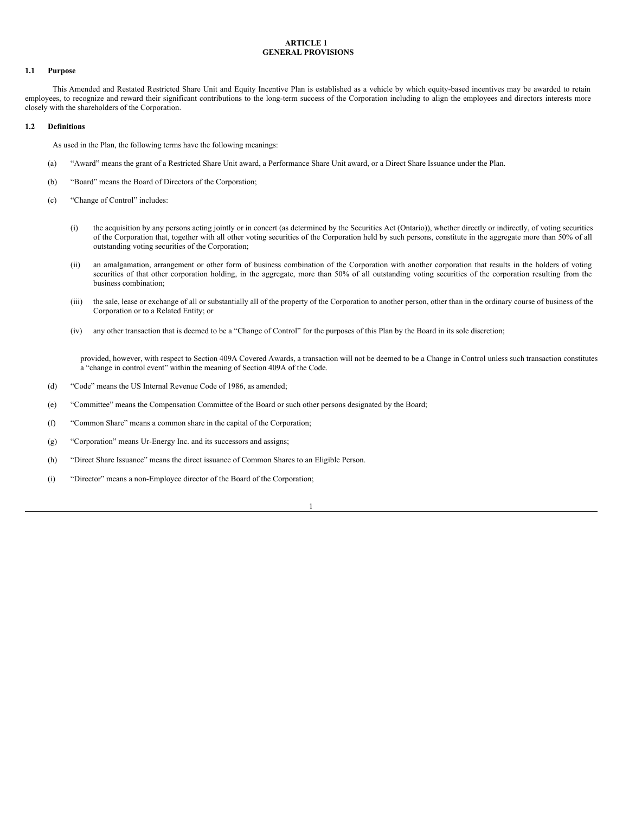## **ARTICLE 1 GENERAL PROVISIONS**

## **1.1 Purpose**

This Amended and Restated Restricted Share Unit and Equity Incentive Plan is established as a vehicle by which equity-based incentives may be awarded to retain employees, to recognize and reward their significant contributions to the long-term success of the Corporation including to align the employees and directors interests more closely with the shareholders of the Corporation.

## **1.2 Definitions**

As used in the Plan, the following terms have the following meanings:

- (a) "Award" means the grant of a Restricted Share Unit award, a Performance Share Unit award, or a Direct Share Issuance under the Plan.
- (b) "Board" means the Board of Directors of the Corporation;
- (c) "Change of Control" includes:
	- (i) the acquisition by any persons acting jointly or in concert (as determined by the Securities Act (Ontario)), whether directly or indirectly, of voting securities of the Corporation that, together with all other voting securities of the Corporation held by such persons, constitute in the aggregate more than 50% of all outstanding voting securities of the Corporation;
	- (ii) an amalgamation, arrangement or other form of business combination of the Corporation with another corporation that results in the holders of voting securities of that other corporation holding, in the aggregate, more than 50% of all outstanding voting securities of the corporation resulting from the business combination;
	- (iii) the sale, lease or exchange of all or substantially all of the property of the Corporation to another person, other than in the ordinary course of business of the Corporation or to a Related Entity; or
	- (iv) any other transaction that is deemed to be a "Change of Control" for the purposes of this Plan by the Board in its sole discretion;

provided, however, with respect to Section 409A Covered Awards, a transaction will not be deemed to be a Change in Control unless such transaction constitutes a "change in control event" within the meaning of Section 409A of the Code.

- (d) "Code" means the US Internal Revenue Code of 1986, as amended;
- (e) "Committee" means the Compensation Committee of the Board or such other persons designated by the Board;
- (f) "Common Share" means a common share in the capital of the Corporation;
- (g) "Corporation" means Ur-Energy Inc. and its successors and assigns;
- (h) "Direct Share Issuance" means the direct issuance of Common Shares to an Eligible Person.
- (i) "Director" means a non-Employee director of the Board of the Corporation;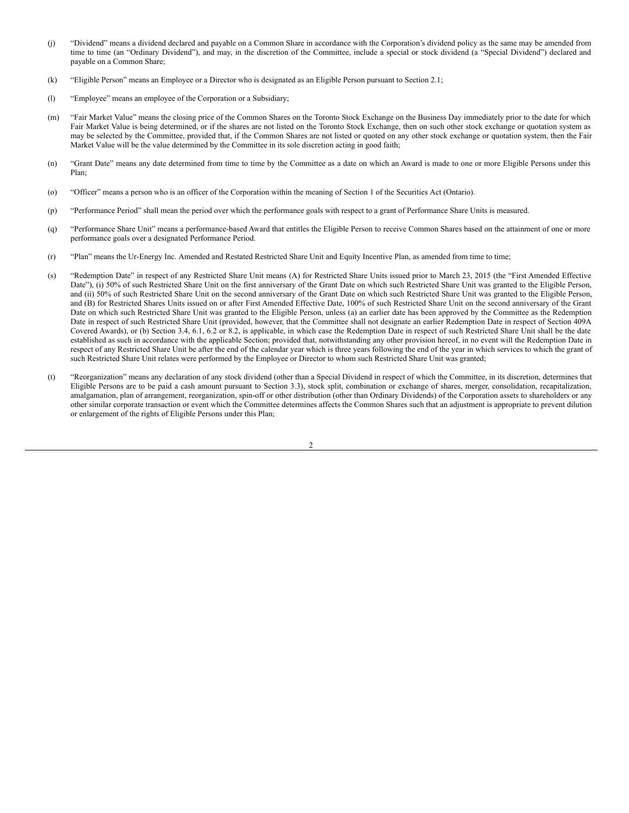- (j) "Dividend" means a dividend declared and payable on a Common Share in accordance with the Corporation's dividend policy as the same may be amended from time to time (an "Ordinary Dividend"), and may, in the discretion of the Committee, include a special or stock dividend (a "Special Dividend") declared and payable on a Common Share;
- (k) "Eligible Person" means an Employee or a Director who is designated as an Eligible Person pursuant to Section 2.1;
- (l) "Employee" means an employee of the Corporation or a Subsidiary;
- (m) "Fair Market Value" means the closing price of the Common Shares on the Toronto Stock Exchange on the Business Day immediately prior to the date for which Fair Market Value is being determined, or if the shares are not listed on the Toronto Stock Exchange, then on such other stock exchange or quotation system as may be selected by the Committee, provided that, if the Common Shares are not listed or quoted on any other stock exchange or quotation system, then the Fair Market Value will be the value determined by the Committee in its sole discretion acting in good faith;
- (n) "Grant Date" means any date determined from time to time by the Committee as a date on which an Award is made to one or more Eligible Persons under this Plan;
- (o) "Officer" means a person who is an officer of the Corporation within the meaning of Section 1 of the Securities Act (Ontario).
- (p) "Performance Period" shall mean the period over which the performance goals with respect to a grant of Performance Share Units is measured.
- (q) "Performance Share Unit" means a performance-based Award that entitles the Eligible Person to receive Common Shares based on the attainment of one or more performance goals over a designated Performance Period.
- (r) "Plan" means the Ur-Energy Inc. Amended and Restated Restricted Share Unit and Equity Incentive Plan, as amended from time to time;
- (s) "Redemption Date" in respect of any Restricted Share Unit means (A) for Restricted Share Units issued prior to March 23, 2015 (the "First Amended Effective Date"), (i) 50% of such Restricted Share Unit on the first anniversary of the Grant Date on which such Restricted Share Unit was granted to the Eligible Person, and (ii) 50% of such Restricted Share Unit on the second anniversary of the Grant Date on which such Restricted Share Unit was granted to the Eligible Person, and (B) for Restricted Shares Units issued on or after First Amended Effective Date, 100% of such Restricted Share Unit on the second anniversary of the Grant Date on which such Restricted Share Unit was granted to the Eligible Person, unless (a) an earlier date has been approved by the Committee as the Redemption Date in respect of such Restricted Share Unit (provided, however, that the Committee shall not designate an earlier Redemption Date in respect of Section 409A Covered Awards), or (b) Section 3.4, 6.1, 6.2 or 8.2, is applicable, in which case the Redemption Date in respect of such Restricted Share Unit shall be the date established as such in accordance with the applicable Section; provided that, notwithstanding any other provision hereof, in no event will the Redemption Date in respect of any Restricted Share Unit be after the end of the calendar year which is three years following the end of the year in which services to which the grant of such Restricted Share Unit relates were performed by the Employee or Director to whom such Restricted Share Unit was granted;
- (t) "Reorganization" means any declaration of any stock dividend (other than a Special Dividend in respect of which the Committee, in its discretion, determines that Eligible Persons are to be paid a cash amount pursuant to Section 3.3), stock split, combination or exchange of shares, merger, consolidation, recapitalization, amalgamation, plan of arrangement, reorganization, spin-off or other distribution (other than Ordinary Dividends) of the Corporation assets to shareholders or any other similar corporate transaction or event which the Committee determines affects the Common Shares such that an adjustment is appropriate to prevent dilution or enlargement of the rights of Eligible Persons under this Plan;

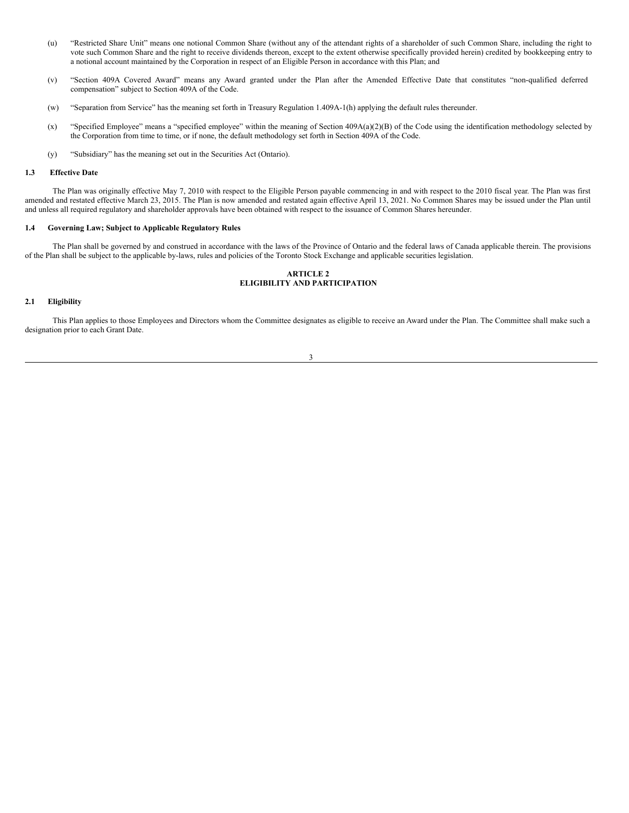- (u) "Restricted Share Unit" means one notional Common Share (without any of the attendant rights of a shareholder of such Common Share, including the right to vote such Common Share and the right to receive dividends thereon, except to the extent otherwise specifically provided herein) credited by bookkeeping entry to a notional account maintained by the Corporation in respect of an Eligible Person in accordance with this Plan; and
- (v) "Section 409A Covered Award" means any Award granted under the Plan after the Amended Effective Date that constitutes "non-qualified deferred compensation" subject to Section 409A of the Code.
- (w) "Separation from Service" has the meaning set forth in Treasury Regulation 1.409A-1(h) applying the default rules thereunder.
- (x) "Specified Employee" means a "specified employee" within the meaning of Section 409A(a)(2)(B) of the Code using the identification methodology selected by the Corporation from time to time, or if none, the default methodology set forth in Section 409A of the Code.
- (y) "Subsidiary" has the meaning set out in the Securities Act (Ontario).

## **1.3 Effective Date**

The Plan was originally effective May 7, 2010 with respect to the Eligible Person payable commencing in and with respect to the 2010 fiscal year. The Plan was first amended and restated effective March 23, 2015. The Plan is now amended and restated again effective April 13, 2021. No Common Shares may be issued under the Plan until and unless all required regulatory and shareholder approvals have been obtained with respect to the issuance of Common Shares hereunder.

## **1.4 Governing Law; Subject to Applicable Regulatory Rules**

The Plan shall be governed by and construed in accordance with the laws of the Province of Ontario and the federal laws of Canada applicable therein. The provisions of the Plan shall be subject to the applicable by-laws, rules and policies of the Toronto Stock Exchange and applicable securities legislation.

## **ARTICLE 2 ELIGIBILITY AND PARTICIPATION**

#### **2.1 Eligibility**

This Plan applies to those Employees and Directors whom the Committee designates as eligible to receive an Award under the Plan. The Committee shall make such a designation prior to each Grant Date.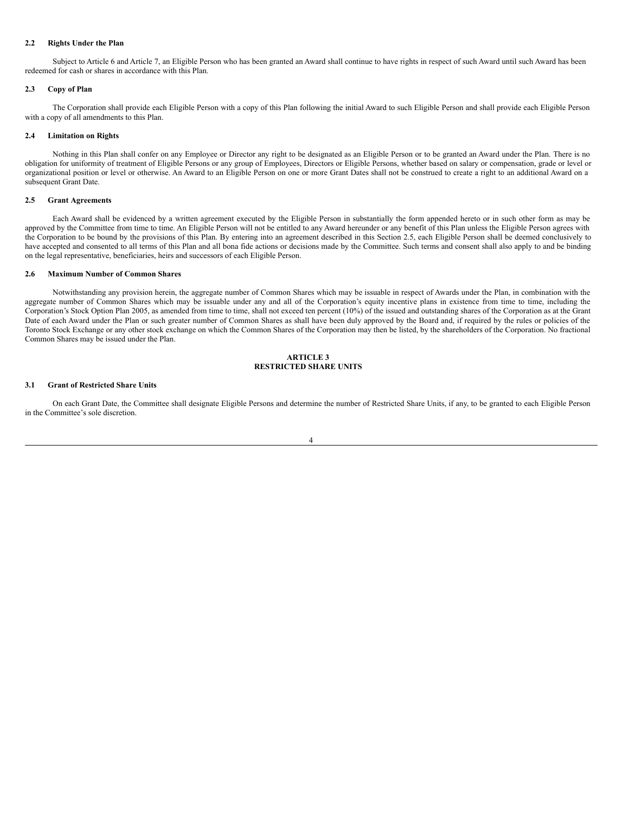## **2.2 Rights Under the Plan**

Subject to Article 6 and Article 7, an Eligible Person who has been granted an Award shall continue to have rights in respect of such Award until such Award has been redeemed for cash or shares in accordance with this Plan.

## **2.3 Copy of Plan**

The Corporation shall provide each Eligible Person with a copy of this Plan following the initial Award to such Eligible Person and shall provide each Eligible Person with a copy of all amendments to this Plan.

## **2.4 Limitation on Rights**

Nothing in this Plan shall confer on any Employee or Director any right to be designated as an Eligible Person or to be granted an Award under the Plan. There is no obligation for uniformity of treatment of Eligible Persons or any group of Employees, Directors or Eligible Persons, whether based on salary or compensation, grade or level or organizational position or level or otherwise. An Award to an Eligible Person on one or more Grant Dates shall not be construed to create a right to an additional Award on a subsequent Grant Date.

## **2.5 Grant Agreements**

Each Award shall be evidenced by a written agreement executed by the Eligible Person in substantially the form appended hereto or in such other form as may be approved by the Committee from time to time. An Eligible Person will not be entitled to any Award hereunder or any benefit of this Plan unless the Eligible Person agrees with the Corporation to be bound by the provisions of this Plan. By entering into an agreement described in this Section 2.5, each Eligible Person shall be deemed conclusively to have accepted and consented to all terms of this Plan and all bona fide actions or decisions made by the Committee. Such terms and consent shall also apply to and be binding on the legal representative, beneficiaries, heirs and successors of each Eligible Person.

## **2.6 Maximum Number of Common Shares**

Notwithstanding any provision herein, the aggregate number of Common Shares which may be issuable in respect of Awards under the Plan, in combination with the aggregate number of Common Shares which may be issuable under any and all of the Corporation's equity incentive plans in existence from time to time, including the Corporation's Stock Option Plan 2005, as amended from time to time, shall not exceed ten percent (10%) of the issued and outstanding shares of the Corporation as at the Grant Date of each Award under the Plan or such greater number of Common Shares as shall have been duly approved by the Board and, if required by the rules or policies of the Toronto Stock Exchange or any other stock exchange on which the Common Shares of the Corporation may then be listed, by the shareholders of the Corporation. No fractional Common Shares may be issued under the Plan.

## **ARTICLE 3 RESTRICTED SHARE UNITS**

## **3.1 Grant of Restricted Share Units**

On each Grant Date, the Committee shall designate Eligible Persons and determine the number of Restricted Share Units, if any, to be granted to each Eligible Person in the Committee's sole discretion.

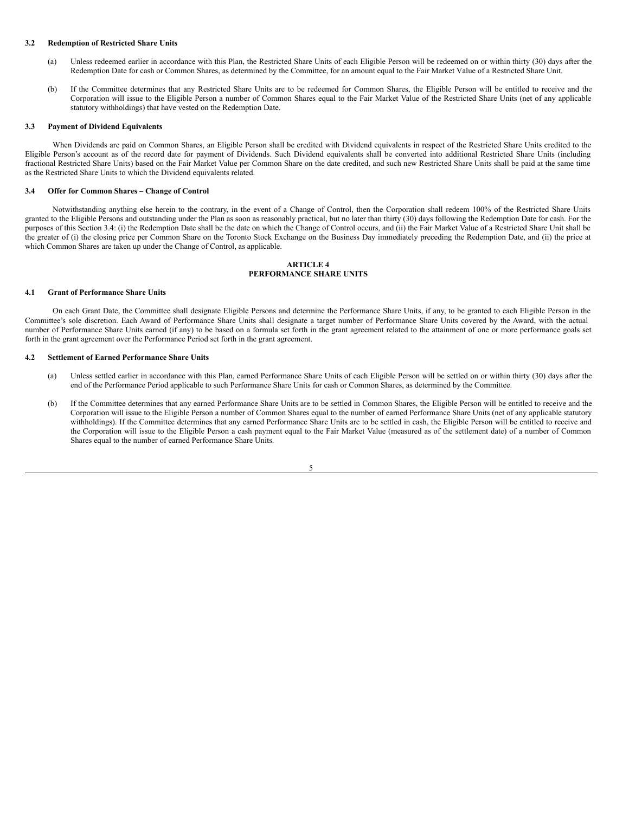## **3.2 Redemption of Restricted Share Units**

- (a) Unless redeemed earlier in accordance with this Plan, the Restricted Share Units of each Eligible Person will be redeemed on or within thirty (30) days after the Redemption Date for cash or Common Shares, as determined by the Committee, for an amount equal to the Fair Market Value of a Restricted Share Unit.
- (b) If the Committee determines that any Restricted Share Units are to be redeemed for Common Shares, the Eligible Person will be entitled to receive and the Corporation will issue to the Eligible Person a number of Common Shares equal to the Fair Market Value of the Restricted Share Units (net of any applicable statutory withholdings) that have vested on the Redemption Date.

#### **3.3 Payment of Dividend Equivalents**

When Dividends are paid on Common Shares, an Eligible Person shall be credited with Dividend equivalents in respect of the Restricted Share Units credited to the Eligible Person's account as of the record date for payment of Dividends. Such Dividend equivalents shall be converted into additional Restricted Share Units (including fractional Restricted Share Units) based on the Fair Market Value per Common Share on the date credited, and such new Restricted Share Units shall be paid at the same time as the Restricted Share Units to which the Dividend equivalents related.

## **3.4 Offer for Common Shares – Change of Control**

Notwithstanding anything else herein to the contrary, in the event of a Change of Control, then the Corporation shall redeem 100% of the Restricted Share Units granted to the Eligible Persons and outstanding under the Plan as soon as reasonably practical, but no later than thirty (30) days following the Redemption Date for cash. For the purposes of this Section 3.4: (i) the Redemption Date shall be the date on which the Change of Control occurs, and (ii) the Fair Market Value of a Restricted Share Unit shall be the greater of (i) the closing price per Common Share on the Toronto Stock Exchange on the Business Day immediately preceding the Redemption Date, and (ii) the price at which Common Shares are taken up under the Change of Control, as applicable.

## **ARTICLE 4 PERFORMANCE SHARE UNITS**

## **4.1 Grant of Performance Share Units**

On each Grant Date, the Committee shall designate Eligible Persons and determine the Performance Share Units, if any, to be granted to each Eligible Person in the Committee's sole discretion. Each Award of Performance Share Units shall designate a target number of Performance Share Units covered by the Award, with the actual number of Performance Share Units earned (if any) to be based on a formula set forth in the grant agreement related to the attainment of one or more performance goals set forth in the grant agreement over the Performance Period set forth in the grant agreement.

### **4.2 Settlement of Earned Performance Share Units**

- (a) Unless settled earlier in accordance with this Plan, earned Performance Share Units of each Eligible Person will be settled on or within thirty (30) days after the end of the Performance Period applicable to such Performance Share Units for cash or Common Shares, as determined by the Committee.
- (b) If the Committee determines that any earned Performance Share Units are to be settled in Common Shares, the Eligible Person will be entitled to receive and the Corporation will issue to the Eligible Person a number of Common Shares equal to the number of earned Performance Share Units (net of any applicable statutory withholdings). If the Committee determines that any earned Performance Share Units are to be settled in cash, the Eligible Person will be entitled to receive and the Corporation will issue to the Eligible Person a cash payment equal to the Fair Market Value (measured as of the settlement date) of a number of Common Shares equal to the number of earned Performance Share Units.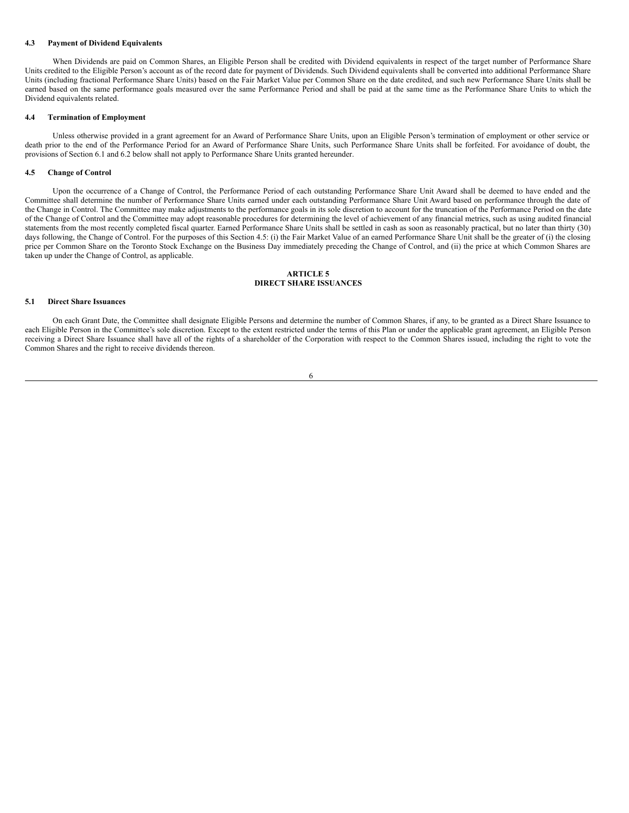## **4.3 Payment of Dividend Equivalents**

When Dividends are paid on Common Shares, an Eligible Person shall be credited with Dividend equivalents in respect of the target number of Performance Share Units credited to the Eligible Person's account as of the record date for payment of Dividends. Such Dividend equivalents shall be converted into additional Performance Share Units (including fractional Performance Share Units) based on the Fair Market Value per Common Share on the date credited, and such new Performance Share Units shall be earned based on the same performance goals measured over the same Performance Period and shall be paid at the same time as the Performance Share Units to which the Dividend equivalents related.

#### **4.4 Termination of Employment**

Unless otherwise provided in a grant agreement for an Award of Performance Share Units, upon an Eligible Person's termination of employment or other service or death prior to the end of the Performance Period for an Award of Performance Share Units, such Performance Share Units shall be forfeited. For avoidance of doubt, the provisions of Section 6.1 and 6.2 below shall not apply to Performance Share Units granted hereunder.

#### **4.5 Change of Control**

Upon the occurrence of a Change of Control, the Performance Period of each outstanding Performance Share Unit Award shall be deemed to have ended and the Committee shall determine the number of Performance Share Units earned under each outstanding Performance Share Unit Award based on performance through the date of the Change in Control. The Committee may make adjustments to the performance goals in its sole discretion to account for the truncation of the Performance Period on the date of the Change of Control and the Committee may adopt reasonable procedures for determining the level of achievement of any financial metrics, such as using audited financial statements from the most recently completed fiscal quarter. Earned Performance Share Units shall be settled in cash as soon as reasonably practical, but no later than thirty (30) days following, the Change of Control. For the purposes of this Section 4.5: (i) the Fair Market Value of an earned Performance Share Unit shall be the greater of (i) the closing price per Common Share on the Toronto Stock Exchange on the Business Day immediately preceding the Change of Control, and (ii) the price at which Common Shares are taken up under the Change of Control, as applicable.

## **ARTICLE 5 DIRECT SHARE ISSUANCES**

#### **5.1 Direct Share Issuances**

On each Grant Date, the Committee shall designate Eligible Persons and determine the number of Common Shares, if any, to be granted as a Direct Share Issuance to each Eligible Person in the Committee's sole discretion. Except to the extent restricted under the terms of this Plan or under the applicable grant agreement, an Eligible Person receiving a Direct Share Issuance shall have all of the rights of a shareholder of the Corporation with respect to the Common Shares issued, including the right to vote the Common Shares and the right to receive dividends thereon.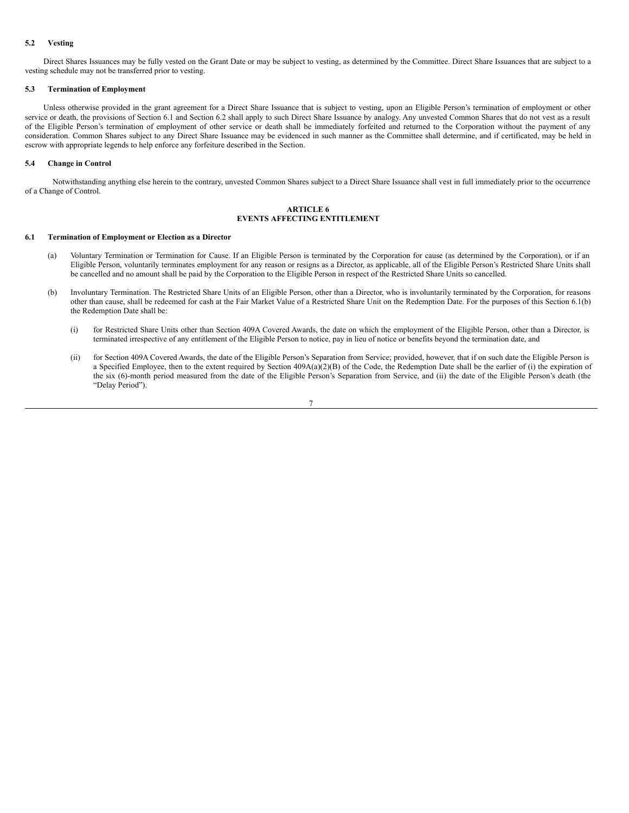## **5.2 Vesting**

Direct Shares Issuances may be fully vested on the Grant Date or may be subject to vesting, as determined by the Committee. Direct Share Issuances that are subject to a vesting schedule may not be transferred prior to vesting.

## **5.3 Termination of Employment**

Unless otherwise provided in the grant agreement for a Direct Share Issuance that is subject to vesting, upon an Eligible Person's termination of employment or other service or death, the provisions of Section 6.1 and Section 6.2 shall apply to such Direct Share Issuance by analogy. Any unvested Common Shares that do not vest as a result of the Eligible Person's termination of employment of other service or death shall be immediately forfeited and returned to the Corporation without the payment of any consideration. Common Shares subject to any Direct Share Issuance may be evidenced in such manner as the Committee shall determine, and if certificated, may be held in escrow with appropriate legends to help enforce any forfeiture described in the Section.

## **5.4 Change in Control**

Notwithstanding anything else herein to the contrary, unvested Common Shares subject to a Direct Share Issuance shall vest in full immediately prior to the occurrence of a Change of Control.

## **ARTICLE 6 EVENTS AFFECTING ENTITLEMENT**

#### **6.1 Termination of Employment or Election as a Director**

- (a) Voluntary Termination or Termination for Cause. If an Eligible Person is terminated by the Corporation for cause (as determined by the Corporation), or if an Eligible Person, voluntarily terminates employment for any reason or resigns as a Director, as applicable, all of the Eligible Person's Restricted Share Units shall be cancelled and no amount shall be paid by the Corporation to the Eligible Person in respect of the Restricted Share Units so cancelled.
- (b) Involuntary Termination. The Restricted Share Units of an Eligible Person, other than a Director, who is involuntarily terminated by the Corporation, for reasons other than cause, shall be redeemed for cash at the Fair Market Value of a Restricted Share Unit on the Redemption Date. For the purposes of this Section 6.1(b) the Redemption Date shall be:
	- (i) for Restricted Share Units other than Section 409A Covered Awards, the date on which the employment of the Eligible Person, other than a Director, is terminated irrespective of any entitlement of the Eligible Person to notice, pay in lieu of notice or benefits beyond the termination date, and
	- (ii) for Section 409A Covered Awards, the date of the Eligible Person's Separation from Service; provided, however, that if on such date the Eligible Person is a Specified Employee, then to the extent required by Section 409A(a)(2)(B) of the Code, the Redemption Date shall be the earlier of (i) the expiration of the six (6)-month period measured from the date of the Eligible Person's Separation from Service, and (ii) the date of the Eligible Person's death (the "Delay Period").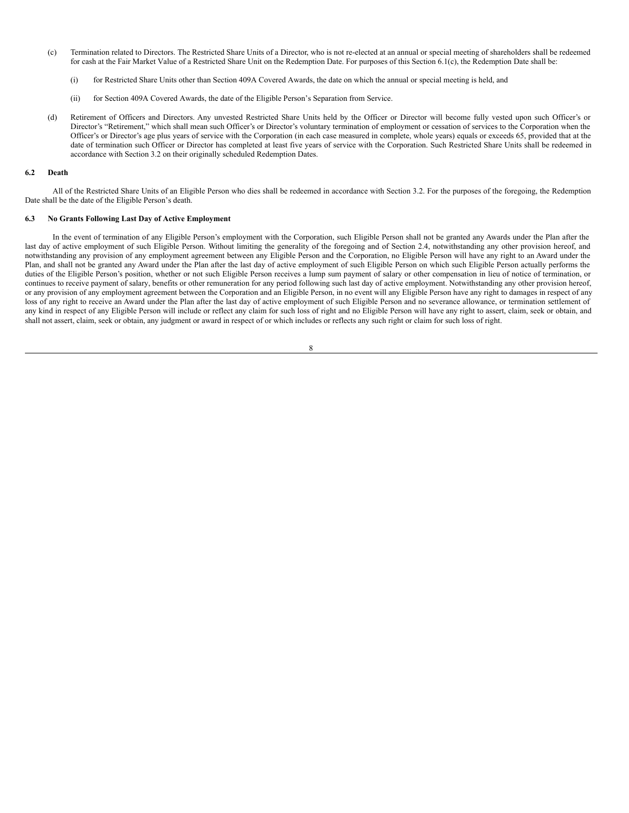- (c) Termination related to Directors. The Restricted Share Units of a Director, who is not re-elected at an annual or special meeting of shareholders shall be redeemed for cash at the Fair Market Value of a Restricted Share Unit on the Redemption Date. For purposes of this Section 6.1(c), the Redemption Date shall be:
	- (i) for Restricted Share Units other than Section 409A Covered Awards, the date on which the annual or special meeting is held, and
	- (ii) for Section 409A Covered Awards, the date of the Eligible Person's Separation from Service.
- (d) Retirement of Officers and Directors. Any unvested Restricted Share Units held by the Officer or Director will become fully vested upon such Officer's or Director's "Retirement," which shall mean such Officer's or Director's voluntary termination of employment or cessation of services to the Corporation when the Officer's or Director's age plus years of service with the Corporation (in each case measured in complete, whole years) equals or exceeds 65, provided that at the date of termination such Officer or Director has completed at least five years of service with the Corporation. Such Restricted Share Units shall be redeemed in accordance with Section 3.2 on their originally scheduled Redemption Dates.

#### **6.2 Death**

All of the Restricted Share Units of an Eligible Person who dies shall be redeemed in accordance with Section 3.2. For the purposes of the foregoing, the Redemption Date shall be the date of the Eligible Person's death.

## **6.3 No Grants Following Last Day of Active Employment**

In the event of termination of any Eligible Person's employment with the Corporation, such Eligible Person shall not be granted any Awards under the Plan after the last day of active employment of such Eligible Person. Without limiting the generality of the foregoing and of Section 2.4, notwithstanding any other provision hereof, and notwithstanding any provision of any employment agreement between any Eligible Person and the Corporation, no Eligible Person will have any right to an Award under the Plan, and shall not be granted any Award under the Plan after the last day of active employment of such Eligible Person on which such Eligible Person actually performs the duties of the Eligible Person's position, whether or not such Eligible Person receives a lump sum payment of salary or other compensation in lieu of notice of termination, or continues to receive payment of salary, benefits or other remuneration for any period following such last day of active employment. Notwithstanding any other provision hereof, or any provision of any employment agreement between the Corporation and an Eligible Person, in no event will any Eligible Person have any right to damages in respect of any loss of any right to receive an Award under the Plan after the last day of active employment of such Eligible Person and no severance allowance, or termination settlement of any kind in respect of any Eligible Person will include or reflect any claim for such loss of right and no Eligible Person will have any right to assert, claim, seek or obtain, and shall not assert, claim, seek or obtain, any judgment or award in respect of or which includes or reflects any such right or claim for such loss of right.

| I |    |   |  |
|---|----|---|--|
| × | ۰, | ï |  |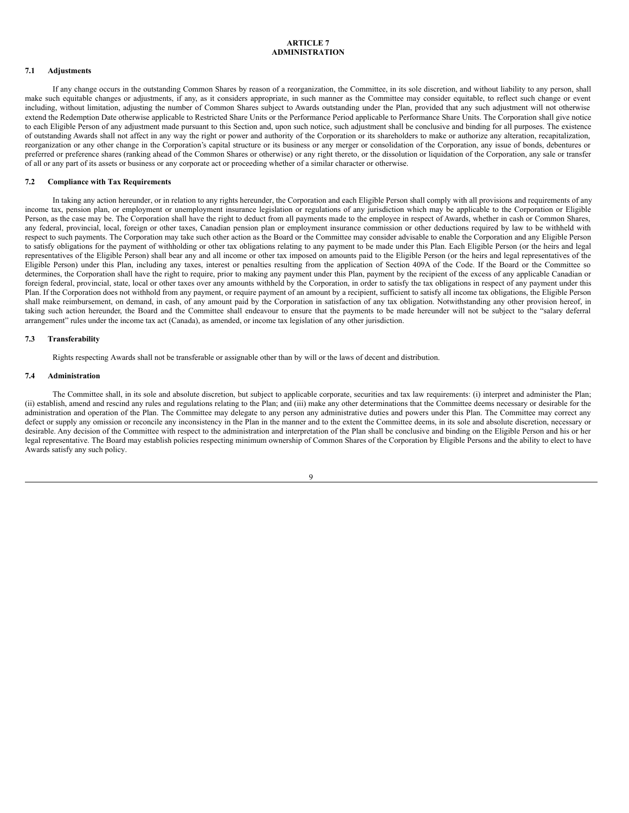## **ARTICLE 7 ADMINISTRATION**

## **7.1 Adjustments**

If any change occurs in the outstanding Common Shares by reason of a reorganization, the Committee, in its sole discretion, and without liability to any person, shall make such equitable changes or adjustments, if any, as it considers appropriate, in such manner as the Committee may consider equitable, to reflect such change or event including, without limitation, adjusting the number of Common Shares subject to Awards outstanding under the Plan, provided that any such adjustment will not otherwise extend the Redemption Date otherwise applicable to Restricted Share Units or the Performance Period applicable to Performance Share Units. The Corporation shall give notice to each Eligible Person of any adjustment made pursuant to this Section and, upon such notice, such adjustment shall be conclusive and binding for all purposes. The existence of outstanding Awards shall not affect in any way the right or power and authority of the Corporation or its shareholders to make or authorize any alteration, recapitalization, reorganization or any other change in the Corporation's capital structure or its business or any merger or consolidation of the Corporation, any issue of bonds, debentures or preferred or preference shares (ranking ahead of the Common Shares or otherwise) or any right thereto, or the dissolution or liquidation of the Corporation, any sale or transfer of all or any part of its assets or business or any corporate act or proceeding whether of a similar character or otherwise.

## **7.2 Compliance with Tax Requirements**

In taking any action hereunder, or in relation to any rights hereunder, the Corporation and each Eligible Person shall comply with all provisions and requirements of any income tax, pension plan, or employment or unemployment insurance legislation or regulations of any jurisdiction which may be applicable to the Corporation or Eligible Person, as the case may be. The Corporation shall have the right to deduct from all payments made to the employee in respect of Awards, whether in cash or Common Shares, any federal, provincial, local, foreign or other taxes, Canadian pension plan or employment insurance commission or other deductions required by law to be withheld with respect to such payments. The Corporation may take such other action as the Board or the Committee may consider advisable to enable the Corporation and any Eligible Person to satisfy obligations for the payment of withholding or other tax obligations relating to any payment to be made under this Plan. Each Eligible Person (or the heirs and legal representatives of the Eligible Person) shall bear any and all income or other tax imposed on amounts paid to the Eligible Person (or the heirs and legal representatives of the Eligible Person) under this Plan, including any taxes, interest or penalties resulting from the application of Section 409A of the Code. If the Board or the Committee so determines, the Corporation shall have the right to require, prior to making any payment under this Plan, payment by the recipient of the excess of any applicable Canadian or foreign federal, provincial, state, local or other taxes over any amounts withheld by the Corporation, in order to satisfy the tax obligations in respect of any payment under this Plan. If the Corporation does not withhold from any payment, or require payment of an amount by a recipient, sufficient to satisfy all income tax obligations, the Eligible Person shall make reimbursement, on demand, in cash, of any amount paid by the Corporation in satisfaction of any tax obligation. Notwithstanding any other provision hereof, in taking such action hereunder, the Board and the Committee shall endeavour to ensure that the payments to be made hereunder will not be subject to the "salary deferral arrangement" rules under the income tax act (Canada), as amended, or income tax legislation of any other jurisdiction.

## **7.3 Transferability**

Rights respecting Awards shall not be transferable or assignable other than by will or the laws of decent and distribution.

## **7.4 Administration**

The Committee shall, in its sole and absolute discretion, but subject to applicable corporate, securities and tax law requirements: (i) interpret and administer the Plan; (ii) establish, amend and rescind any rules and regulations relating to the Plan; and (iii) make any other determinations that the Committee deems necessary or desirable for the administration and operation of the Plan. The Committee may delegate to any person any administrative duties and powers under this Plan. The Committee may correct any defect or supply any omission or reconcile any inconsistency in the Plan in the manner and to the extent the Committee deems, in its sole and absolute discretion, necessary or desirable. Any decision of the Committee with respect to the administration and interpretation of the Plan shall be conclusive and binding on the Eligible Person and his or her legal representative. The Board may establish policies respecting minimum ownership of Common Shares of the Corporation by Eligible Persons and the ability to elect to have Awards satisfy any such policy.

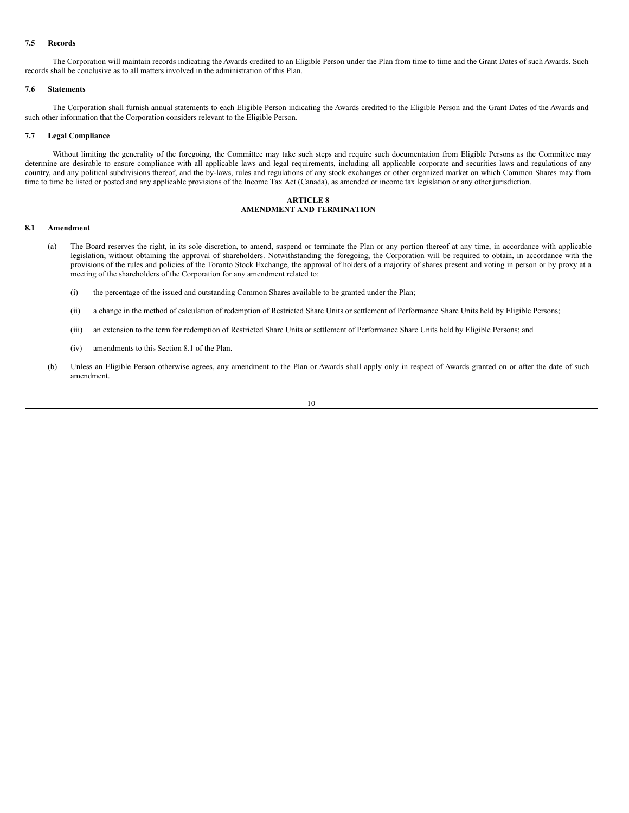## **7.5 Records**

The Corporation will maintain records indicating the Awards credited to an Eligible Person under the Plan from time to time and the Grant Dates of such Awards. Such records shall be conclusive as to all matters involved in the administration of this Plan.

#### **7.6 Statements**

The Corporation shall furnish annual statements to each Eligible Person indicating the Awards credited to the Eligible Person and the Grant Dates of the Awards and such other information that the Corporation considers relevant to the Eligible Person.

## **7.7 Legal Compliance**

Without limiting the generality of the foregoing, the Committee may take such steps and require such documentation from Eligible Persons as the Committee may determine are desirable to ensure compliance with all applicable laws and legal requirements, including all applicable corporate and securities laws and regulations of any country, and any political subdivisions thereof, and the by-laws, rules and regulations of any stock exchanges or other organized market on which Common Shares may from time to time be listed or posted and any applicable provisions of the Income Tax Act (Canada), as amended or income tax legislation or any other jurisdiction.

## **ARTICLE 8 AMENDMENT AND TERMINATION**

## **8.1 Amendment**

- (a) The Board reserves the right, in its sole discretion, to amend, suspend or terminate the Plan or any portion thereof at any time, in accordance with applicable legislation, without obtaining the approval of shareholders. Notwithstanding the foregoing, the Corporation will be required to obtain, in accordance with the provisions of the rules and policies of the Toronto Stock Exchange, the approval of holders of a majority of shares present and voting in person or by proxy at a meeting of the shareholders of the Corporation for any amendment related to:
	- (i) the percentage of the issued and outstanding Common Shares available to be granted under the Plan;
	- (ii) a change in the method of calculation of redemption of Restricted Share Units or settlement of Performance Share Units held by Eligible Persons;
	- (iii) an extension to the term for redemption of Restricted Share Units or settlement of Performance Share Units held by Eligible Persons; and
	- (iv) amendments to this Section 8.1 of the Plan.
- (b) Unless an Eligible Person otherwise agrees, any amendment to the Plan or Awards shall apply only in respect of Awards granted on or after the date of such amendment.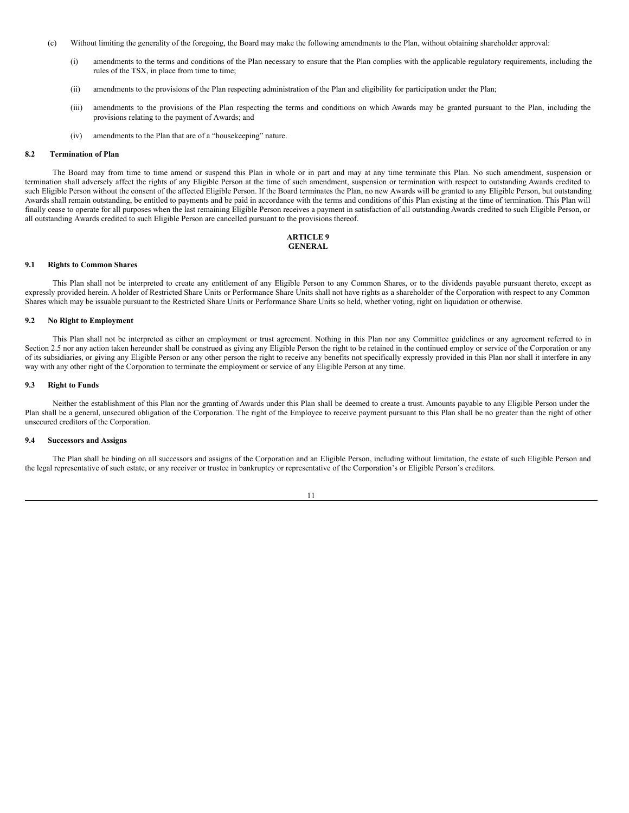- (c) Without limiting the generality of the foregoing, the Board may make the following amendments to the Plan, without obtaining shareholder approval:
	- (i) amendments to the terms and conditions of the Plan necessary to ensure that the Plan complies with the applicable regulatory requirements, including the rules of the TSX, in place from time to time;
	- (ii) amendments to the provisions of the Plan respecting administration of the Plan and eligibility for participation under the Plan;
	- (iii) amendments to the provisions of the Plan respecting the terms and conditions on which Awards may be granted pursuant to the Plan, including the provisions relating to the payment of Awards; and
	- (iv) amendments to the Plan that are of a "housekeeping" nature.

#### **8.2 Termination of Plan**

The Board may from time to time amend or suspend this Plan in whole or in part and may at any time terminate this Plan. No such amendment, suspension or termination shall adversely affect the rights of any Eligible Person at the time of such amendment, suspension or termination with respect to outstanding Awards credited to such Eligible Person without the consent of the affected Eligible Person. If the Board terminates the Plan, no new Awards will be granted to any Eligible Person, but outstanding Awards shall remain outstanding, be entitled to payments and be paid in accordance with the terms and conditions of this Plan existing at the time of termination. This Plan will finally cease to operate for all purposes when the last remaining Eligible Person receives a payment in satisfaction of all outstanding Awards credited to such Eligible Person, or all outstanding Awards credited to such Eligible Person are cancelled pursuant to the provisions thereof.

#### **ARTICLE 9 GENERAL**

## **9.1 Rights to Common Shares**

This Plan shall not be interpreted to create any entitlement of any Eligible Person to any Common Shares, or to the dividends payable pursuant thereto, except as expressly provided herein. A holder of Restricted Share Units or Performance Share Units shall not have rights as a shareholder of the Corporation with respect to any Common Shares which may be issuable pursuant to the Restricted Share Units or Performance Share Units so held, whether voting, right on liquidation or otherwise.

## **9.2 No Right to Employment**

This Plan shall not be interpreted as either an employment or trust agreement. Nothing in this Plan nor any Committee guidelines or any agreement referred to in Section 2.5 nor any action taken hereunder shall be construed as giving any Eligible Person the right to be retained in the continued employ or service of the Corporation or any of its subsidiaries, or giving any Eligible Person or any other person the right to receive any benefits not specifically expressly provided in this Plan nor shall it interfere in any way with any other right of the Corporation to terminate the employment or service of any Eligible Person at any time.

## **9.3 Right to Funds**

Neither the establishment of this Plan nor the granting of Awards under this Plan shall be deemed to create a trust. Amounts payable to any Eligible Person under the Plan shall be a general, unsecured obligation of the Corporation. The right of the Employee to receive payment pursuant to this Plan shall be no greater than the right of other unsecured creditors of the Corporation.

#### **9.4 Successors and Assigns**

The Plan shall be binding on all successors and assigns of the Corporation and an Eligible Person, including without limitation, the estate of such Eligible Person and the legal representative of such estate, or any receiver or trustee in bankruptcy or representative of the Corporation's or Eligible Person's creditors.

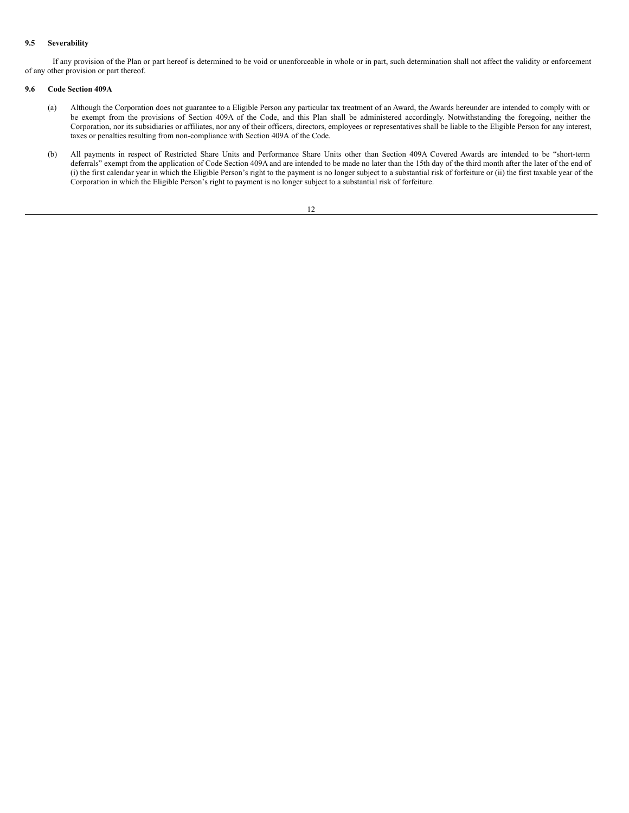## **9.5 Severability**

If any provision of the Plan or part hereof is determined to be void or unenforceable in whole or in part, such determination shall not affect the validity or enforcement of any other provision or part thereof.

## **9.6 Code Section 409A**

- (a) Although the Corporation does not guarantee to a Eligible Person any particular tax treatment of an Award, the Awards hereunder are intended to comply with or be exempt from the provisions of Section 409A of the Code, and this Plan shall be administered accordingly. Notwithstanding the foregoing, neither the Corporation, nor its subsidiaries or affiliates, nor any of their officers, directors, employees or representatives shall be liable to the Eligible Person for any interest, taxes or penalties resulting from non-compliance with Section 409A of the Code.
- (b) All payments in respect of Restricted Share Units and Performance Share Units other than Section 409A Covered Awards are intended to be "short-term deferrals" exempt from the application of Code Section 409A and are intended to be made no later than the 15th day of the third month after the later of the end of (i) the first calendar year in which the Eligible Person's right to the payment is no longer subject to a substantial risk of forfeiture or (ii) the first taxable year of the Corporation in which the Eligible Person's right to payment is no longer subject to a substantial risk of forfeiture.

| v |
|---|
|   |